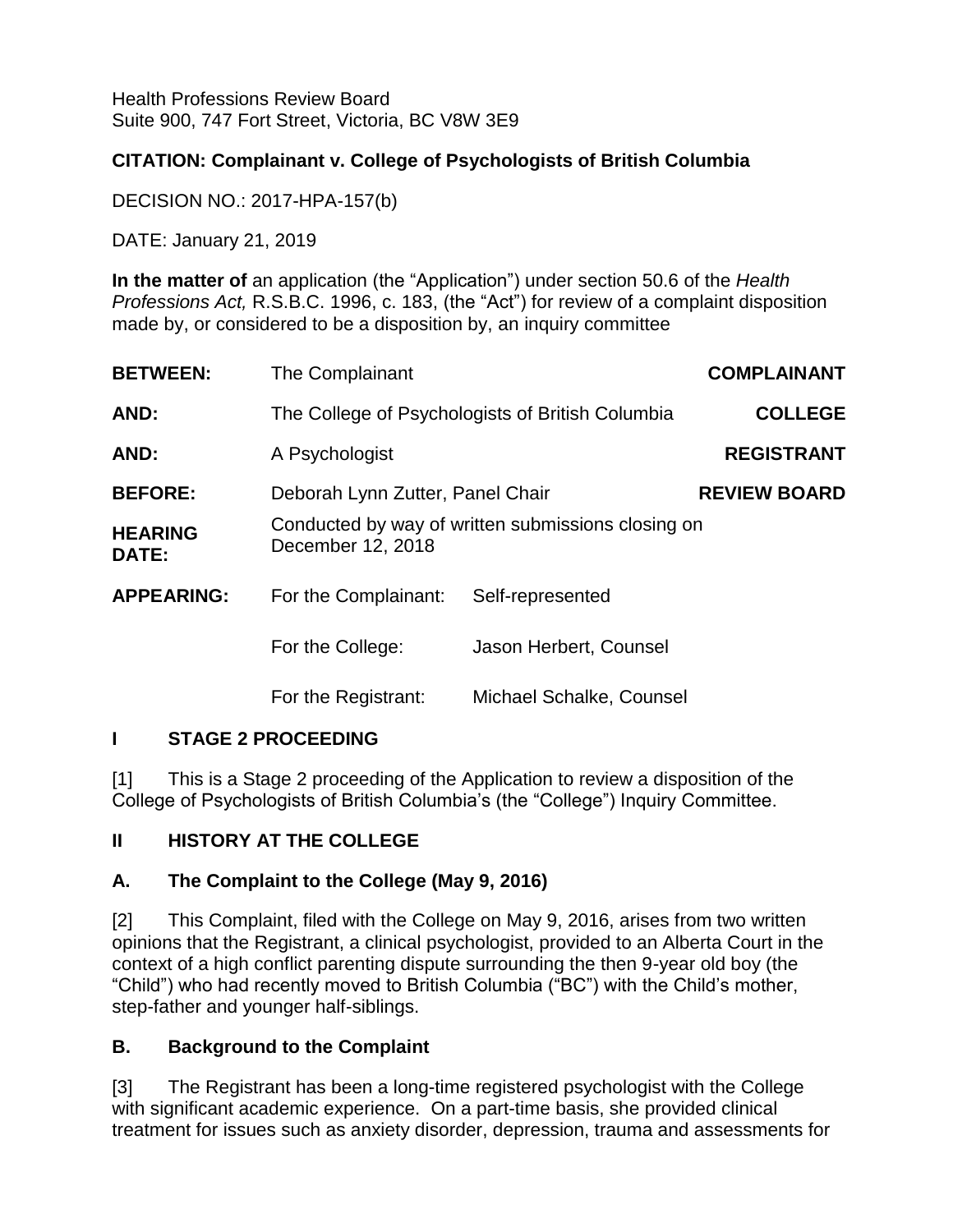Health Professions Review Board Suite 900, 747 Fort Street, Victoria, BC V8W 3E9

# **CITATION: Complainant v. College of Psychologists of British Columbia**

DECISION NO.: 2017-HPA-157(b)

DATE: January 21, 2019

**In the matter of** an application (the "Application") under section 50.6 of the *Health Professions Act,* R.S.B.C. 1996, c. 183, (the "Act") for review of a complaint disposition made by, or considered to be a disposition by, an inquiry committee

| <b>BETWEEN:</b>                | The Complainant                                                         |                          | <b>COMPLAINANT</b>  |
|--------------------------------|-------------------------------------------------------------------------|--------------------------|---------------------|
| AND:                           | The College of Psychologists of British Columbia                        |                          | <b>COLLEGE</b>      |
| AND:                           | A Psychologist                                                          |                          | <b>REGISTRANT</b>   |
| <b>BEFORE:</b>                 | Deborah Lynn Zutter, Panel Chair                                        |                          | <b>REVIEW BOARD</b> |
| <b>HEARING</b><br><b>DATE:</b> | Conducted by way of written submissions closing on<br>December 12, 2018 |                          |                     |
| <b>APPEARING:</b>              | For the Complainant:                                                    | Self-represented         |                     |
|                                | For the College:                                                        | Jason Herbert, Counsel   |                     |
|                                | For the Registrant:                                                     | Michael Schalke, Counsel |                     |

### **I STAGE 2 PROCEEDING**

[1] This is a Stage 2 proceeding of the Application to review a disposition of the College of Psychologists of British Columbia's (the "College") Inquiry Committee.

# **II HISTORY AT THE COLLEGE**

### **A. The Complaint to the College (May 9, 2016)**

[2] This Complaint, filed with the College on May 9, 2016, arises from two written opinions that the Registrant, a clinical psychologist, provided to an Alberta Court in the context of a high conflict parenting dispute surrounding the then 9-year old boy (the "Child") who had recently moved to British Columbia ("BC") with the Child's mother, step-father and younger half-siblings.

### **B. Background to the Complaint**

[3] The Registrant has been a long-time registered psychologist with the College with significant academic experience. On a part-time basis, she provided clinical treatment for issues such as anxiety disorder, depression, trauma and assessments for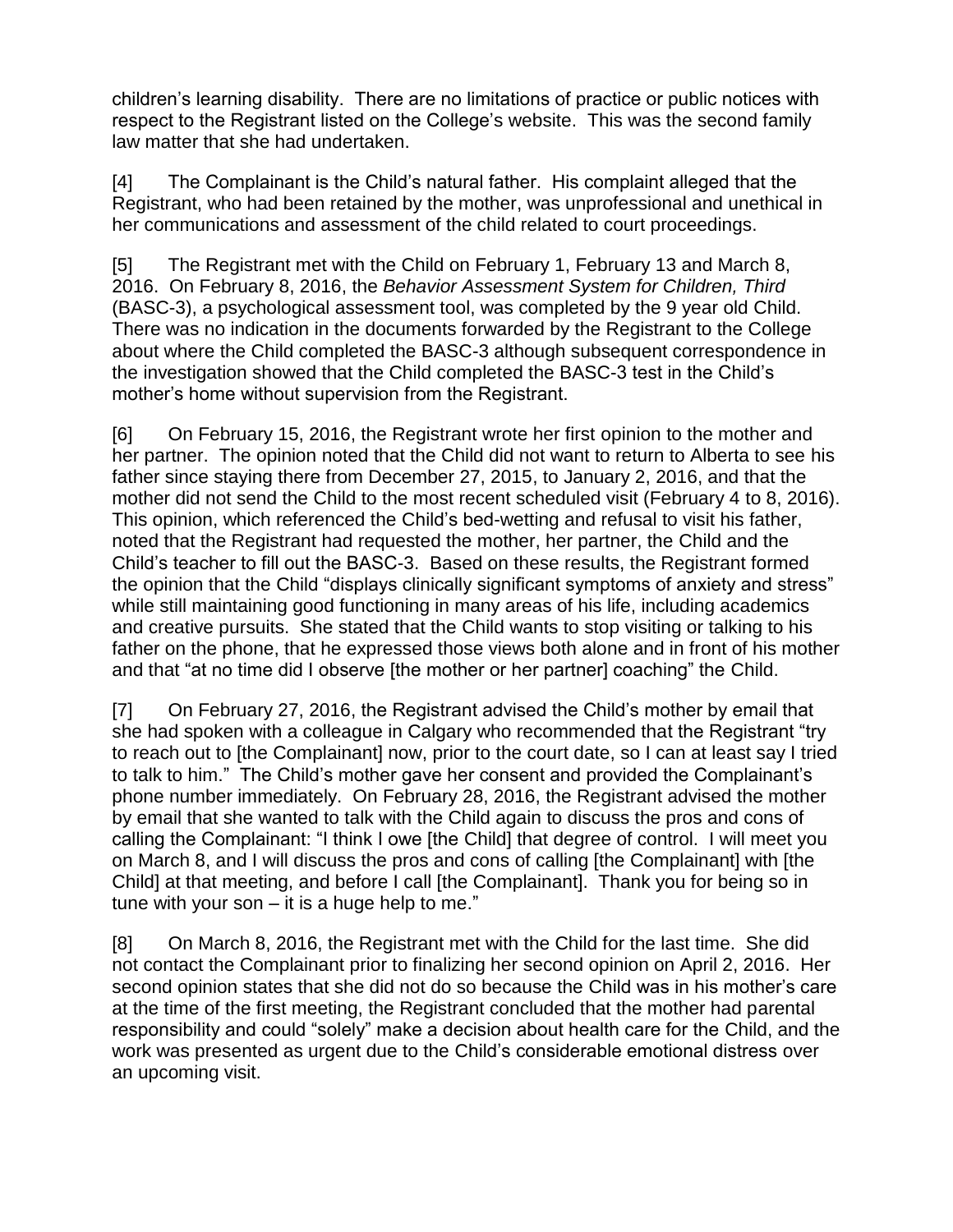children's learning disability. There are no limitations of practice or public notices with respect to the Registrant listed on the College's website. This was the second family law matter that she had undertaken.

[4] The Complainant is the Child's natural father. His complaint alleged that the Registrant, who had been retained by the mother, was unprofessional and unethical in her communications and assessment of the child related to court proceedings.

[5] The Registrant met with the Child on February 1, February 13 and March 8, 2016. On February 8, 2016, the *Behavior Assessment System for Children, Third* (BASC-3), a psychological assessment tool, was completed by the 9 year old Child. There was no indication in the documents forwarded by the Registrant to the College about where the Child completed the BASC-3 although subsequent correspondence in the investigation showed that the Child completed the BASC-3 test in the Child's mother's home without supervision from the Registrant.

[6] On February 15, 2016, the Registrant wrote her first opinion to the mother and her partner. The opinion noted that the Child did not want to return to Alberta to see his father since staying there from December 27, 2015, to January 2, 2016, and that the mother did not send the Child to the most recent scheduled visit (February 4 to 8, 2016). This opinion, which referenced the Child's bed-wetting and refusal to visit his father, noted that the Registrant had requested the mother, her partner, the Child and the Child's teacher to fill out the BASC-3. Based on these results, the Registrant formed the opinion that the Child "displays clinically significant symptoms of anxiety and stress" while still maintaining good functioning in many areas of his life, including academics and creative pursuits. She stated that the Child wants to stop visiting or talking to his father on the phone, that he expressed those views both alone and in front of his mother and that "at no time did I observe [the mother or her partner] coaching" the Child.

[7] On February 27, 2016, the Registrant advised the Child's mother by email that she had spoken with a colleague in Calgary who recommended that the Registrant "try to reach out to [the Complainant] now, prior to the court date, so I can at least say I tried to talk to him." The Child's mother gave her consent and provided the Complainant's phone number immediately. On February 28, 2016, the Registrant advised the mother by email that she wanted to talk with the Child again to discuss the pros and cons of calling the Complainant: "I think I owe [the Child] that degree of control. I will meet you on March 8, and I will discuss the pros and cons of calling [the Complainant] with [the Child] at that meeting, and before I call [the Complainant]. Thank you for being so in tune with your son  $-$  it is a huge help to me."

[8] On March 8, 2016, the Registrant met with the Child for the last time. She did not contact the Complainant prior to finalizing her second opinion on April 2, 2016. Her second opinion states that she did not do so because the Child was in his mother's care at the time of the first meeting, the Registrant concluded that the mother had parental responsibility and could "solely" make a decision about health care for the Child, and the work was presented as urgent due to the Child's considerable emotional distress over an upcoming visit.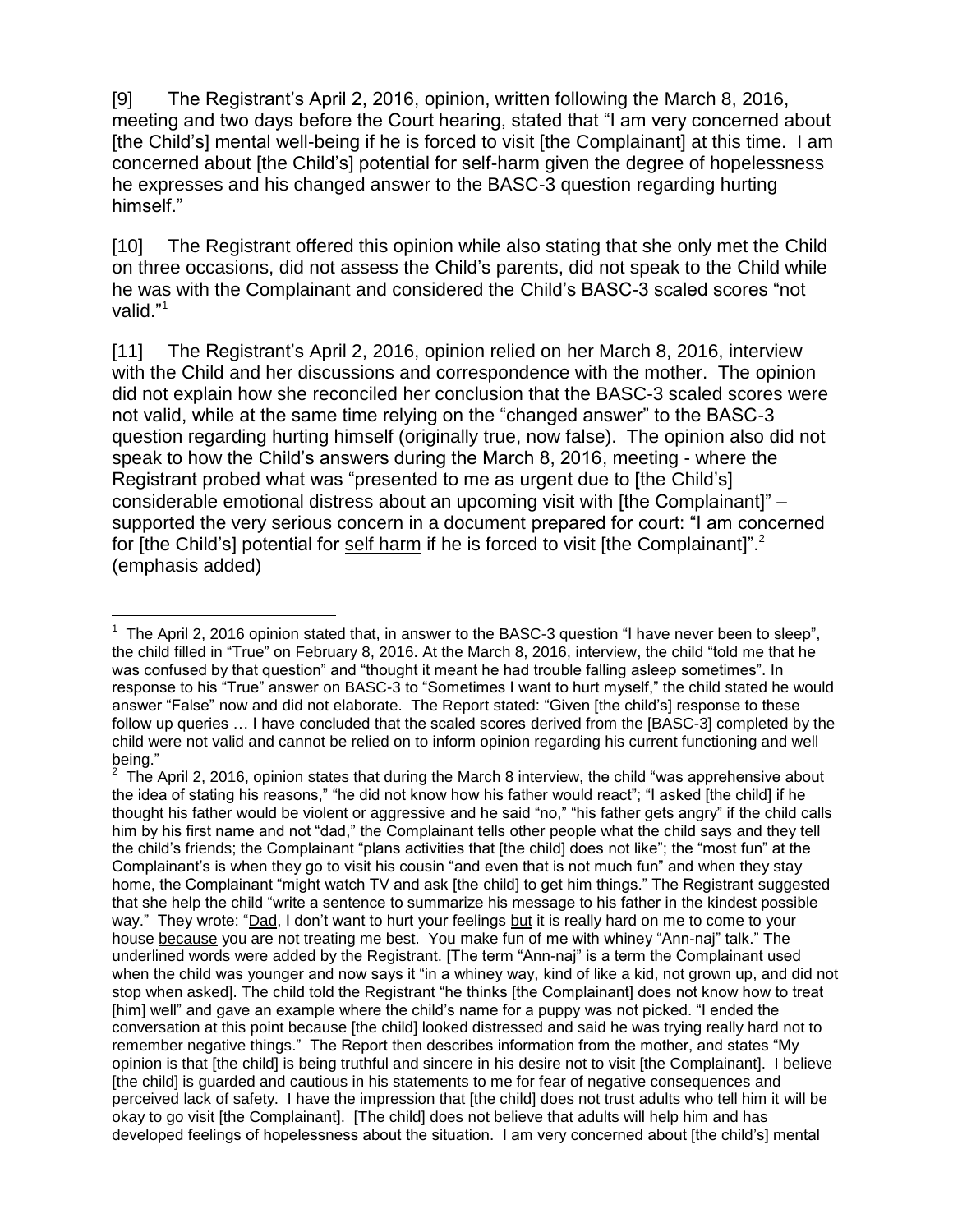[9] The Registrant's April 2, 2016, opinion, written following the March 8, 2016, meeting and two days before the Court hearing, stated that "I am very concerned about [the Child's] mental well-being if he is forced to visit [the Complainant] at this time. I am concerned about [the Child's] potential for self-harm given the degree of hopelessness he expresses and his changed answer to the BASC-3 question regarding hurting himself."

[10] The Registrant offered this opinion while also stating that she only met the Child on three occasions, did not assess the Child's parents, did not speak to the Child while he was with the Complainant and considered the Child's BASC-3 scaled scores "not valid."<sup>1</sup>

[11] The Registrant's April 2, 2016, opinion relied on her March 8, 2016, interview with the Child and her discussions and correspondence with the mother. The opinion did not explain how she reconciled her conclusion that the BASC-3 scaled scores were not valid, while at the same time relying on the "changed answer" to the BASC-3 question regarding hurting himself (originally true, now false). The opinion also did not speak to how the Child's answers during the March 8, 2016, meeting - where the Registrant probed what was "presented to me as urgent due to [the Child's] considerable emotional distress about an upcoming visit with [the Complainant]" – supported the very serious concern in a document prepared for court: "I am concerned for [the Child's] potential for self harm if he is forced to visit [the Complainant]".<sup>2</sup> (emphasis added)

 $\overline{a}$ <sup>1</sup> The April 2, 2016 opinion stated that, in answer to the BASC-3 question "I have never been to sleep", the child filled in "True" on February 8, 2016. At the March 8, 2016, interview, the child "told me that he was confused by that question" and "thought it meant he had trouble falling asleep sometimes". In response to his "True" answer on BASC-3 to "Sometimes I want to hurt myself," the child stated he would answer "False" now and did not elaborate. The Report stated: "Given [the child's] response to these follow up queries … I have concluded that the scaled scores derived from the [BASC-3] completed by the child were not valid and cannot be relied on to inform opinion regarding his current functioning and well being."

<sup>&</sup>lt;sup>2</sup> The April 2, 2016, opinion states that during the March 8 interview, the child "was apprehensive about the idea of stating his reasons," "he did not know how his father would react"; "I asked [the child] if he thought his father would be violent or aggressive and he said "no," "his father gets angry" if the child calls him by his first name and not "dad," the Complainant tells other people what the child says and they tell the child's friends; the Complainant "plans activities that [the child] does not like"; the "most fun" at the Complainant's is when they go to visit his cousin "and even that is not much fun" and when they stay home, the Complainant "might watch TV and ask [the child] to get him things." The Registrant suggested that she help the child "write a sentence to summarize his message to his father in the kindest possible way." They wrote: "Dad, I don't want to hurt your feelings but it is really hard on me to come to your house because you are not treating me best. You make fun of me with whiney "Ann-naj" talk." The underlined words were added by the Registrant. [The term "Ann-naj" is a term the Complainant used when the child was younger and now says it "in a whiney way, kind of like a kid, not grown up, and did not stop when asked]. The child told the Registrant "he thinks [the Complainant] does not know how to treat [him] well" and gave an example where the child's name for a puppy was not picked. "I ended the conversation at this point because [the child] looked distressed and said he was trying really hard not to remember negative things." The Report then describes information from the mother, and states "My opinion is that [the child] is being truthful and sincere in his desire not to visit [the Complainant]. I believe [the child] is guarded and cautious in his statements to me for fear of negative consequences and perceived lack of safety. I have the impression that [the child] does not trust adults who tell him it will be okay to go visit [the Complainant]. [The child] does not believe that adults will help him and has developed feelings of hopelessness about the situation. I am very concerned about [the child's] mental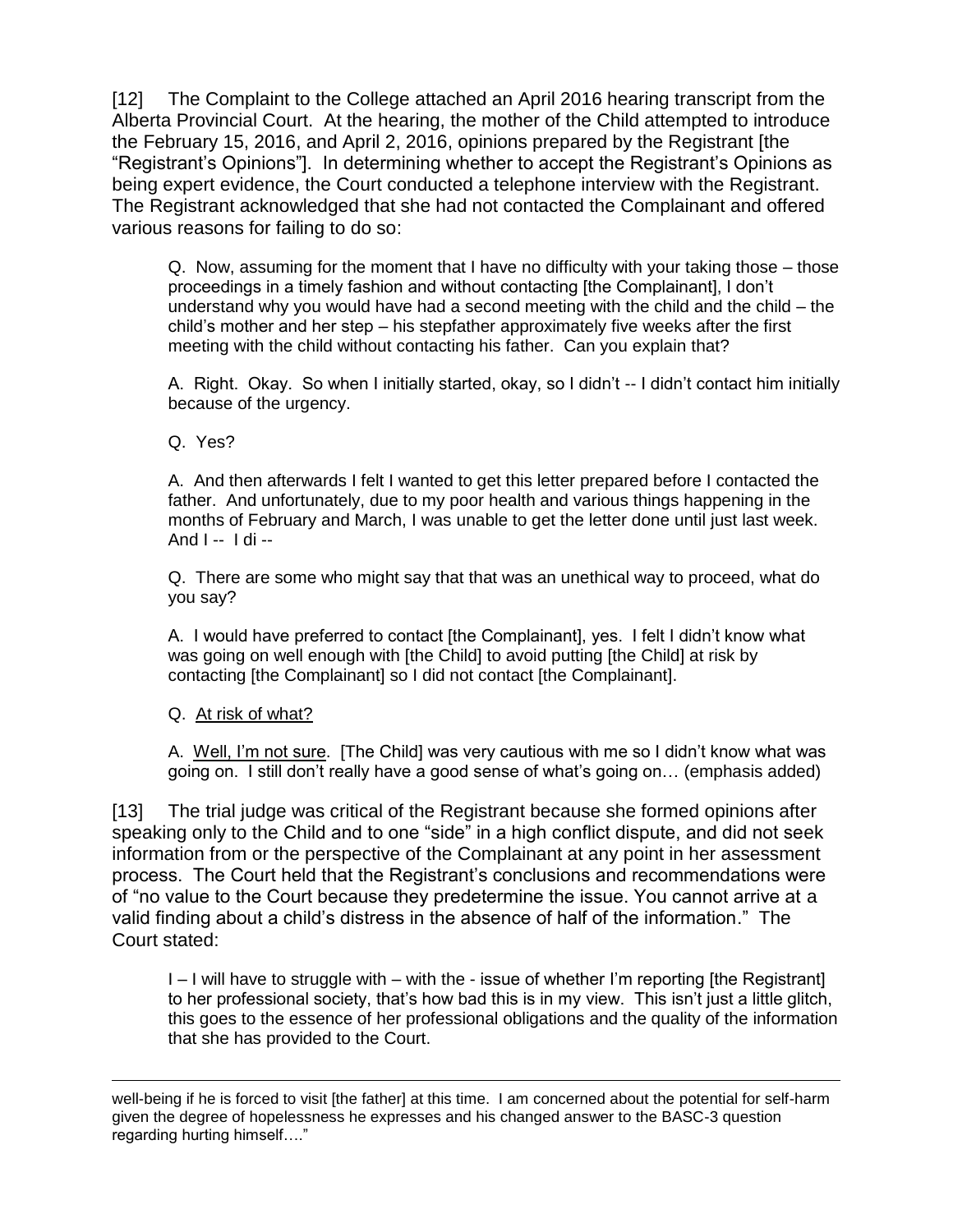[12] The Complaint to the College attached an April 2016 hearing transcript from the Alberta Provincial Court. At the hearing, the mother of the Child attempted to introduce the February 15, 2016, and April 2, 2016, opinions prepared by the Registrant [the "Registrant's Opinions"]. In determining whether to accept the Registrant's Opinions as being expert evidence, the Court conducted a telephone interview with the Registrant. The Registrant acknowledged that she had not contacted the Complainant and offered various reasons for failing to do so:

Q. Now, assuming for the moment that I have no difficulty with your taking those – those proceedings in a timely fashion and without contacting [the Complainant], I don't understand why you would have had a second meeting with the child and the child – the child's mother and her step – his stepfather approximately five weeks after the first meeting with the child without contacting his father. Can you explain that?

A. Right. Okay. So when I initially started, okay, so I didn't -- I didn't contact him initially because of the urgency.

Q. Yes?

A. And then afterwards I felt I wanted to get this letter prepared before I contacted the father. And unfortunately, due to my poor health and various things happening in the months of February and March, I was unable to get the letter done until just last week. And I -- I di --

Q. There are some who might say that that was an unethical way to proceed, what do you say?

A. I would have preferred to contact [the Complainant], yes. I felt I didn't know what was going on well enough with [the Child] to avoid putting [the Child] at risk by contacting [the Complainant] so I did not contact [the Complainant].

Q. At risk of what?

A. Well, I'm not sure. [The Child] was very cautious with me so I didn't know what was going on. I still don't really have a good sense of what's going on… (emphasis added)

[13] The trial judge was critical of the Registrant because she formed opinions after speaking only to the Child and to one "side" in a high conflict dispute, and did not seek information from or the perspective of the Complainant at any point in her assessment process. The Court held that the Registrant's conclusions and recommendations were of "no value to the Court because they predetermine the issue. You cannot arrive at a valid finding about a child's distress in the absence of half of the information." The Court stated:

I – I will have to struggle with – with the - issue of whether I'm reporting [the Registrant] to her professional society, that's how bad this is in my view. This isn't just a little glitch, this goes to the essence of her professional obligations and the quality of the information that she has provided to the Court.

 $\overline{a}$ well-being if he is forced to visit [the father] at this time. I am concerned about the potential for self-harm given the degree of hopelessness he expresses and his changed answer to the BASC-3 question regarding hurting himself…."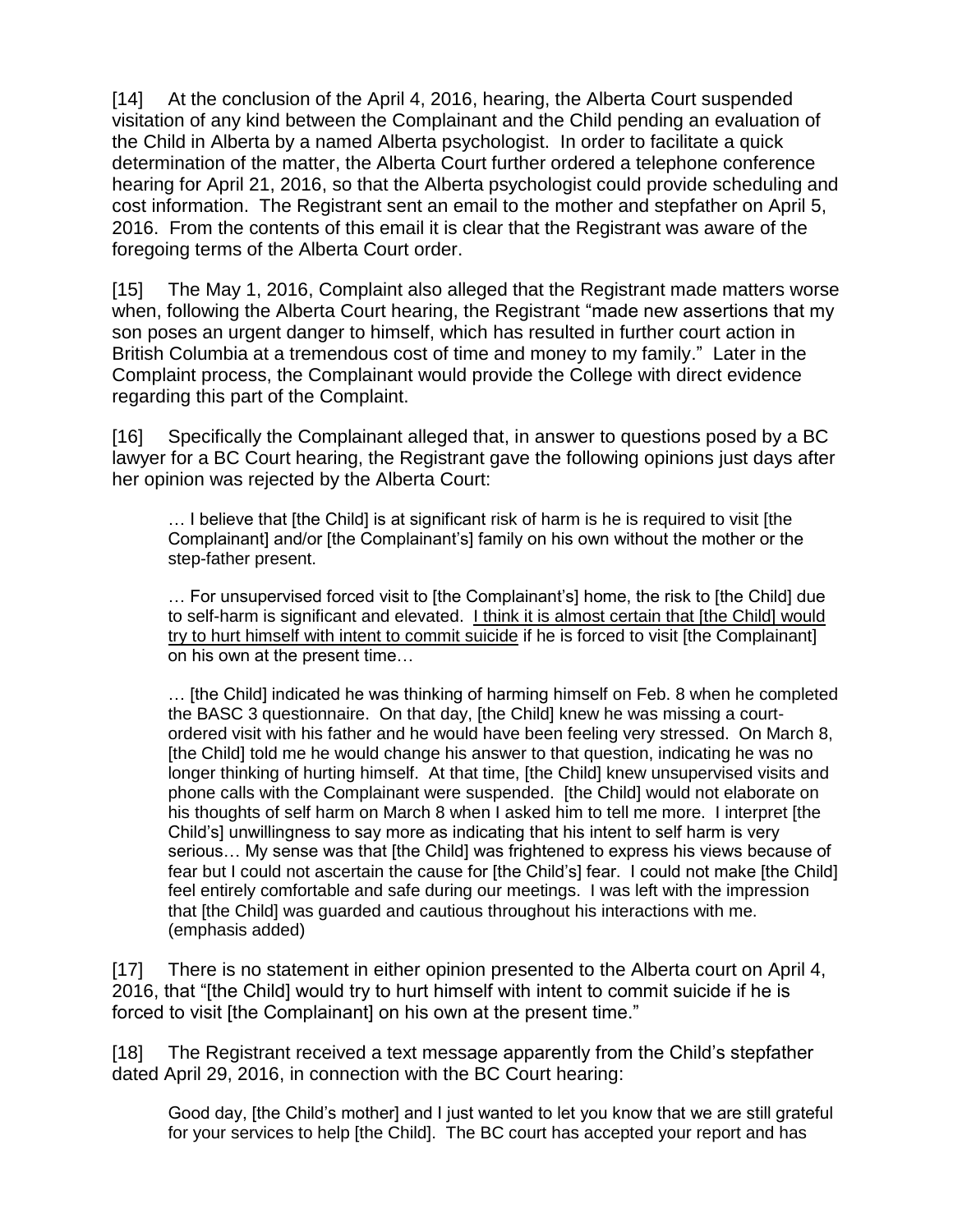[14] At the conclusion of the April 4, 2016, hearing, the Alberta Court suspended visitation of any kind between the Complainant and the Child pending an evaluation of the Child in Alberta by a named Alberta psychologist. In order to facilitate a quick determination of the matter, the Alberta Court further ordered a telephone conference hearing for April 21, 2016, so that the Alberta psychologist could provide scheduling and cost information. The Registrant sent an email to the mother and stepfather on April 5, 2016. From the contents of this email it is clear that the Registrant was aware of the foregoing terms of the Alberta Court order.

[15] The May 1, 2016, Complaint also alleged that the Registrant made matters worse when, following the Alberta Court hearing, the Registrant "made new assertions that my son poses an urgent danger to himself, which has resulted in further court action in British Columbia at a tremendous cost of time and money to my family." Later in the Complaint process, the Complainant would provide the College with direct evidence regarding this part of the Complaint.

[16] Specifically the Complainant alleged that, in answer to questions posed by a BC lawyer for a BC Court hearing, the Registrant gave the following opinions just days after her opinion was rejected by the Alberta Court:

… I believe that [the Child] is at significant risk of harm is he is required to visit [the Complainant] and/or [the Complainant's] family on his own without the mother or the step-father present.

… For unsupervised forced visit to [the Complainant's] home, the risk to [the Child] due to self-harm is significant and elevated. I think it is almost certain that [the Child] would try to hurt himself with intent to commit suicide if he is forced to visit [the Complainant] on his own at the present time…

… [the Child] indicated he was thinking of harming himself on Feb. 8 when he completed the BASC 3 questionnaire. On that day, [the Child] knew he was missing a courtordered visit with his father and he would have been feeling very stressed. On March 8, [the Child] told me he would change his answer to that question, indicating he was no longer thinking of hurting himself. At that time, [the Child] knew unsupervised visits and phone calls with the Complainant were suspended. [the Child] would not elaborate on his thoughts of self harm on March 8 when I asked him to tell me more. I interpret [the Child's] unwillingness to say more as indicating that his intent to self harm is very serious… My sense was that [the Child] was frightened to express his views because of fear but I could not ascertain the cause for [the Child's] fear. I could not make [the Child] feel entirely comfortable and safe during our meetings. I was left with the impression that [the Child] was guarded and cautious throughout his interactions with me. (emphasis added)

[17] There is no statement in either opinion presented to the Alberta court on April 4, 2016, that "[the Child] would try to hurt himself with intent to commit suicide if he is forced to visit [the Complainant] on his own at the present time."

[18] The Registrant received a text message apparently from the Child's stepfather dated April 29, 2016, in connection with the BC Court hearing:

Good day, [the Child's mother] and I just wanted to let you know that we are still grateful for your services to help [the Child]. The BC court has accepted your report and has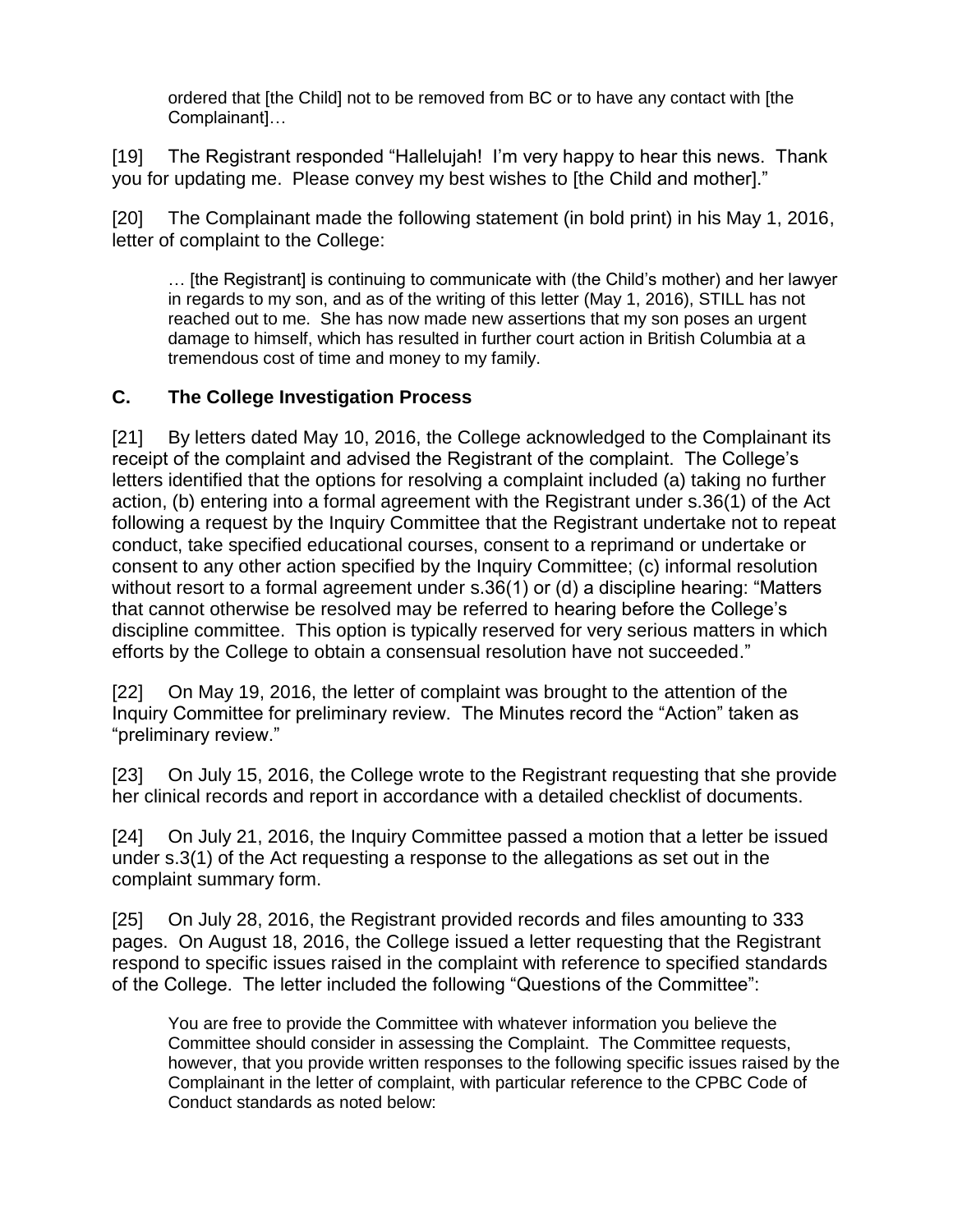ordered that [the Child] not to be removed from BC or to have any contact with [the Complainant]…

[19] The Registrant responded "Hallelujah! I'm very happy to hear this news. Thank you for updating me. Please convey my best wishes to [the Child and mother]."

[20] The Complainant made the following statement (in bold print) in his May 1, 2016, letter of complaint to the College:

… [the Registrant] is continuing to communicate with (the Child's mother) and her lawyer in regards to my son, and as of the writing of this letter (May 1, 2016), STILL has not reached out to me. She has now made new assertions that my son poses an urgent damage to himself, which has resulted in further court action in British Columbia at a tremendous cost of time and money to my family.

#### **C. The College Investigation Process**

[21] By letters dated May 10, 2016, the College acknowledged to the Complainant its receipt of the complaint and advised the Registrant of the complaint. The College's letters identified that the options for resolving a complaint included (a) taking no further action, (b) entering into a formal agreement with the Registrant under s.36(1) of the Act following a request by the Inquiry Committee that the Registrant undertake not to repeat conduct, take specified educational courses, consent to a reprimand or undertake or consent to any other action specified by the Inquiry Committee; (c) informal resolution without resort to a formal agreement under s.36(1) or (d) a discipline hearing: "Matters that cannot otherwise be resolved may be referred to hearing before the College's discipline committee. This option is typically reserved for very serious matters in which efforts by the College to obtain a consensual resolution have not succeeded."

[22] On May 19, 2016, the letter of complaint was brought to the attention of the Inquiry Committee for preliminary review. The Minutes record the "Action" taken as "preliminary review."

[23] On July 15, 2016, the College wrote to the Registrant requesting that she provide her clinical records and report in accordance with a detailed checklist of documents.

[24] On July 21, 2016, the Inquiry Committee passed a motion that a letter be issued under s.3(1) of the Act requesting a response to the allegations as set out in the complaint summary form.

[25] On July 28, 2016, the Registrant provided records and files amounting to 333 pages. On August 18, 2016, the College issued a letter requesting that the Registrant respond to specific issues raised in the complaint with reference to specified standards of the College. The letter included the following "Questions of the Committee":

You are free to provide the Committee with whatever information you believe the Committee should consider in assessing the Complaint. The Committee requests, however, that you provide written responses to the following specific issues raised by the Complainant in the letter of complaint, with particular reference to the CPBC Code of Conduct standards as noted below: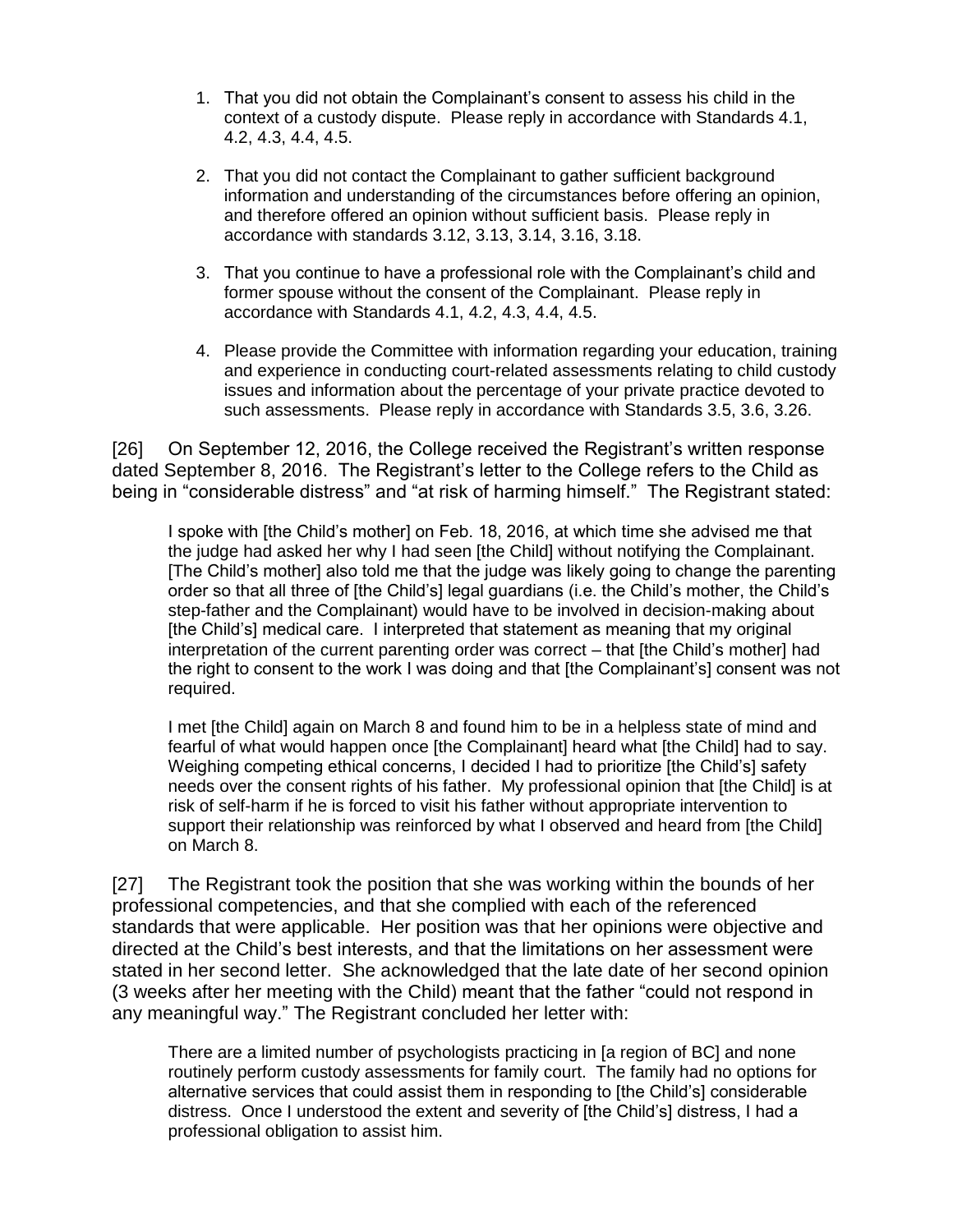- 1. That you did not obtain the Complainant's consent to assess his child in the context of a custody dispute. Please reply in accordance with Standards 4.1, 4.2, 4.3, 4.4, 4.5.
- 2. That you did not contact the Complainant to gather sufficient background information and understanding of the circumstances before offering an opinion, and therefore offered an opinion without sufficient basis. Please reply in accordance with standards 3.12, 3.13, 3.14, 3.16, 3.18.
- 3. That you continue to have a professional role with the Complainant's child and former spouse without the consent of the Complainant. Please reply in accordance with Standards 4.1, 4.2, 4.3, 4.4, 4.5.
- 4. Please provide the Committee with information regarding your education, training and experience in conducting court-related assessments relating to child custody issues and information about the percentage of your private practice devoted to such assessments. Please reply in accordance with Standards 3.5, 3.6, 3.26.

[26] On September 12, 2016, the College received the Registrant's written response dated September 8, 2016. The Registrant's letter to the College refers to the Child as being in "considerable distress" and "at risk of harming himself." The Registrant stated:

I spoke with [the Child's mother] on Feb. 18, 2016, at which time she advised me that the judge had asked her why I had seen [the Child] without notifying the Complainant. [The Child's mother] also told me that the judge was likely going to change the parenting order so that all three of [the Child's] legal guardians (i.e. the Child's mother, the Child's step-father and the Complainant) would have to be involved in decision-making about [the Child's] medical care. I interpreted that statement as meaning that my original interpretation of the current parenting order was correct – that [the Child's mother] had the right to consent to the work I was doing and that [the Complainant's] consent was not required.

I met [the Child] again on March 8 and found him to be in a helpless state of mind and fearful of what would happen once [the Complainant] heard what [the Child] had to say. Weighing competing ethical concerns, I decided I had to prioritize [the Child's] safety needs over the consent rights of his father. My professional opinion that [the Child] is at risk of self-harm if he is forced to visit his father without appropriate intervention to support their relationship was reinforced by what I observed and heard from [the Child] on March 8.

[27] The Registrant took the position that she was working within the bounds of her professional competencies, and that she complied with each of the referenced standards that were applicable. Her position was that her opinions were objective and directed at the Child's best interests, and that the limitations on her assessment were stated in her second letter. She acknowledged that the late date of her second opinion (3 weeks after her meeting with the Child) meant that the father "could not respond in any meaningful way." The Registrant concluded her letter with:

There are a limited number of psychologists practicing in [a region of BC] and none routinely perform custody assessments for family court. The family had no options for alternative services that could assist them in responding to [the Child's] considerable distress. Once I understood the extent and severity of [the Child's] distress, I had a professional obligation to assist him.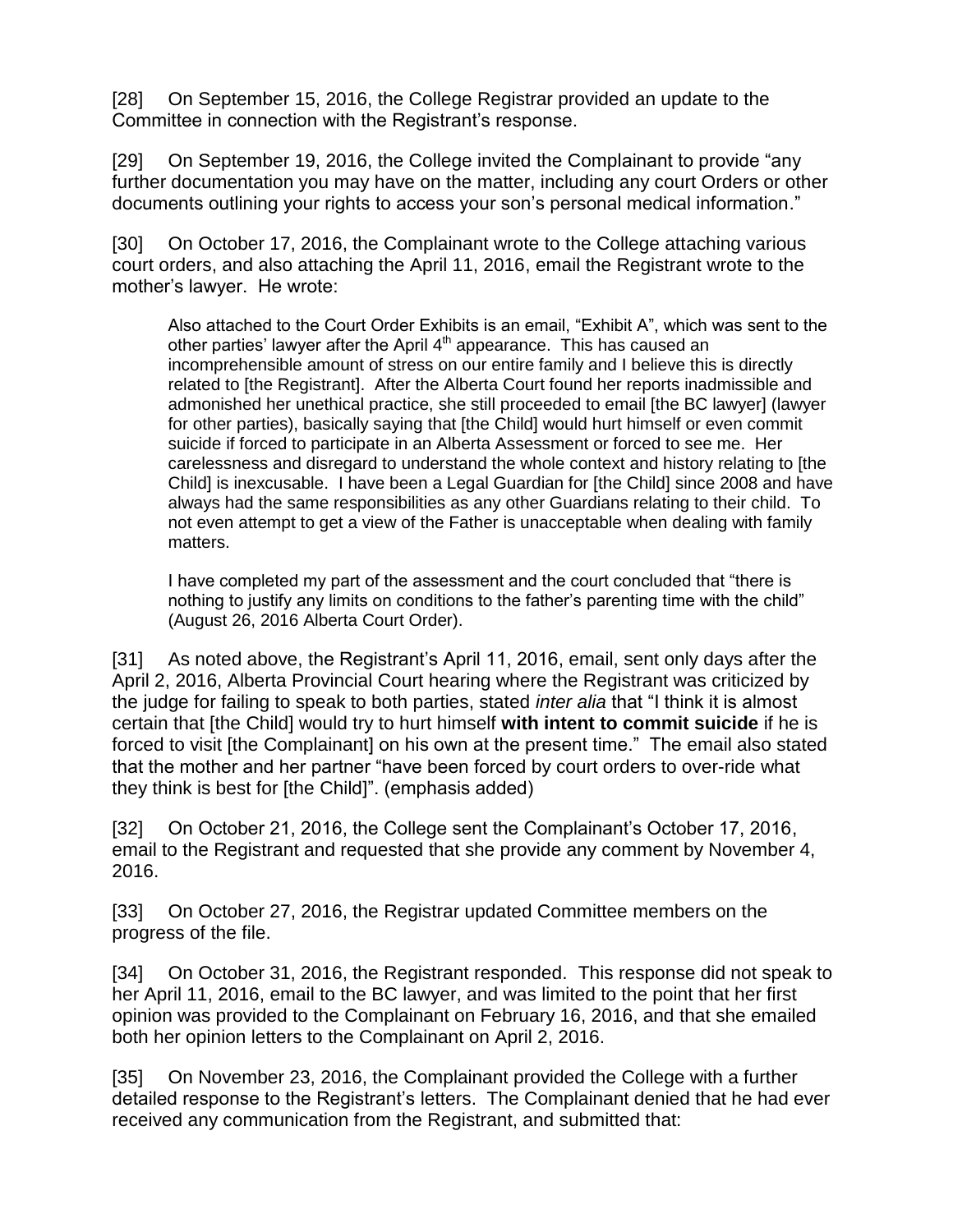[28] On September 15, 2016, the College Registrar provided an update to the Committee in connection with the Registrant's response.

[29] On September 19, 2016, the College invited the Complainant to provide "any further documentation you may have on the matter, including any court Orders or other documents outlining your rights to access your son's personal medical information."

[30] On October 17, 2016, the Complainant wrote to the College attaching various court orders, and also attaching the April 11, 2016, email the Registrant wrote to the mother's lawyer. He wrote:

Also attached to the Court Order Exhibits is an email, "Exhibit A", which was sent to the other parties' lawyer after the April  $4<sup>th</sup>$  appearance. This has caused an incomprehensible amount of stress on our entire family and I believe this is directly related to [the Registrant]. After the Alberta Court found her reports inadmissible and admonished her unethical practice, she still proceeded to email [the BC lawyer] (lawyer for other parties), basically saying that [the Child] would hurt himself or even commit suicide if forced to participate in an Alberta Assessment or forced to see me. Her carelessness and disregard to understand the whole context and history relating to [the Child] is inexcusable. I have been a Legal Guardian for [the Child] since 2008 and have always had the same responsibilities as any other Guardians relating to their child. To not even attempt to get a view of the Father is unacceptable when dealing with family matters.

I have completed my part of the assessment and the court concluded that "there is nothing to justify any limits on conditions to the father's parenting time with the child" (August 26, 2016 Alberta Court Order).

[31] As noted above, the Registrant's April 11, 2016, email, sent only days after the April 2, 2016, Alberta Provincial Court hearing where the Registrant was criticized by the judge for failing to speak to both parties, stated *inter alia* that "I think it is almost certain that [the Child] would try to hurt himself **with intent to commit suicide** if he is forced to visit [the Complainant] on his own at the present time." The email also stated that the mother and her partner "have been forced by court orders to over-ride what they think is best for [the Child]". (emphasis added)

[32] On October 21, 2016, the College sent the Complainant's October 17, 2016, email to the Registrant and requested that she provide any comment by November 4, 2016.

[33] On October 27, 2016, the Registrar updated Committee members on the progress of the file.

[34] On October 31, 2016, the Registrant responded. This response did not speak to her April 11, 2016, email to the BC lawyer, and was limited to the point that her first opinion was provided to the Complainant on February 16, 2016, and that she emailed both her opinion letters to the Complainant on April 2, 2016.

[35] On November 23, 2016, the Complainant provided the College with a further detailed response to the Registrant's letters. The Complainant denied that he had ever received any communication from the Registrant, and submitted that: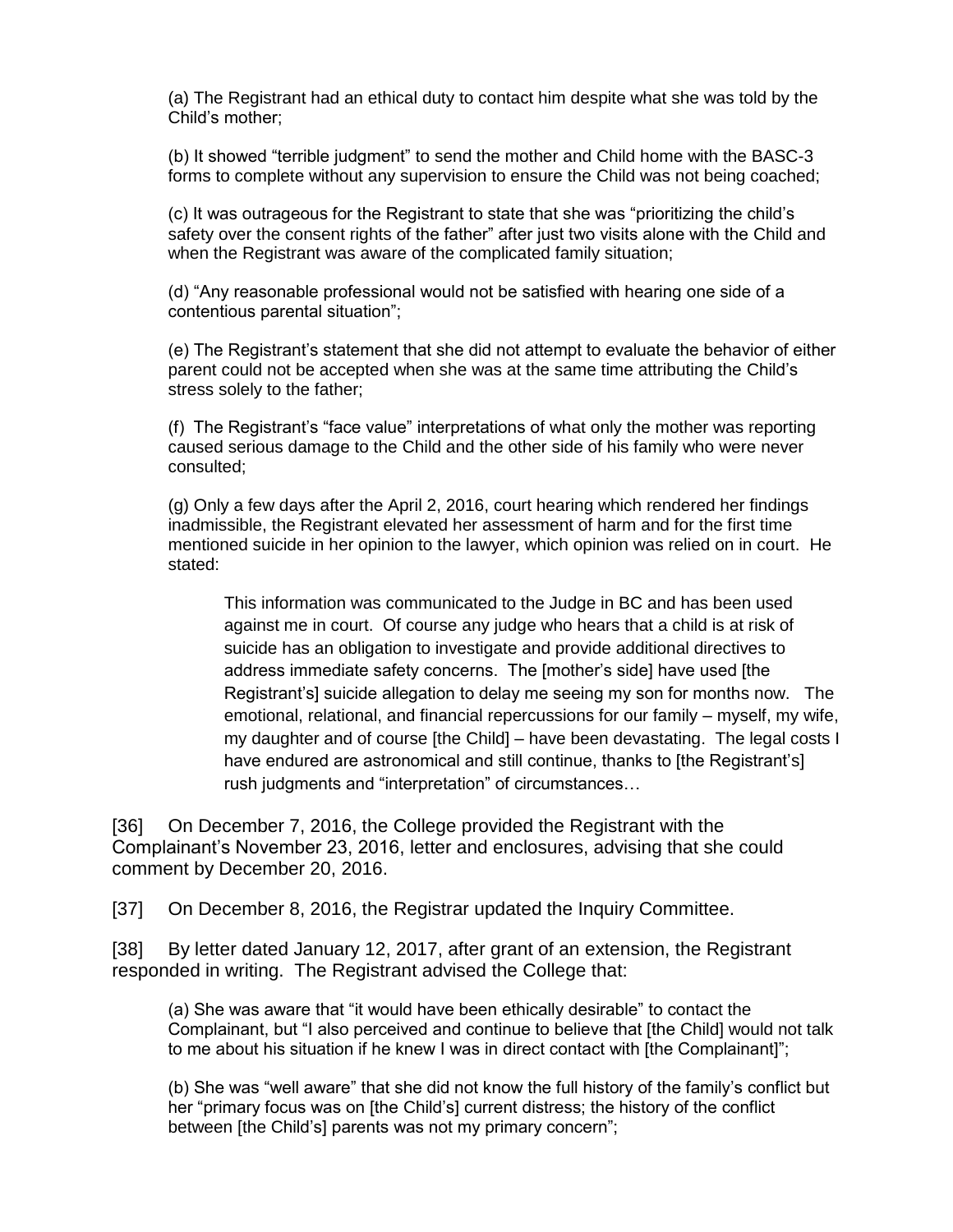(a) The Registrant had an ethical duty to contact him despite what she was told by the Child's mother;

(b) It showed "terrible judgment" to send the mother and Child home with the BASC-3 forms to complete without any supervision to ensure the Child was not being coached;

(c) It was outrageous for the Registrant to state that she was "prioritizing the child's safety over the consent rights of the father" after just two visits alone with the Child and when the Registrant was aware of the complicated family situation;

(d) "Any reasonable professional would not be satisfied with hearing one side of a contentious parental situation";

(e) The Registrant's statement that she did not attempt to evaluate the behavior of either parent could not be accepted when she was at the same time attributing the Child's stress solely to the father;

(f) The Registrant's "face value" interpretations of what only the mother was reporting caused serious damage to the Child and the other side of his family who were never consulted;

(g) Only a few days after the April 2, 2016, court hearing which rendered her findings inadmissible, the Registrant elevated her assessment of harm and for the first time mentioned suicide in her opinion to the lawyer, which opinion was relied on in court. He stated:

This information was communicated to the Judge in BC and has been used against me in court. Of course any judge who hears that a child is at risk of suicide has an obligation to investigate and provide additional directives to address immediate safety concerns. The [mother's side] have used [the Registrant's] suicide allegation to delay me seeing my son for months now. The emotional, relational, and financial repercussions for our family – myself, my wife, my daughter and of course [the Child] – have been devastating. The legal costs I have endured are astronomical and still continue, thanks to [the Registrant's] rush judgments and "interpretation" of circumstances…

[36] On December 7, 2016, the College provided the Registrant with the Complainant's November 23, 2016, letter and enclosures, advising that she could comment by December 20, 2016.

[37] On December 8, 2016, the Registrar updated the Inquiry Committee.

[38] By letter dated January 12, 2017, after grant of an extension, the Registrant responded in writing. The Registrant advised the College that:

(a) She was aware that "it would have been ethically desirable" to contact the Complainant, but "I also perceived and continue to believe that [the Child] would not talk to me about his situation if he knew I was in direct contact with [the Complainant]";

(b) She was "well aware" that she did not know the full history of the family's conflict but her "primary focus was on [the Child's] current distress; the history of the conflict between [the Child's] parents was not my primary concern";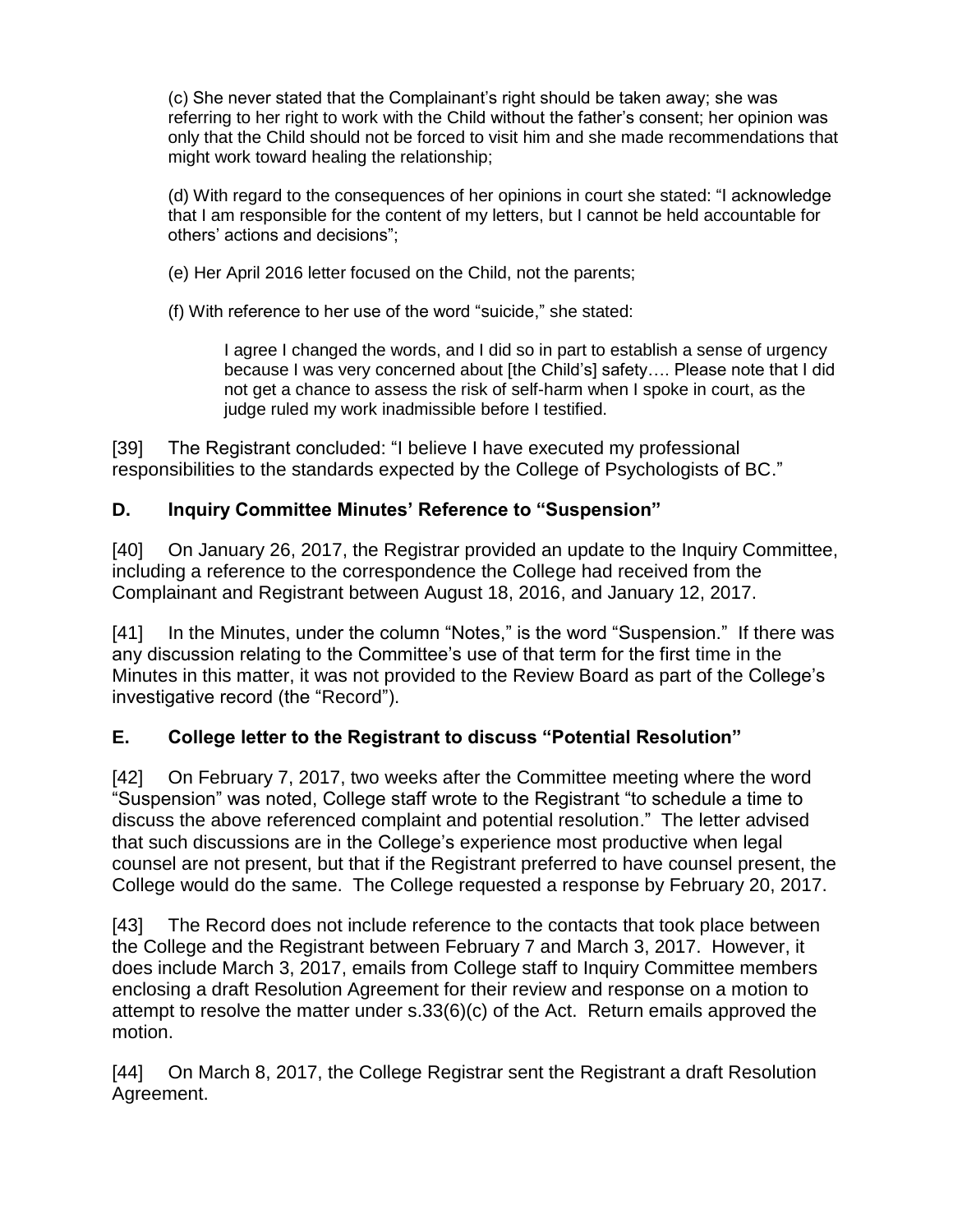(c) She never stated that the Complainant's right should be taken away; she was referring to her right to work with the Child without the father's consent; her opinion was only that the Child should not be forced to visit him and she made recommendations that might work toward healing the relationship;

(d) With regard to the consequences of her opinions in court she stated: "I acknowledge that I am responsible for the content of my letters, but I cannot be held accountable for others' actions and decisions";

(e) Her April 2016 letter focused on the Child, not the parents;

(f) With reference to her use of the word "suicide," she stated:

I agree I changed the words, and I did so in part to establish a sense of urgency because I was very concerned about [the Child's] safety…. Please note that I did not get a chance to assess the risk of self-harm when I spoke in court, as the judge ruled my work inadmissible before I testified.

[39] The Registrant concluded: "I believe I have executed my professional responsibilities to the standards expected by the College of Psychologists of BC."

# **D. Inquiry Committee Minutes' Reference to "Suspension"**

[40] On January 26, 2017, the Registrar provided an update to the Inquiry Committee, including a reference to the correspondence the College had received from the Complainant and Registrant between August 18, 2016, and January 12, 2017.

[41] In the Minutes, under the column "Notes," is the word "Suspension." If there was any discussion relating to the Committee's use of that term for the first time in the Minutes in this matter, it was not provided to the Review Board as part of the College's investigative record (the "Record").

# **E. College letter to the Registrant to discuss "Potential Resolution"**

[42] On February 7, 2017, two weeks after the Committee meeting where the word "Suspension" was noted, College staff wrote to the Registrant "to schedule a time to discuss the above referenced complaint and potential resolution." The letter advised that such discussions are in the College's experience most productive when legal counsel are not present, but that if the Registrant preferred to have counsel present, the College would do the same. The College requested a response by February 20, 2017.

[43] The Record does not include reference to the contacts that took place between the College and the Registrant between February 7 and March 3, 2017. However, it does include March 3, 2017, emails from College staff to Inquiry Committee members enclosing a draft Resolution Agreement for their review and response on a motion to attempt to resolve the matter under s.33(6)(c) of the Act. Return emails approved the motion.

[44] On March 8, 2017, the College Registrar sent the Registrant a draft Resolution Agreement.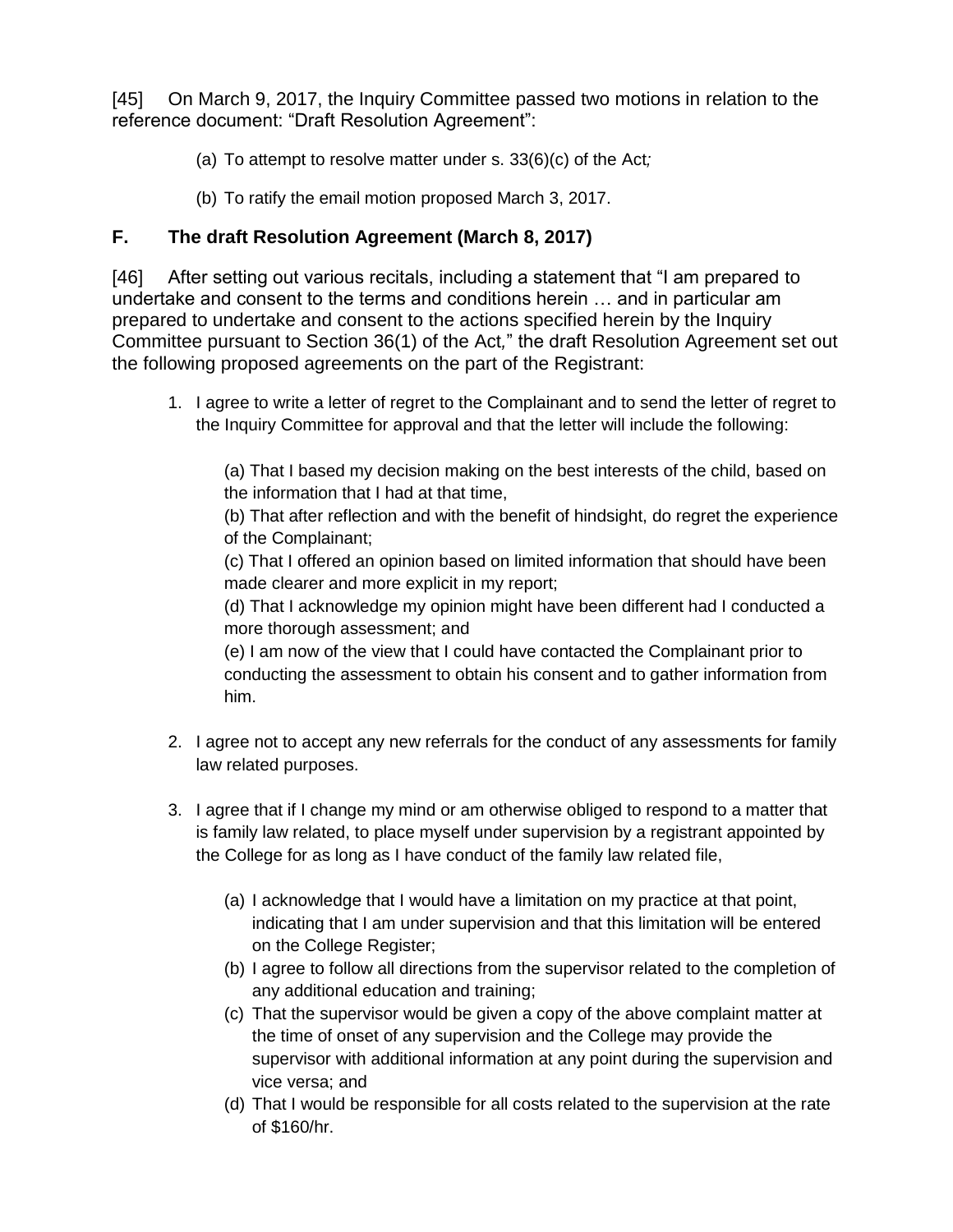[45] On March 9, 2017, the Inquiry Committee passed two motions in relation to the reference document: "Draft Resolution Agreement":

- (a) To attempt to resolve matter under s. 33(6)(c) of the Act*;*
- (b) To ratify the email motion proposed March 3, 2017.

# **F. The draft Resolution Agreement (March 8, 2017)**

[46] After setting out various recitals, including a statement that "I am prepared to undertake and consent to the terms and conditions herein … and in particular am prepared to undertake and consent to the actions specified herein by the Inquiry Committee pursuant to Section 36(1) of the Act*,*" the draft Resolution Agreement set out the following proposed agreements on the part of the Registrant:

1. I agree to write a letter of regret to the Complainant and to send the letter of regret to the Inquiry Committee for approval and that the letter will include the following:

(a) That I based my decision making on the best interests of the child, based on the information that I had at that time,

(b) That after reflection and with the benefit of hindsight, do regret the experience of the Complainant;

(c) That I offered an opinion based on limited information that should have been made clearer and more explicit in my report;

(d) That I acknowledge my opinion might have been different had I conducted a more thorough assessment; and

(e) I am now of the view that I could have contacted the Complainant prior to conducting the assessment to obtain his consent and to gather information from him.

- 2. I agree not to accept any new referrals for the conduct of any assessments for family law related purposes.
- 3. I agree that if I change my mind or am otherwise obliged to respond to a matter that is family law related, to place myself under supervision by a registrant appointed by the College for as long as I have conduct of the family law related file,
	- (a) I acknowledge that I would have a limitation on my practice at that point, indicating that I am under supervision and that this limitation will be entered on the College Register;
	- (b) I agree to follow all directions from the supervisor related to the completion of any additional education and training;
	- (c) That the supervisor would be given a copy of the above complaint matter at the time of onset of any supervision and the College may provide the supervisor with additional information at any point during the supervision and vice versa; and
	- (d) That I would be responsible for all costs related to the supervision at the rate of \$160/hr.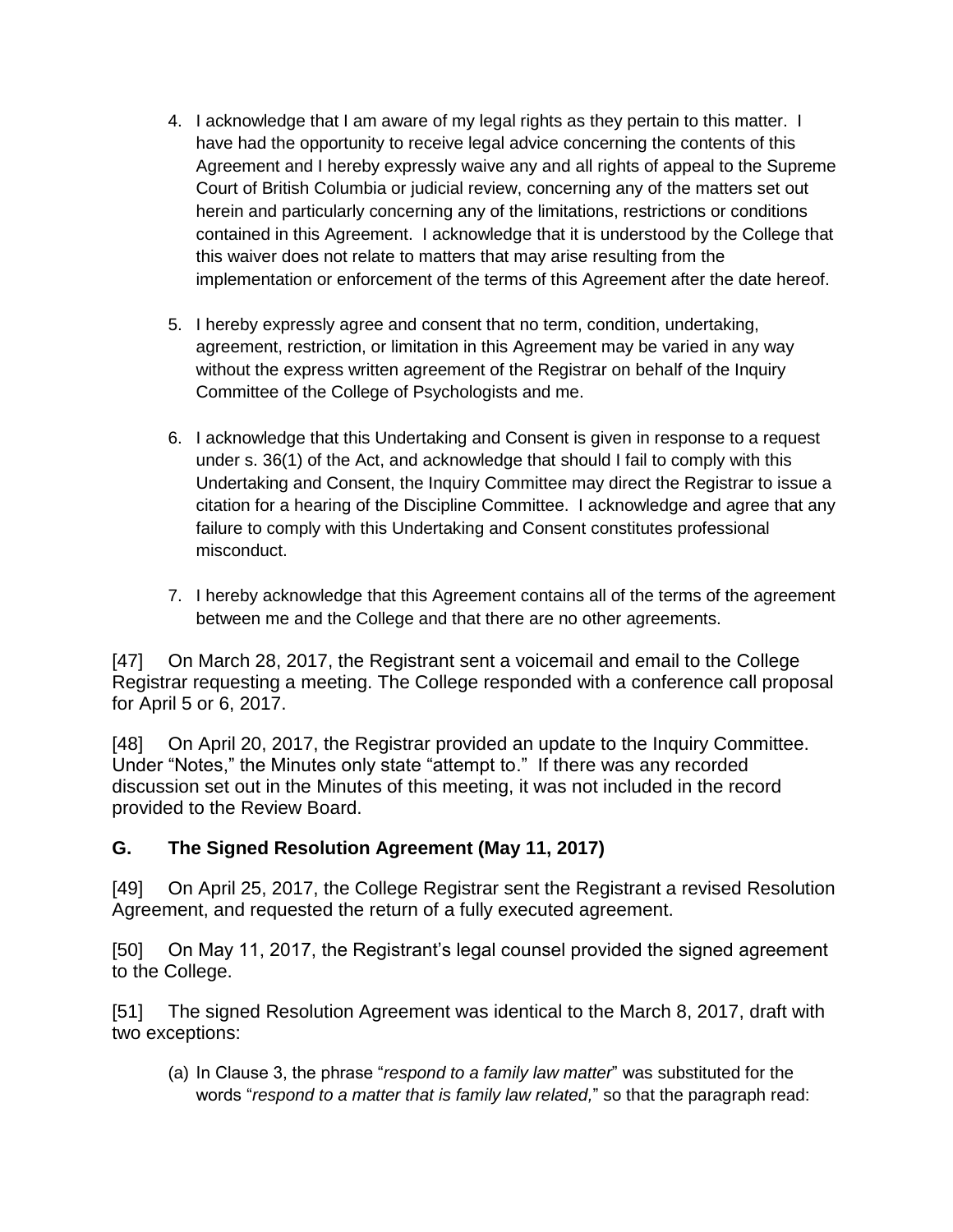- 4. I acknowledge that I am aware of my legal rights as they pertain to this matter. I have had the opportunity to receive legal advice concerning the contents of this Agreement and I hereby expressly waive any and all rights of appeal to the Supreme Court of British Columbia or judicial review, concerning any of the matters set out herein and particularly concerning any of the limitations, restrictions or conditions contained in this Agreement. I acknowledge that it is understood by the College that this waiver does not relate to matters that may arise resulting from the implementation or enforcement of the terms of this Agreement after the date hereof.
- 5. I hereby expressly agree and consent that no term, condition, undertaking, agreement, restriction, or limitation in this Agreement may be varied in any way without the express written agreement of the Registrar on behalf of the Inquiry Committee of the College of Psychologists and me.
- 6. I acknowledge that this Undertaking and Consent is given in response to a request under s. 36(1) of the Act, and acknowledge that should I fail to comply with this Undertaking and Consent, the Inquiry Committee may direct the Registrar to issue a citation for a hearing of the Discipline Committee. I acknowledge and agree that any failure to comply with this Undertaking and Consent constitutes professional misconduct.
- 7. I hereby acknowledge that this Agreement contains all of the terms of the agreement between me and the College and that there are no other agreements.

[47] On March 28, 2017, the Registrant sent a voicemail and email to the College Registrar requesting a meeting. The College responded with a conference call proposal for April 5 or 6, 2017.

[48] On April 20, 2017, the Registrar provided an update to the Inquiry Committee. Under "Notes," the Minutes only state "attempt to." If there was any recorded discussion set out in the Minutes of this meeting, it was not included in the record provided to the Review Board.

### **G. The Signed Resolution Agreement (May 11, 2017)**

[49] On April 25, 2017, the College Registrar sent the Registrant a revised Resolution Agreement, and requested the return of a fully executed agreement.

[50] On May 11, 2017, the Registrant's legal counsel provided the signed agreement to the College.

[51] The signed Resolution Agreement was identical to the March 8, 2017, draft with two exceptions:

(a) In Clause 3, the phrase "*respond to a family law matter*" was substituted for the words "*respond to a matter that is family law related,*" so that the paragraph read: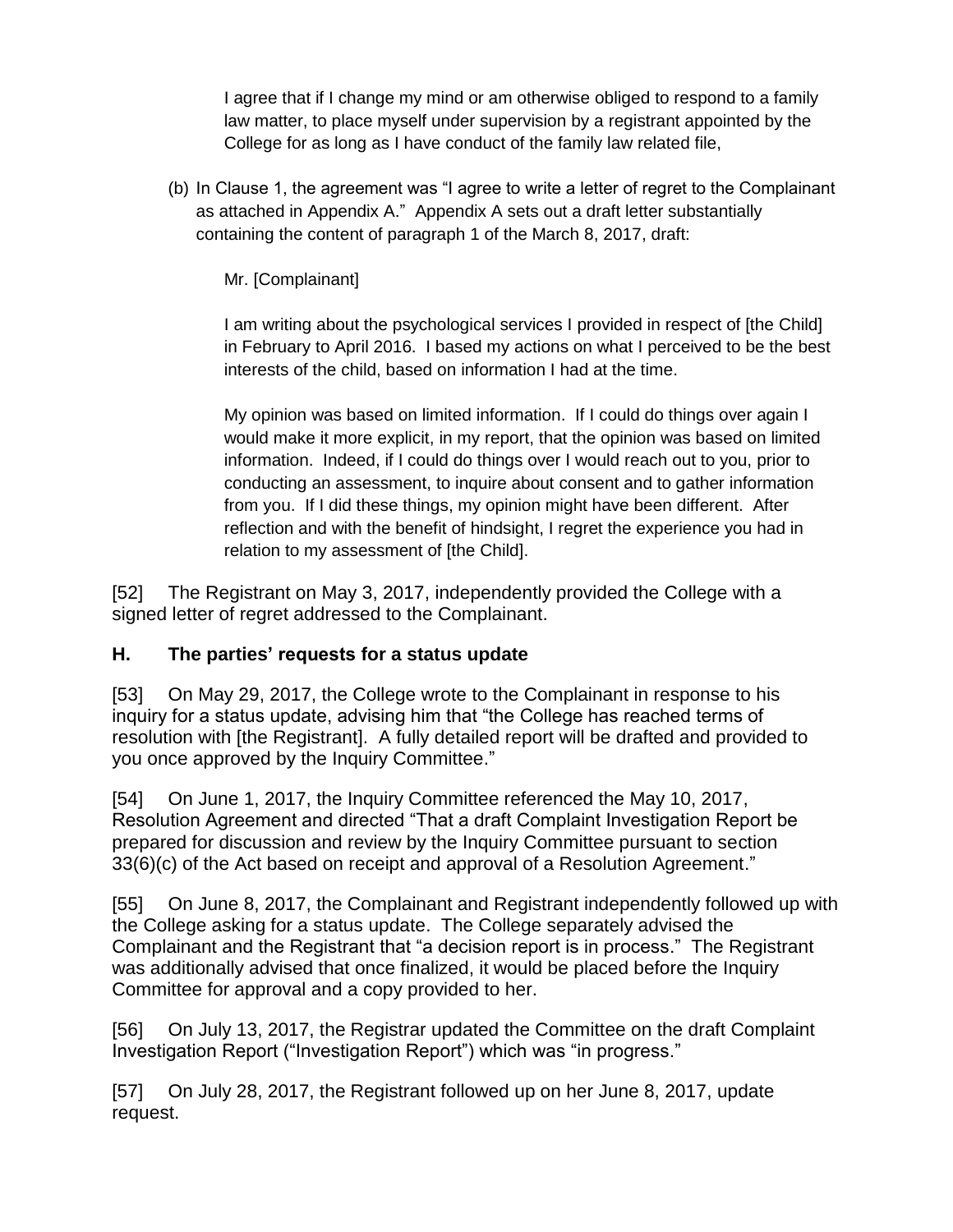I agree that if I change my mind or am otherwise obliged to respond to a family law matter, to place myself under supervision by a registrant appointed by the College for as long as I have conduct of the family law related file,

(b) In Clause 1, the agreement was "I agree to write a letter of regret to the Complainant as attached in Appendix A." Appendix A sets out a draft letter substantially containing the content of paragraph 1 of the March 8, 2017, draft:

Mr. [Complainant]

I am writing about the psychological services I provided in respect of [the Child] in February to April 2016. I based my actions on what I perceived to be the best interests of the child, based on information I had at the time.

My opinion was based on limited information. If I could do things over again I would make it more explicit, in my report, that the opinion was based on limited information. Indeed, if I could do things over I would reach out to you, prior to conducting an assessment, to inquire about consent and to gather information from you. If I did these things, my opinion might have been different. After reflection and with the benefit of hindsight, I regret the experience you had in relation to my assessment of [the Child].

[52] The Registrant on May 3, 2017, independently provided the College with a signed letter of regret addressed to the Complainant.

### **H. The parties' requests for a status update**

[53] On May 29, 2017, the College wrote to the Complainant in response to his inquiry for a status update, advising him that "the College has reached terms of resolution with [the Registrant]. A fully detailed report will be drafted and provided to you once approved by the Inquiry Committee."

[54] On June 1, 2017, the Inquiry Committee referenced the May 10, 2017, Resolution Agreement and directed "That a draft Complaint Investigation Report be prepared for discussion and review by the Inquiry Committee pursuant to section 33(6)(c) of the Act based on receipt and approval of a Resolution Agreement."

[55] On June 8, 2017, the Complainant and Registrant independently followed up with the College asking for a status update. The College separately advised the Complainant and the Registrant that "a decision report is in process." The Registrant was additionally advised that once finalized, it would be placed before the Inquiry Committee for approval and a copy provided to her.

[56] On July 13, 2017, the Registrar updated the Committee on the draft Complaint Investigation Report ("Investigation Report") which was "in progress."

[57] On July 28, 2017, the Registrant followed up on her June 8, 2017, update request.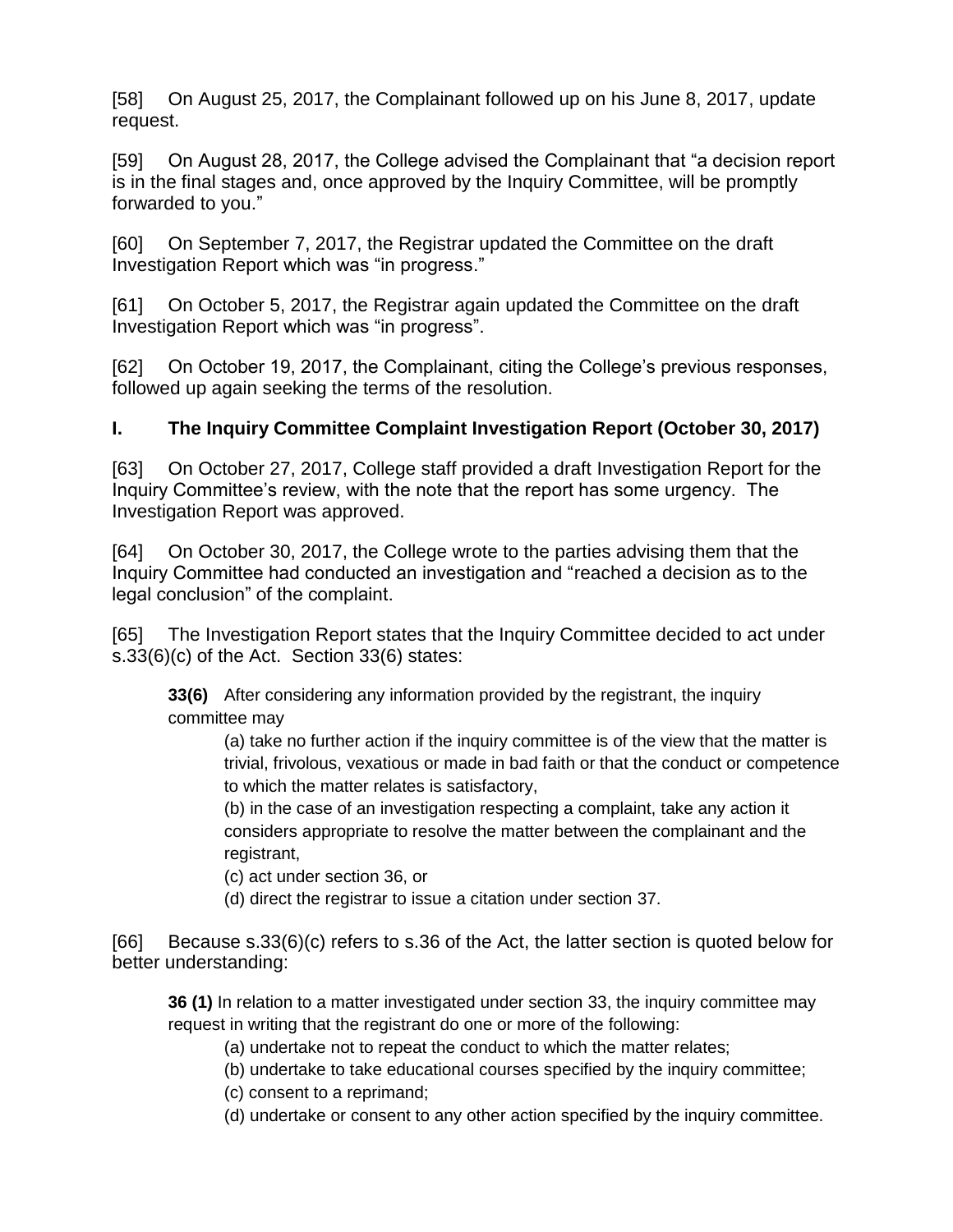[58] On August 25, 2017, the Complainant followed up on his June 8, 2017, update request.

[59] On August 28, 2017, the College advised the Complainant that "a decision report is in the final stages and, once approved by the Inquiry Committee, will be promptly forwarded to you."

[60] On September 7, 2017, the Registrar updated the Committee on the draft Investigation Report which was "in progress."

[61] On October 5, 2017, the Registrar again updated the Committee on the draft Investigation Report which was "in progress".

[62] On October 19, 2017, the Complainant, citing the College's previous responses, followed up again seeking the terms of the resolution.

# **I. The Inquiry Committee Complaint Investigation Report (October 30, 2017)**

[63] On October 27, 2017, College staff provided a draft Investigation Report for the Inquiry Committee's review, with the note that the report has some urgency. The Investigation Report was approved.

[64] On October 30, 2017, the College wrote to the parties advising them that the Inquiry Committee had conducted an investigation and "reached a decision as to the legal conclusion" of the complaint.

[65] The Investigation Report states that the Inquiry Committee decided to act under s.33(6)(c) of the Act. Section 33(6) states:

**33(6)** After considering any information provided by the registrant, the inquiry committee may

(a) take no further action if the inquiry committee is of the view that the matter is trivial, frivolous, vexatious or made in bad faith or that the conduct or competence to which the matter relates is satisfactory,

(b) in the case of an investigation respecting a complaint, take any action it considers appropriate to resolve the matter between the complainant and the registrant,

(c) act under section 36, or

(d) direct the registrar to issue a citation under section 37.

[66] Because s.33(6)(c) refers to s.36 of the Act, the latter section is quoted below for better understanding:

**36 (1)** In relation to a matter investigated under section 33, the inquiry committee may request in writing that the registrant do one or more of the following:

(a) undertake not to repeat the conduct to which the matter relates;

(b) undertake to take educational courses specified by the inquiry committee;

(c) consent to a reprimand;

(d) undertake or consent to any other action specified by the inquiry committee.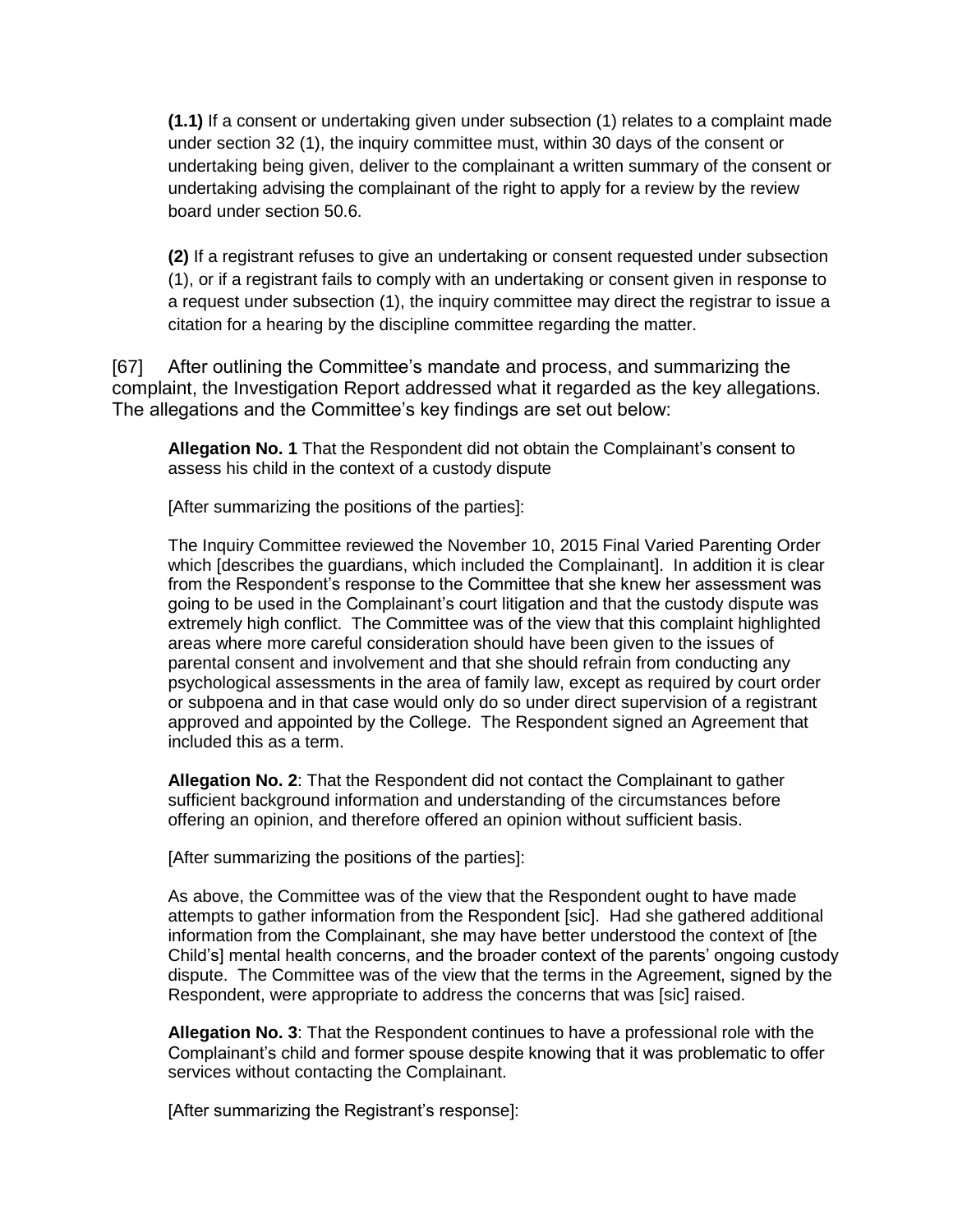**(1.1)** If a consent or undertaking given under subsection (1) relates to a complaint made under section 32 (1), the inquiry committee must, within 30 days of the consent or undertaking being given, deliver to the complainant a written summary of the consent or undertaking advising the complainant of the right to apply for a review by the review board under section 50.6.

**(2)** If a registrant refuses to give an undertaking or consent requested under subsection (1), or if a registrant fails to comply with an undertaking or consent given in response to a request under subsection (1), the inquiry committee may direct the registrar to issue a citation for a hearing by the discipline committee regarding the matter.

[67] After outlining the Committee's mandate and process, and summarizing the complaint, the Investigation Report addressed what it regarded as the key allegations. The allegations and the Committee's key findings are set out below:

**Allegation No. 1** That the Respondent did not obtain the Complainant's consent to assess his child in the context of a custody dispute

[After summarizing the positions of the parties]:

The Inquiry Committee reviewed the November 10, 2015 Final Varied Parenting Order which [describes the guardians, which included the Complainant]. In addition it is clear from the Respondent's response to the Committee that she knew her assessment was going to be used in the Complainant's court litigation and that the custody dispute was extremely high conflict. The Committee was of the view that this complaint highlighted areas where more careful consideration should have been given to the issues of parental consent and involvement and that she should refrain from conducting any psychological assessments in the area of family law, except as required by court order or subpoena and in that case would only do so under direct supervision of a registrant approved and appointed by the College. The Respondent signed an Agreement that included this as a term.

**Allegation No. 2**: That the Respondent did not contact the Complainant to gather sufficient background information and understanding of the circumstances before offering an opinion, and therefore offered an opinion without sufficient basis.

[After summarizing the positions of the parties]:

As above, the Committee was of the view that the Respondent ought to have made attempts to gather information from the Respondent [sic]. Had she gathered additional information from the Complainant, she may have better understood the context of [the Child's] mental health concerns, and the broader context of the parents' ongoing custody dispute. The Committee was of the view that the terms in the Agreement, signed by the Respondent, were appropriate to address the concerns that was [sic] raised.

**Allegation No. 3**: That the Respondent continues to have a professional role with the Complainant's child and former spouse despite knowing that it was problematic to offer services without contacting the Complainant.

[After summarizing the Registrant's response]: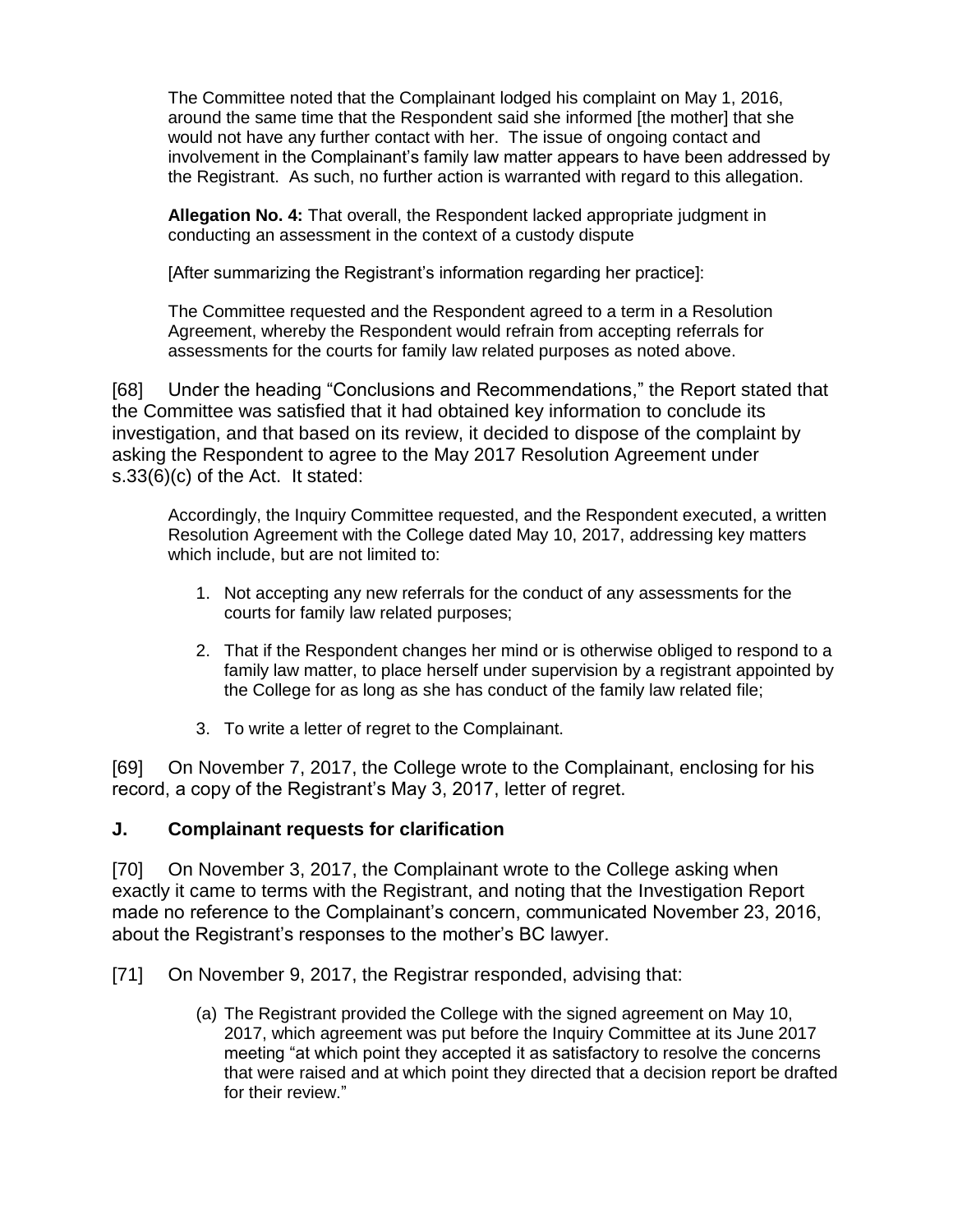The Committee noted that the Complainant lodged his complaint on May 1, 2016, around the same time that the Respondent said she informed [the mother] that she would not have any further contact with her. The issue of ongoing contact and involvement in the Complainant's family law matter appears to have been addressed by the Registrant. As such, no further action is warranted with regard to this allegation.

**Allegation No. 4:** That overall, the Respondent lacked appropriate judgment in conducting an assessment in the context of a custody dispute

[After summarizing the Registrant's information regarding her practice]:

The Committee requested and the Respondent agreed to a term in a Resolution Agreement, whereby the Respondent would refrain from accepting referrals for assessments for the courts for family law related purposes as noted above.

[68] Under the heading "Conclusions and Recommendations," the Report stated that the Committee was satisfied that it had obtained key information to conclude its investigation, and that based on its review, it decided to dispose of the complaint by asking the Respondent to agree to the May 2017 Resolution Agreement under s.33(6)(c) of the Act. It stated:

Accordingly, the Inquiry Committee requested, and the Respondent executed, a written Resolution Agreement with the College dated May 10, 2017, addressing key matters which include, but are not limited to:

- 1. Not accepting any new referrals for the conduct of any assessments for the courts for family law related purposes;
- 2. That if the Respondent changes her mind or is otherwise obliged to respond to a family law matter, to place herself under supervision by a registrant appointed by the College for as long as she has conduct of the family law related file;
- 3. To write a letter of regret to the Complainant.

[69] On November 7, 2017, the College wrote to the Complainant, enclosing for his record, a copy of the Registrant's May 3, 2017, letter of regret.

#### **J. Complainant requests for clarification**

[70] On November 3, 2017, the Complainant wrote to the College asking when exactly it came to terms with the Registrant, and noting that the Investigation Report made no reference to the Complainant's concern, communicated November 23, 2016, about the Registrant's responses to the mother's BC lawyer.

[71] On November 9, 2017, the Registrar responded, advising that:

(a) The Registrant provided the College with the signed agreement on May 10, 2017, which agreement was put before the Inquiry Committee at its June 2017 meeting "at which point they accepted it as satisfactory to resolve the concerns that were raised and at which point they directed that a decision report be drafted for their review."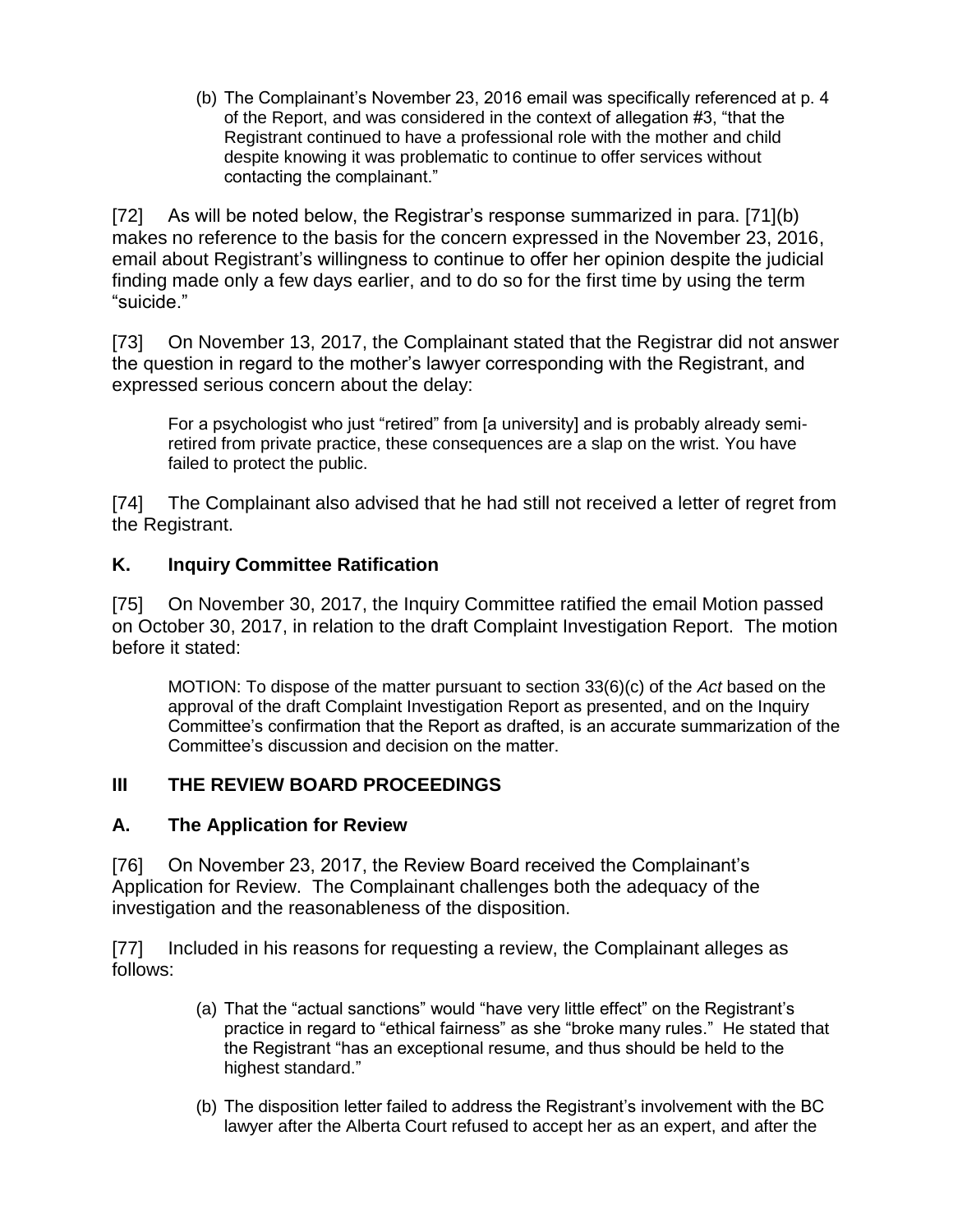(b) The Complainant's November 23, 2016 email was specifically referenced at p. 4 of the Report, and was considered in the context of allegation #3, "that the Registrant continued to have a professional role with the mother and child despite knowing it was problematic to continue to offer services without contacting the complainant."

[72] As will be noted below, the Registrar's response summarized in para. [71](b) makes no reference to the basis for the concern expressed in the November 23, 2016, email about Registrant's willingness to continue to offer her opinion despite the judicial finding made only a few days earlier, and to do so for the first time by using the term "suicide."

[73] On November 13, 2017, the Complainant stated that the Registrar did not answer the question in regard to the mother's lawyer corresponding with the Registrant, and expressed serious concern about the delay:

For a psychologist who just "retired" from [a university] and is probably already semiretired from private practice, these consequences are a slap on the wrist. You have failed to protect the public.

[74] The Complainant also advised that he had still not received a letter of regret from the Registrant.

#### **K. Inquiry Committee Ratification**

[75] On November 30, 2017, the Inquiry Committee ratified the email Motion passed on October 30, 2017, in relation to the draft Complaint Investigation Report. The motion before it stated:

MOTION: To dispose of the matter pursuant to section 33(6)(c) of the *Act* based on the approval of the draft Complaint Investigation Report as presented, and on the Inquiry Committee's confirmation that the Report as drafted, is an accurate summarization of the Committee's discussion and decision on the matter.

#### **III THE REVIEW BOARD PROCEEDINGS**

#### **A. The Application for Review**

[76] On November 23, 2017, the Review Board received the Complainant's Application for Review. The Complainant challenges both the adequacy of the investigation and the reasonableness of the disposition.

[77] Included in his reasons for requesting a review, the Complainant alleges as follows:

- (a) That the "actual sanctions" would "have very little effect" on the Registrant's practice in regard to "ethical fairness" as she "broke many rules." He stated that the Registrant "has an exceptional resume, and thus should be held to the highest standard."
- (b) The disposition letter failed to address the Registrant's involvement with the BC lawyer after the Alberta Court refused to accept her as an expert, and after the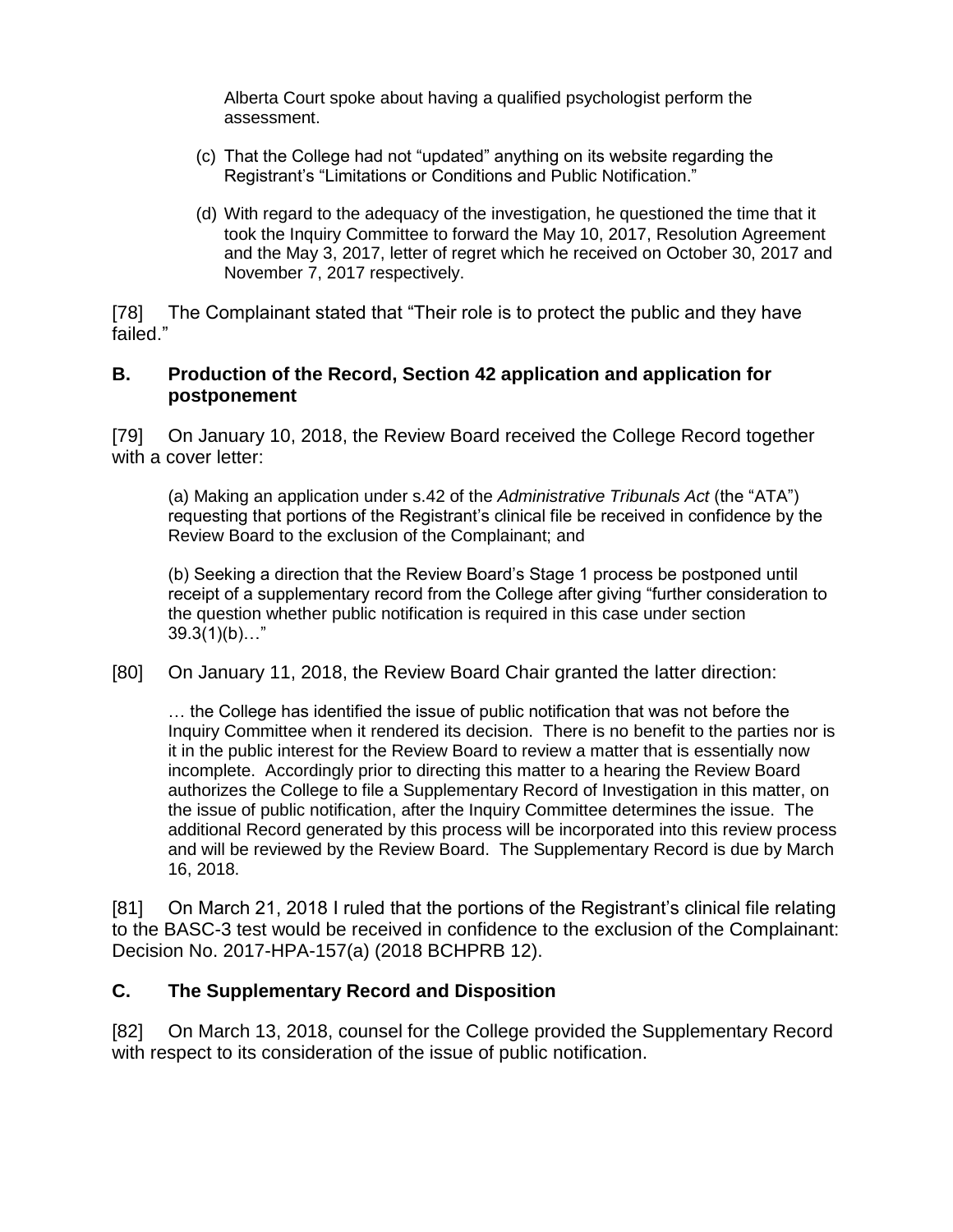Alberta Court spoke about having a qualified psychologist perform the assessment.

- (c) That the College had not "updated" anything on its website regarding the Registrant's "Limitations or Conditions and Public Notification."
- (d) With regard to the adequacy of the investigation, he questioned the time that it took the Inquiry Committee to forward the May 10, 2017, Resolution Agreement and the May 3, 2017, letter of regret which he received on October 30, 2017 and November 7, 2017 respectively.

[78] The Complainant stated that "Their role is to protect the public and they have failed."

#### **B. Production of the Record, Section 42 application and application for postponement**

[79] On January 10, 2018, the Review Board received the College Record together with a cover letter:

(a) Making an application under s.42 of the *Administrative Tribunals Act* (the "ATA") requesting that portions of the Registrant's clinical file be received in confidence by the Review Board to the exclusion of the Complainant; and

(b) Seeking a direction that the Review Board's Stage 1 process be postponed until receipt of a supplementary record from the College after giving "further consideration to the question whether public notification is required in this case under section  $39.3(1)(b)..."$ 

[80] On January 11, 2018, the Review Board Chair granted the latter direction:

… the College has identified the issue of public notification that was not before the Inquiry Committee when it rendered its decision. There is no benefit to the parties nor is it in the public interest for the Review Board to review a matter that is essentially now incomplete. Accordingly prior to directing this matter to a hearing the Review Board authorizes the College to file a Supplementary Record of Investigation in this matter, on the issue of public notification, after the Inquiry Committee determines the issue. The additional Record generated by this process will be incorporated into this review process and will be reviewed by the Review Board. The Supplementary Record is due by March 16, 2018.

[81] On March 21, 2018 I ruled that the portions of the Registrant's clinical file relating to the BASC-3 test would be received in confidence to the exclusion of the Complainant: Decision No. 2017-HPA-157(a) (2018 BCHPRB 12).

### **C. The Supplementary Record and Disposition**

[82] On March 13, 2018, counsel for the College provided the Supplementary Record with respect to its consideration of the issue of public notification.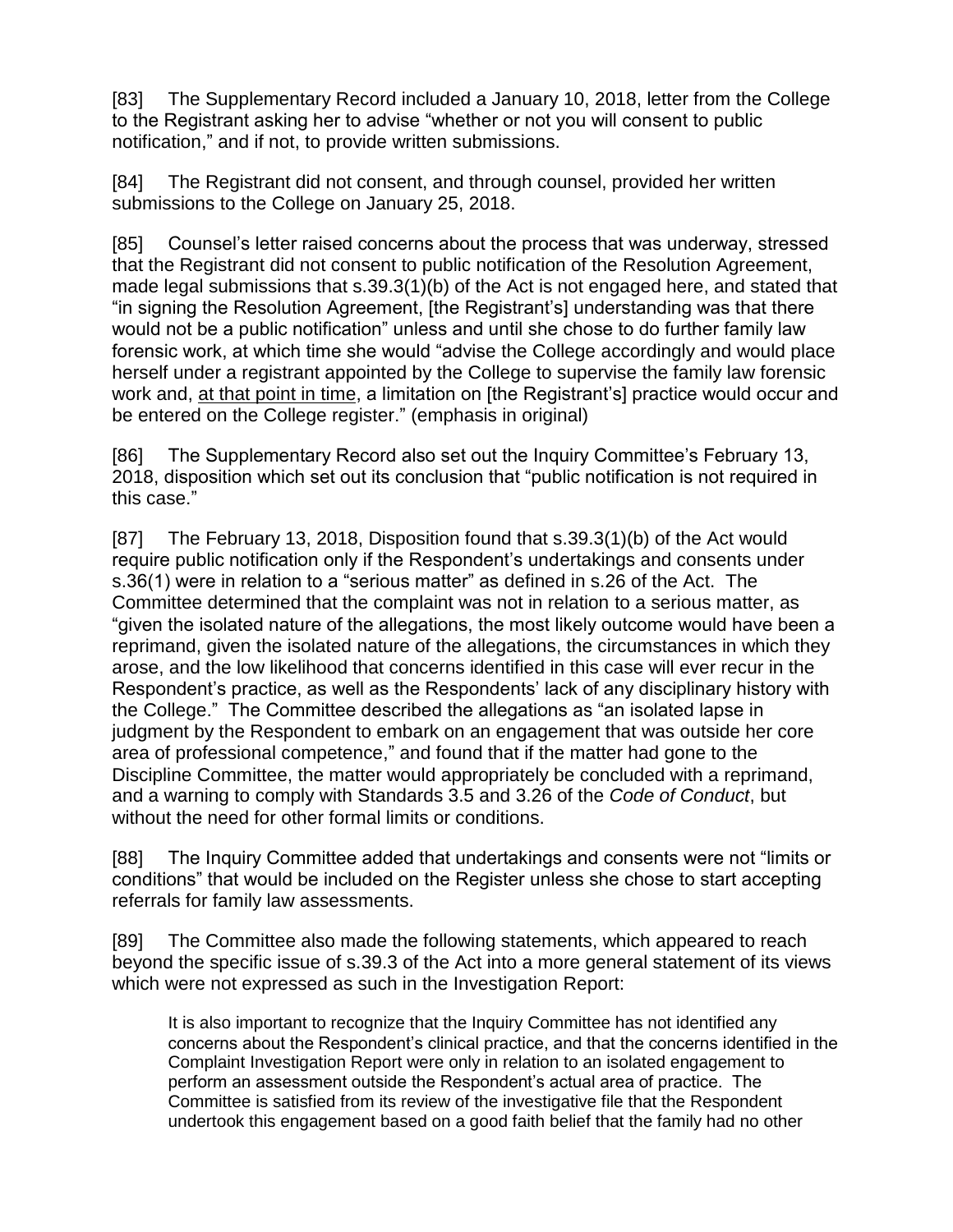[83] The Supplementary Record included a January 10, 2018, letter from the College to the Registrant asking her to advise "whether or not you will consent to public notification," and if not, to provide written submissions.

[84] The Registrant did not consent, and through counsel, provided her written submissions to the College on January 25, 2018.

[85] Counsel's letter raised concerns about the process that was underway, stressed that the Registrant did not consent to public notification of the Resolution Agreement, made legal submissions that s.39.3(1)(b) of the Act is not engaged here, and stated that "in signing the Resolution Agreement, [the Registrant's] understanding was that there would not be a public notification" unless and until she chose to do further family law forensic work, at which time she would "advise the College accordingly and would place herself under a registrant appointed by the College to supervise the family law forensic work and, at that point in time, a limitation on [the Registrant's] practice would occur and be entered on the College register." (emphasis in original)

[86] The Supplementary Record also set out the Inquiry Committee's February 13, 2018, disposition which set out its conclusion that "public notification is not required in this case."

[87] The February 13, 2018, Disposition found that s.39.3(1)(b) of the Act would require public notification only if the Respondent's undertakings and consents under s.36(1) were in relation to a "serious matter" as defined in s.26 of the Act. The Committee determined that the complaint was not in relation to a serious matter, as "given the isolated nature of the allegations, the most likely outcome would have been a reprimand, given the isolated nature of the allegations, the circumstances in which they arose, and the low likelihood that concerns identified in this case will ever recur in the Respondent's practice, as well as the Respondents' lack of any disciplinary history with the College." The Committee described the allegations as "an isolated lapse in judgment by the Respondent to embark on an engagement that was outside her core area of professional competence," and found that if the matter had gone to the Discipline Committee, the matter would appropriately be concluded with a reprimand, and a warning to comply with Standards 3.5 and 3.26 of the *Code of Conduct*, but without the need for other formal limits or conditions.

[88] The Inquiry Committee added that undertakings and consents were not "limits or conditions" that would be included on the Register unless she chose to start accepting referrals for family law assessments.

[89] The Committee also made the following statements, which appeared to reach beyond the specific issue of s.39.3 of the Act into a more general statement of its views which were not expressed as such in the Investigation Report:

It is also important to recognize that the Inquiry Committee has not identified any concerns about the Respondent's clinical practice, and that the concerns identified in the Complaint Investigation Report were only in relation to an isolated engagement to perform an assessment outside the Respondent's actual area of practice. The Committee is satisfied from its review of the investigative file that the Respondent undertook this engagement based on a good faith belief that the family had no other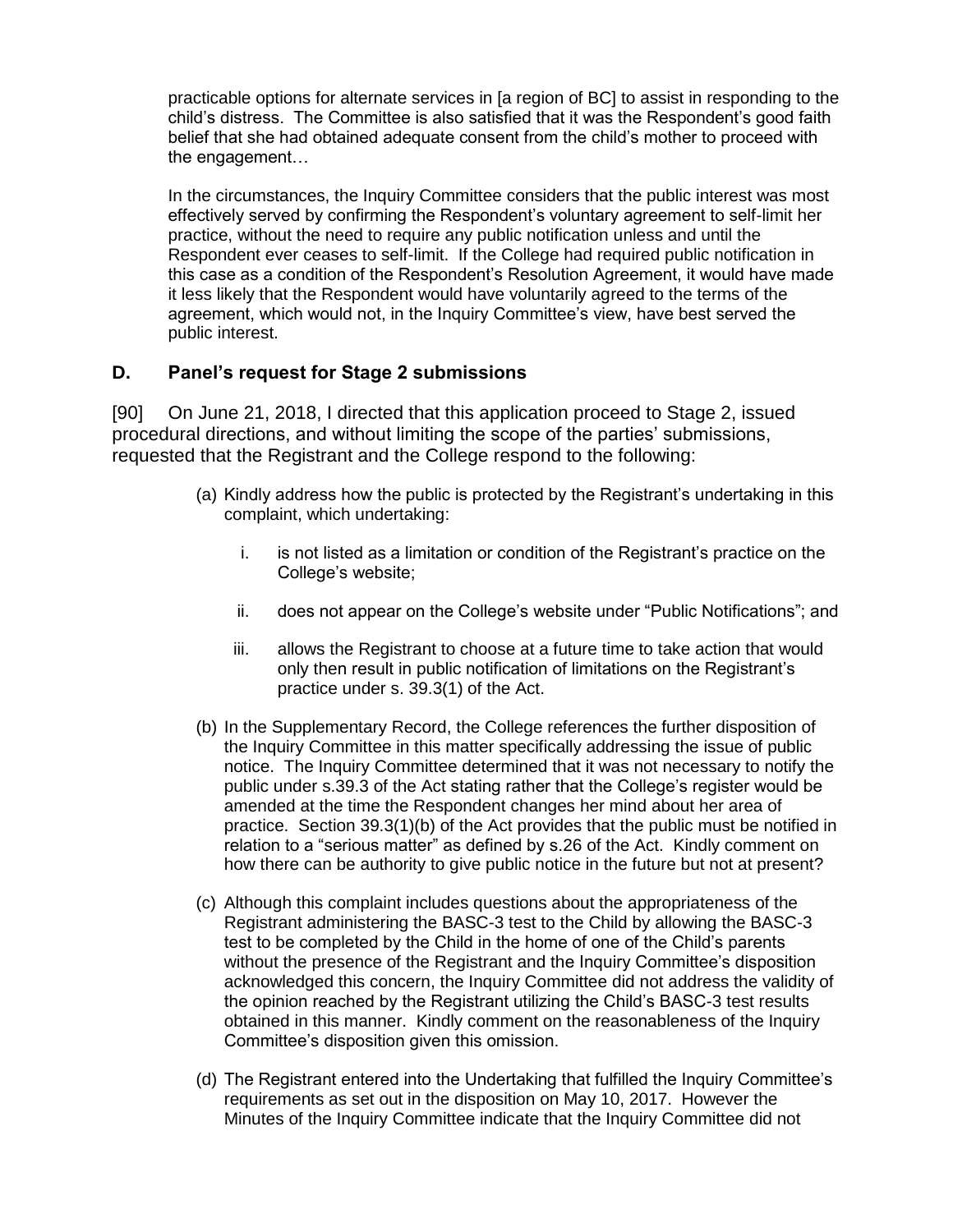practicable options for alternate services in [a region of BC] to assist in responding to the child's distress. The Committee is also satisfied that it was the Respondent's good faith belief that she had obtained adequate consent from the child's mother to proceed with the engagement…

In the circumstances, the Inquiry Committee considers that the public interest was most effectively served by confirming the Respondent's voluntary agreement to self-limit her practice, without the need to require any public notification unless and until the Respondent ever ceases to self-limit. If the College had required public notification in this case as a condition of the Respondent's Resolution Agreement, it would have made it less likely that the Respondent would have voluntarily agreed to the terms of the agreement, which would not, in the Inquiry Committee's view, have best served the public interest.

#### **D. Panel's request for Stage 2 submissions**

[90] On June 21, 2018, I directed that this application proceed to Stage 2, issued procedural directions, and without limiting the scope of the parties' submissions, requested that the Registrant and the College respond to the following:

- (a) Kindly address how the public is protected by the Registrant's undertaking in this complaint, which undertaking:
	- i. is not listed as a limitation or condition of the Registrant's practice on the College's website;
	- ii. does not appear on the College's website under "Public Notifications"; and
	- iii. allows the Registrant to choose at a future time to take action that would only then result in public notification of limitations on the Registrant's practice under s. 39.3(1) of the Act.
- (b) In the Supplementary Record, the College references the further disposition of the Inquiry Committee in this matter specifically addressing the issue of public notice. The Inquiry Committee determined that it was not necessary to notify the public under s.39.3 of the Act stating rather that the College's register would be amended at the time the Respondent changes her mind about her area of practice. Section 39.3(1)(b) of the Act provides that the public must be notified in relation to a "serious matter" as defined by s.26 of the Act. Kindly comment on how there can be authority to give public notice in the future but not at present?
- (c) Although this complaint includes questions about the appropriateness of the Registrant administering the BASC-3 test to the Child by allowing the BASC-3 test to be completed by the Child in the home of one of the Child's parents without the presence of the Registrant and the Inquiry Committee's disposition acknowledged this concern, the Inquiry Committee did not address the validity of the opinion reached by the Registrant utilizing the Child's BASC-3 test results obtained in this manner. Kindly comment on the reasonableness of the Inquiry Committee's disposition given this omission.
- (d) The Registrant entered into the Undertaking that fulfilled the Inquiry Committee's requirements as set out in the disposition on May 10, 2017. However the Minutes of the Inquiry Committee indicate that the Inquiry Committee did not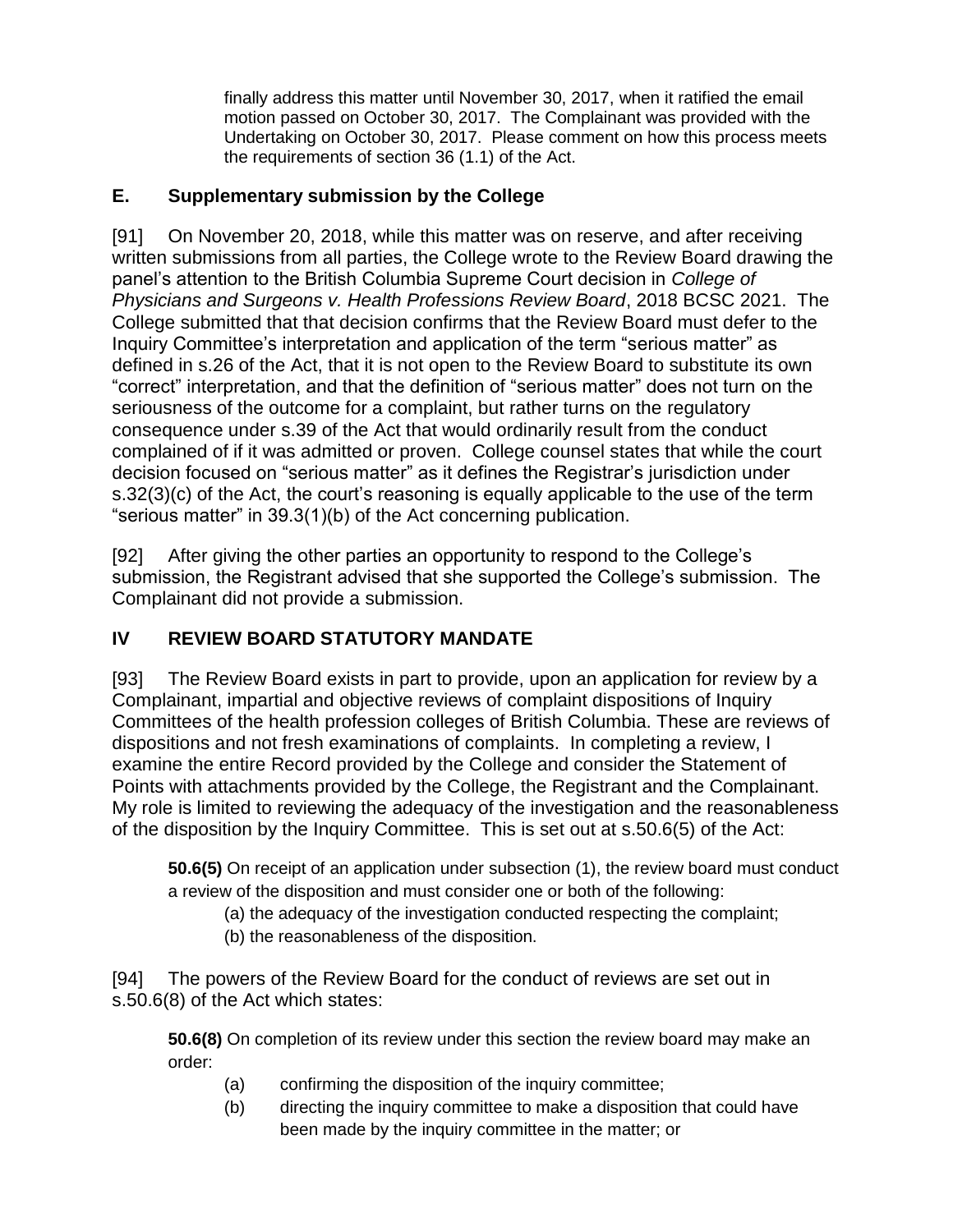finally address this matter until November 30, 2017, when it ratified the email motion passed on October 30, 2017. The Complainant was provided with the Undertaking on October 30, 2017. Please comment on how this process meets the requirements of section 36 (1.1) of the Act.

### **E. Supplementary submission by the College**

[91] On November 20, 2018, while this matter was on reserve, and after receiving written submissions from all parties, the College wrote to the Review Board drawing the panel's attention to the British Columbia Supreme Court decision in *College of Physicians and Surgeons v. Health Professions Review Board*, 2018 BCSC 2021. The College submitted that that decision confirms that the Review Board must defer to the Inquiry Committee's interpretation and application of the term "serious matter" as defined in s.26 of the Act, that it is not open to the Review Board to substitute its own "correct" interpretation, and that the definition of "serious matter" does not turn on the seriousness of the outcome for a complaint, but rather turns on the regulatory consequence under s.39 of the Act that would ordinarily result from the conduct complained of if it was admitted or proven. College counsel states that while the court decision focused on "serious matter" as it defines the Registrar's jurisdiction under s.32(3)(c) of the Act, the court's reasoning is equally applicable to the use of the term "serious matter" in 39.3(1)(b) of the Act concerning publication.

[92] After giving the other parties an opportunity to respond to the College's submission, the Registrant advised that she supported the College's submission. The Complainant did not provide a submission.

# **IV REVIEW BOARD STATUTORY MANDATE**

[93] The Review Board exists in part to provide, upon an application for review by a Complainant, impartial and objective reviews of complaint dispositions of Inquiry Committees of the health profession colleges of British Columbia. These are reviews of dispositions and not fresh examinations of complaints. In completing a review, I examine the entire Record provided by the College and consider the Statement of Points with attachments provided by the College, the Registrant and the Complainant. My role is limited to reviewing the adequacy of the investigation and the reasonableness of the disposition by the Inquiry Committee. This is set out at s.50.6(5) of the Act:

**50.6(5)** On receipt of an application under subsection (1), the review board must conduct a review of the disposition and must consider one or both of the following:

(a) the adequacy of the investigation conducted respecting the complaint;

(b) the reasonableness of the disposition.

[94] The powers of the Review Board for the conduct of reviews are set out in s.50.6(8) of the Act which states:

**50.6(8)** On completion of its review under this section the review board may make an order:

- (a) confirming the disposition of the inquiry committee;
- (b) directing the inquiry committee to make a disposition that could have been made by the inquiry committee in the matter; or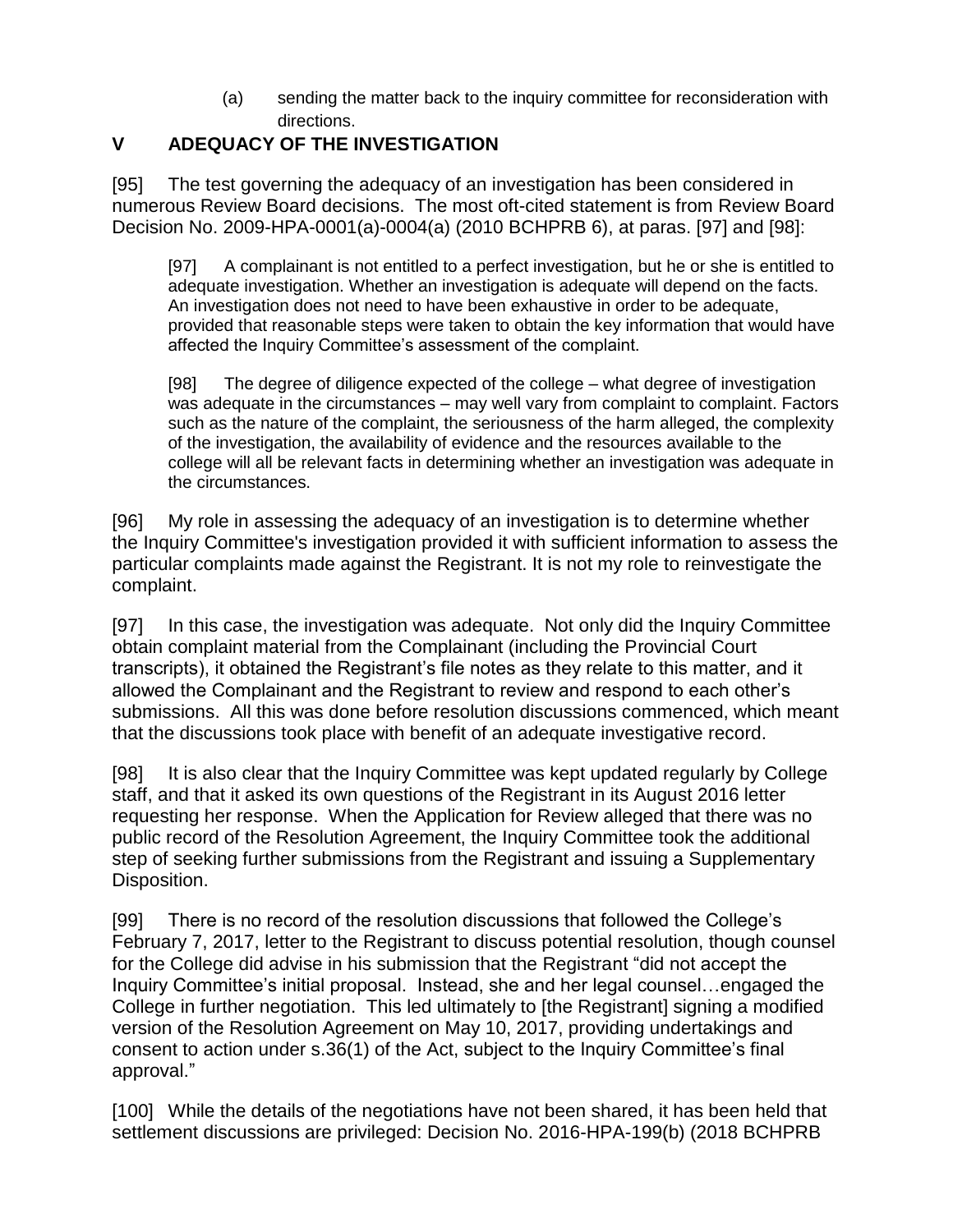(a) sending the matter back to the inquiry committee for reconsideration with directions.

### **V ADEQUACY OF THE INVESTIGATION**

[95] The test governing the adequacy of an investigation has been considered in numerous Review Board decisions. The most oft-cited statement is from Review Board Decision No. 2009-HPA-0001(a)-0004(a) (2010 BCHPRB 6), at paras. [97] and [98]:

[97] A complainant is not entitled to a perfect investigation, but he or she is entitled to adequate investigation. Whether an investigation is adequate will depend on the facts. An investigation does not need to have been exhaustive in order to be adequate, provided that reasonable steps were taken to obtain the key information that would have affected the Inquiry Committee's assessment of the complaint.

[98] The degree of diligence expected of the college – what degree of investigation was adequate in the circumstances – may well vary from complaint to complaint. Factors such as the nature of the complaint, the seriousness of the harm alleged, the complexity of the investigation, the availability of evidence and the resources available to the college will all be relevant facts in determining whether an investigation was adequate in the circumstances.

[96] My role in assessing the adequacy of an investigation is to determine whether the Inquiry Committee's investigation provided it with sufficient information to assess the particular complaints made against the Registrant. It is not my role to reinvestigate the complaint.

[97] In this case, the investigation was adequate. Not only did the Inquiry Committee obtain complaint material from the Complainant (including the Provincial Court transcripts), it obtained the Registrant's file notes as they relate to this matter, and it allowed the Complainant and the Registrant to review and respond to each other's submissions. All this was done before resolution discussions commenced, which meant that the discussions took place with benefit of an adequate investigative record.

[98] It is also clear that the Inquiry Committee was kept updated regularly by College staff, and that it asked its own questions of the Registrant in its August 2016 letter requesting her response. When the Application for Review alleged that there was no public record of the Resolution Agreement, the Inquiry Committee took the additional step of seeking further submissions from the Registrant and issuing a Supplementary Disposition.

[99] There is no record of the resolution discussions that followed the College's February 7, 2017, letter to the Registrant to discuss potential resolution, though counsel for the College did advise in his submission that the Registrant "did not accept the Inquiry Committee's initial proposal. Instead, she and her legal counsel…engaged the College in further negotiation. This led ultimately to [the Registrant] signing a modified version of the Resolution Agreement on May 10, 2017, providing undertakings and consent to action under s.36(1) of the Act, subject to the Inquiry Committee's final approval."

[100] While the details of the negotiations have not been shared, it has been held that settlement discussions are privileged: Decision No. 2016-HPA-199(b) (2018 BCHPRB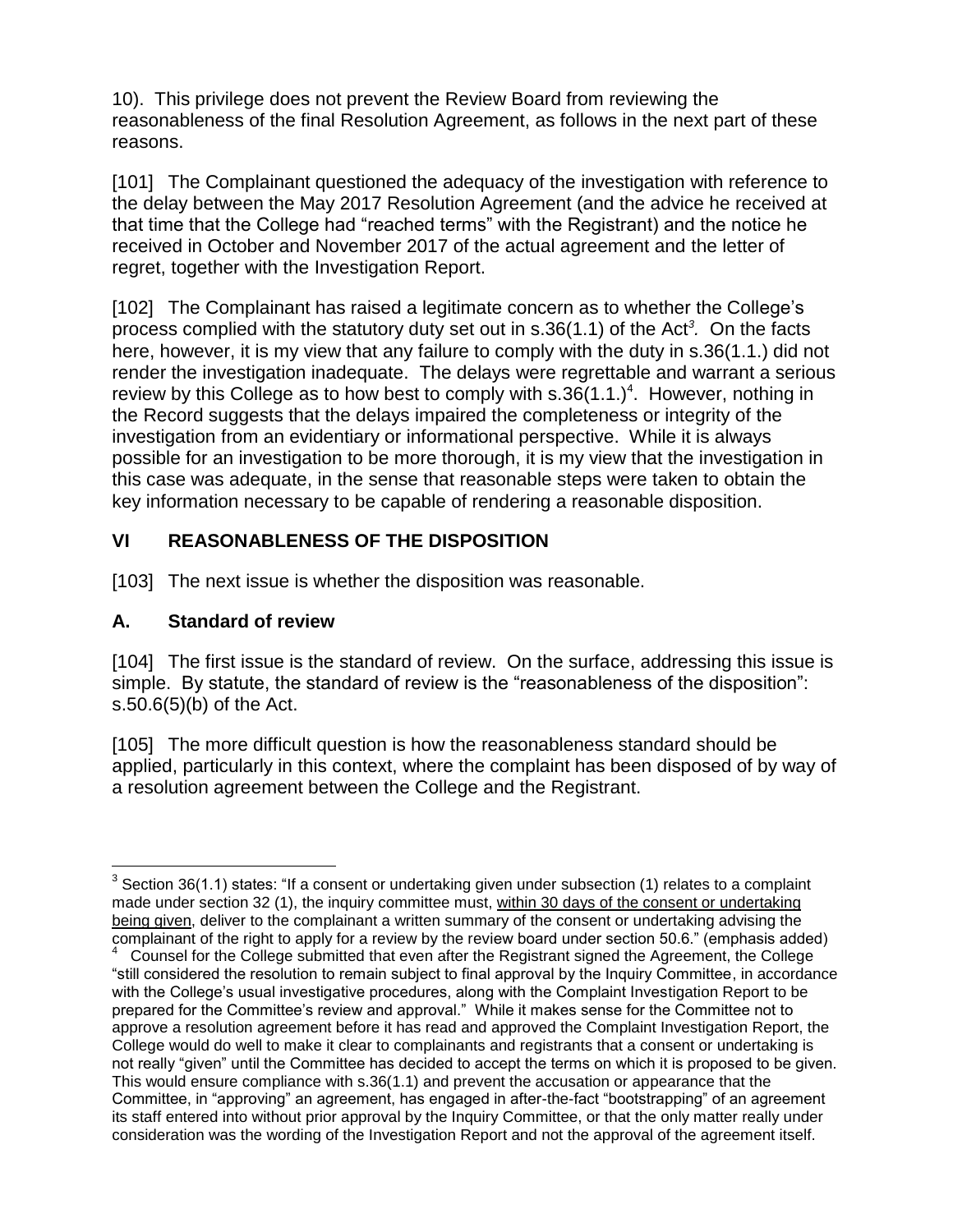10). This privilege does not prevent the Review Board from reviewing the reasonableness of the final Resolution Agreement, as follows in the next part of these reasons.

[101] The Complainant questioned the adequacy of the investigation with reference to the delay between the May 2017 Resolution Agreement (and the advice he received at that time that the College had "reached terms" with the Registrant) and the notice he received in October and November 2017 of the actual agreement and the letter of regret, together with the Investigation Report.

[102] The Complainant has raised a legitimate concern as to whether the College's process complied with the statutory duty set out in s.36(1.1) of the Act*<sup>3</sup> .* On the facts here, however, it is my view that any failure to comply with the duty in s.36(1.1.) did not render the investigation inadequate. The delays were regrettable and warrant a serious review by this College as to how best to comply with  $s.36(1.1.)<sup>4</sup>$ . However, nothing in the Record suggests that the delays impaired the completeness or integrity of the investigation from an evidentiary or informational perspective. While it is always possible for an investigation to be more thorough, it is my view that the investigation in this case was adequate, in the sense that reasonable steps were taken to obtain the key information necessary to be capable of rendering a reasonable disposition.

# **VI REASONABLENESS OF THE DISPOSITION**

[103] The next issue is whether the disposition was reasonable.

### **A. Standard of review**

 $\overline{a}$ 

[104] The first issue is the standard of review. On the surface, addressing this issue is simple. By statute, the standard of review is the "reasonableness of the disposition": s.50.6(5)(b) of the Act.

[105] The more difficult question is how the reasonableness standard should be applied, particularly in this context, where the complaint has been disposed of by way of a resolution agreement between the College and the Registrant.

<sup>&</sup>lt;sup>3</sup> Section 36(1.1) states: "If a consent or undertaking given under subsection (1) relates to a complaint made under section 32 (1), the inquiry committee must, within 30 days of the consent or undertaking being given, deliver to the complainant a written summary of the consent or undertaking advising the complainant of the right to apply for a review by the review board under section 50.6." (emphasis added)<br><sup>4</sup> Councel for the Collage submitted that aven ofter the Begintrant signed the Asreement, the Collage

Counsel for the College submitted that even after the Registrant signed the Agreement, the College "still considered the resolution to remain subject to final approval by the Inquiry Committee, in accordance with the College's usual investigative procedures, along with the Complaint Investigation Report to be prepared for the Committee's review and approval." While it makes sense for the Committee not to approve a resolution agreement before it has read and approved the Complaint Investigation Report, the College would do well to make it clear to complainants and registrants that a consent or undertaking is not really "given" until the Committee has decided to accept the terms on which it is proposed to be given. This would ensure compliance with s.36(1.1) and prevent the accusation or appearance that the Committee, in "approving" an agreement, has engaged in after-the-fact "bootstrapping" of an agreement its staff entered into without prior approval by the Inquiry Committee, or that the only matter really under consideration was the wording of the Investigation Report and not the approval of the agreement itself.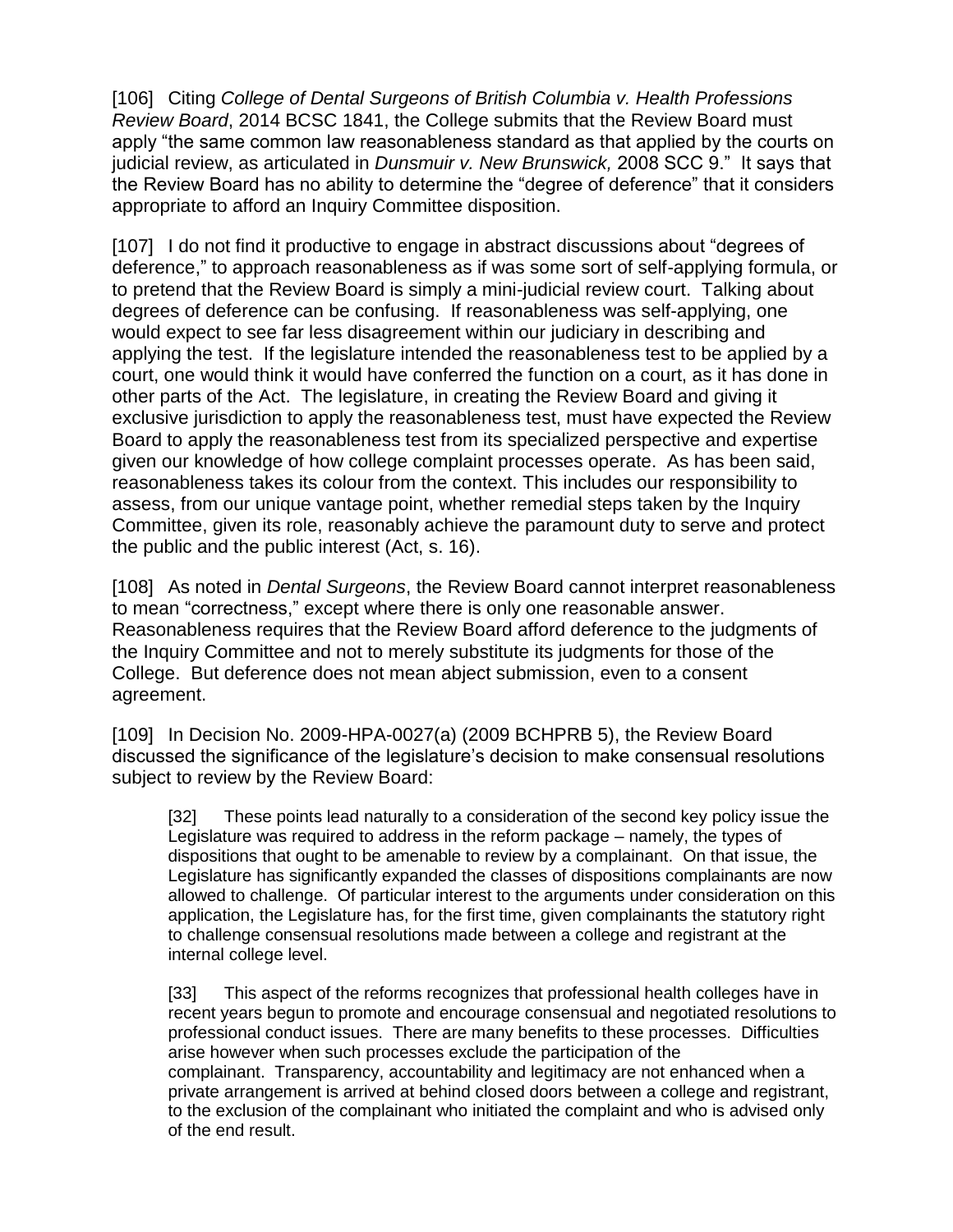[106] Citing *College of Dental Surgeons of British Columbia v. Health Professions Review Board*, 2014 BCSC 1841, the College submits that the Review Board must apply "the same common law reasonableness standard as that applied by the courts on judicial review, as articulated in *Dunsmuir v. New Brunswick,* 2008 SCC 9." It says that the Review Board has no ability to determine the "degree of deference" that it considers appropriate to afford an Inquiry Committee disposition.

[107] I do not find it productive to engage in abstract discussions about "degrees of deference," to approach reasonableness as if was some sort of self-applying formula, or to pretend that the Review Board is simply a mini-judicial review court. Talking about degrees of deference can be confusing. If reasonableness was self-applying, one would expect to see far less disagreement within our judiciary in describing and applying the test. If the legislature intended the reasonableness test to be applied by a court, one would think it would have conferred the function on a court, as it has done in other parts of the Act. The legislature, in creating the Review Board and giving it exclusive jurisdiction to apply the reasonableness test, must have expected the Review Board to apply the reasonableness test from its specialized perspective and expertise given our knowledge of how college complaint processes operate. As has been said, reasonableness takes its colour from the context. This includes our responsibility to assess, from our unique vantage point, whether remedial steps taken by the Inquiry Committee, given its role, reasonably achieve the paramount duty to serve and protect the public and the public interest (Act, s. 16).

[108] As noted in *Dental Surgeons*, the Review Board cannot interpret reasonableness to mean "correctness," except where there is only one reasonable answer. Reasonableness requires that the Review Board afford deference to the judgments of the Inquiry Committee and not to merely substitute its judgments for those of the College. But deference does not mean abject submission, even to a consent agreement.

[109] In Decision No. 2009-HPA-0027(a) (2009 BCHPRB 5), the Review Board discussed the significance of the legislature's decision to make consensual resolutions subject to review by the Review Board:

[32] These points lead naturally to a consideration of the second key policy issue the Legislature was required to address in the reform package – namely, the types of dispositions that ought to be amenable to review by a complainant. On that issue, the Legislature has significantly expanded the classes of dispositions complainants are now allowed to challenge. Of particular interest to the arguments under consideration on this application, the Legislature has, for the first time, given complainants the statutory right to challenge consensual resolutions made between a college and registrant at the internal college level.

[33] This aspect of the reforms recognizes that professional health colleges have in recent years begun to promote and encourage consensual and negotiated resolutions to professional conduct issues. There are many benefits to these processes. Difficulties arise however when such processes exclude the participation of the complainant. Transparency, accountability and legitimacy are not enhanced when a private arrangement is arrived at behind closed doors between a college and registrant, to the exclusion of the complainant who initiated the complaint and who is advised only of the end result.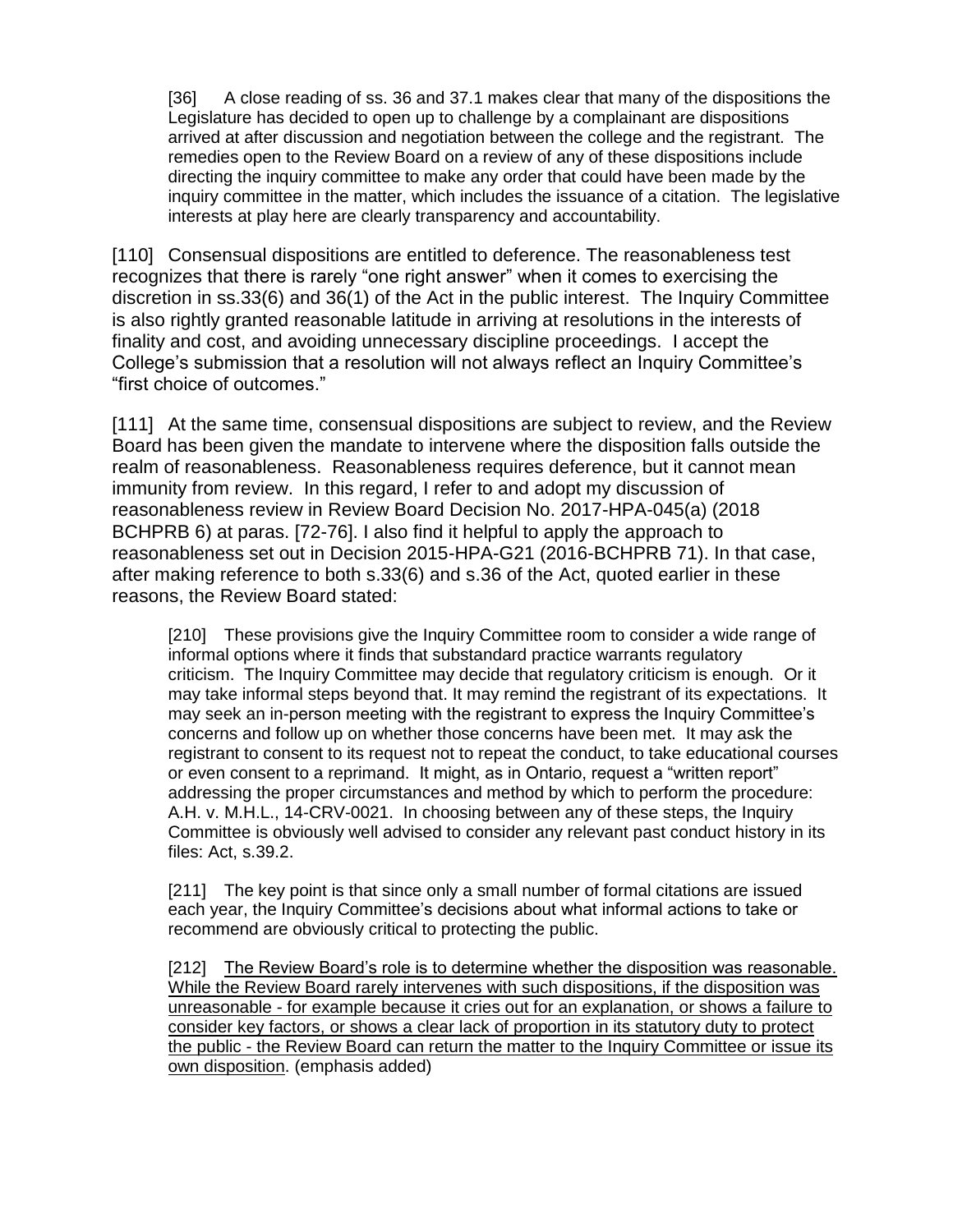[36] A close reading of ss. 36 and 37.1 makes clear that many of the dispositions the Legislature has decided to open up to challenge by a complainant are dispositions arrived at after discussion and negotiation between the college and the registrant. The remedies open to the Review Board on a review of any of these dispositions include directing the inquiry committee to make any order that could have been made by the inquiry committee in the matter, which includes the issuance of a citation. The legislative interests at play here are clearly transparency and accountability.

[110] Consensual dispositions are entitled to deference. The reasonableness test recognizes that there is rarely "one right answer" when it comes to exercising the discretion in ss.33(6) and 36(1) of the Act in the public interest. The Inquiry Committee is also rightly granted reasonable latitude in arriving at resolutions in the interests of finality and cost, and avoiding unnecessary discipline proceedings. I accept the College's submission that a resolution will not always reflect an Inquiry Committee's "first choice of outcomes."

[111] At the same time, consensual dispositions are subject to review, and the Review Board has been given the mandate to intervene where the disposition falls outside the realm of reasonableness. Reasonableness requires deference, but it cannot mean immunity from review. In this regard, I refer to and adopt my discussion of reasonableness review in Review Board Decision No. 2017-HPA-045(a) (2018 BCHPRB 6) at paras. [72-76]. I also find it helpful to apply the approach to reasonableness set out in Decision 2015-HPA-G21 (2016-BCHPRB 71). In that case, after making reference to both s.33(6) and s.36 of the Act, quoted earlier in these reasons, the Review Board stated:

[210] These provisions give the Inquiry Committee room to consider a wide range of informal options where it finds that substandard practice warrants regulatory criticism. The Inquiry Committee may decide that regulatory criticism is enough. Or it may take informal steps beyond that. It may remind the registrant of its expectations. It may seek an in-person meeting with the registrant to express the Inquiry Committee's concerns and follow up on whether those concerns have been met. It may ask the registrant to consent to its request not to repeat the conduct, to take educational courses or even consent to a reprimand. It might, as in Ontario, request a "written report" addressing the proper circumstances and method by which to perform the procedure: A.H. v. M.H.L., 14-CRV-0021. In choosing between any of these steps, the Inquiry Committee is obviously well advised to consider any relevant past conduct history in its files: Act, s.39.2.

[211] The key point is that since only a small number of formal citations are issued each year, the Inquiry Committee's decisions about what informal actions to take or recommend are obviously critical to protecting the public.

[212] The Review Board's role is to determine whether the disposition was reasonable. While the Review Board rarely intervenes with such dispositions, if the disposition was unreasonable - for example because it cries out for an explanation, or shows a failure to consider key factors, or shows a clear lack of proportion in its statutory duty to protect the public - the Review Board can return the matter to the Inquiry Committee or issue its own disposition. (emphasis added)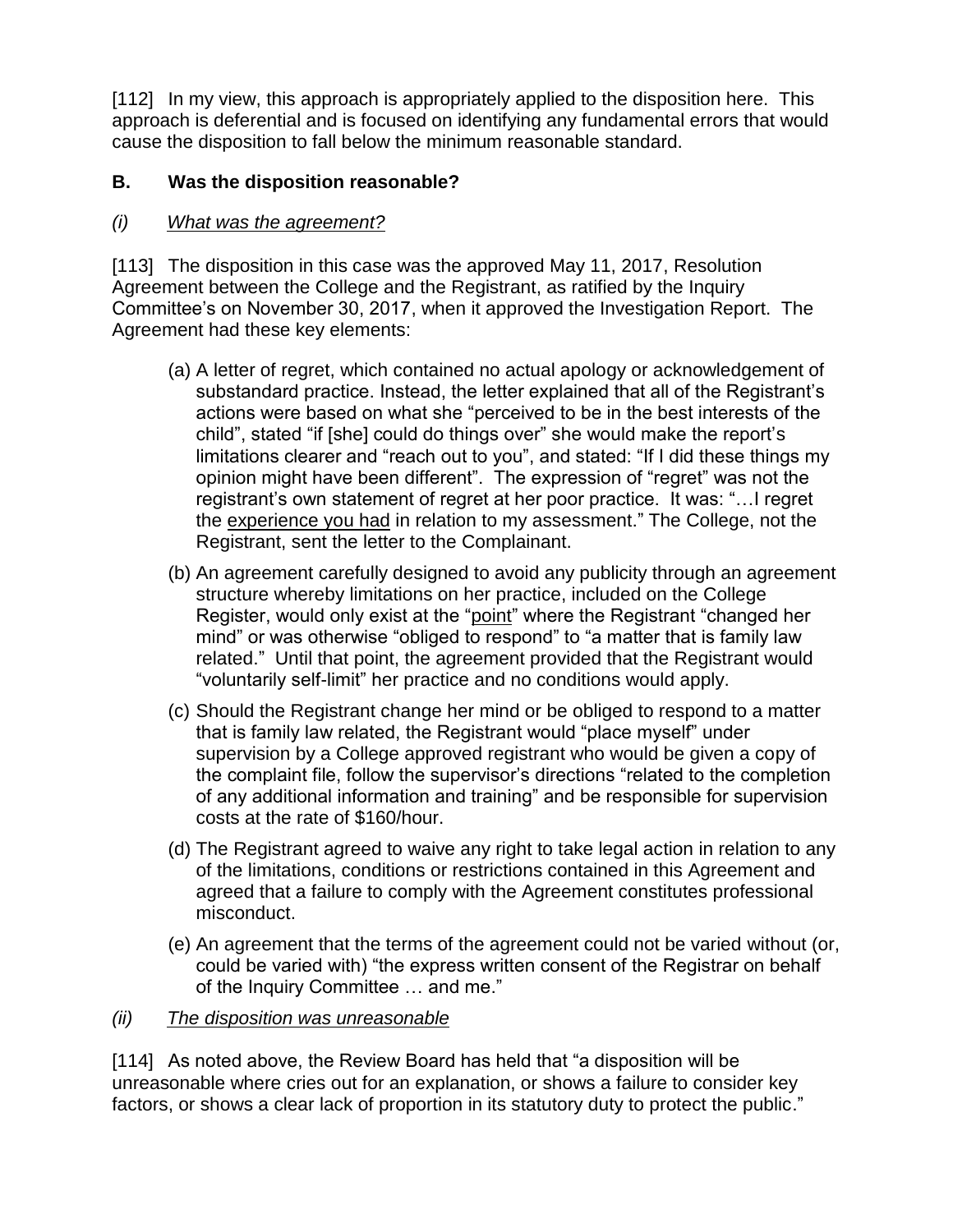[112] In my view, this approach is appropriately applied to the disposition here. This approach is deferential and is focused on identifying any fundamental errors that would cause the disposition to fall below the minimum reasonable standard.

### **B. Was the disposition reasonable?**

### *(i) What was the agreement?*

[113] The disposition in this case was the approved May 11, 2017, Resolution Agreement between the College and the Registrant, as ratified by the Inquiry Committee's on November 30, 2017, when it approved the Investigation Report. The Agreement had these key elements:

- (a) A letter of regret, which contained no actual apology or acknowledgement of substandard practice. Instead, the letter explained that all of the Registrant's actions were based on what she "perceived to be in the best interests of the child", stated "if [she] could do things over" she would make the report's limitations clearer and "reach out to you", and stated: "If I did these things my opinion might have been different". The expression of "regret" was not the registrant's own statement of regret at her poor practice. It was: "…I regret the experience you had in relation to my assessment." The College, not the Registrant, sent the letter to the Complainant.
- (b) An agreement carefully designed to avoid any publicity through an agreement structure whereby limitations on her practice, included on the College Register, would only exist at the "point" where the Registrant "changed her mind" or was otherwise "obliged to respond" to "a matter that is family law related." Until that point, the agreement provided that the Registrant would "voluntarily self-limit" her practice and no conditions would apply.
- (c) Should the Registrant change her mind or be obliged to respond to a matter that is family law related, the Registrant would "place myself" under supervision by a College approved registrant who would be given a copy of the complaint file, follow the supervisor's directions "related to the completion of any additional information and training" and be responsible for supervision costs at the rate of \$160/hour.
- (d) The Registrant agreed to waive any right to take legal action in relation to any of the limitations, conditions or restrictions contained in this Agreement and agreed that a failure to comply with the Agreement constitutes professional misconduct.
- (e) An agreement that the terms of the agreement could not be varied without (or, could be varied with) "the express written consent of the Registrar on behalf of the Inquiry Committee … and me."

### *(ii) The disposition was unreasonable*

[114] As noted above, the Review Board has held that "a disposition will be unreasonable where cries out for an explanation, or shows a failure to consider key factors, or shows a clear lack of proportion in its statutory duty to protect the public."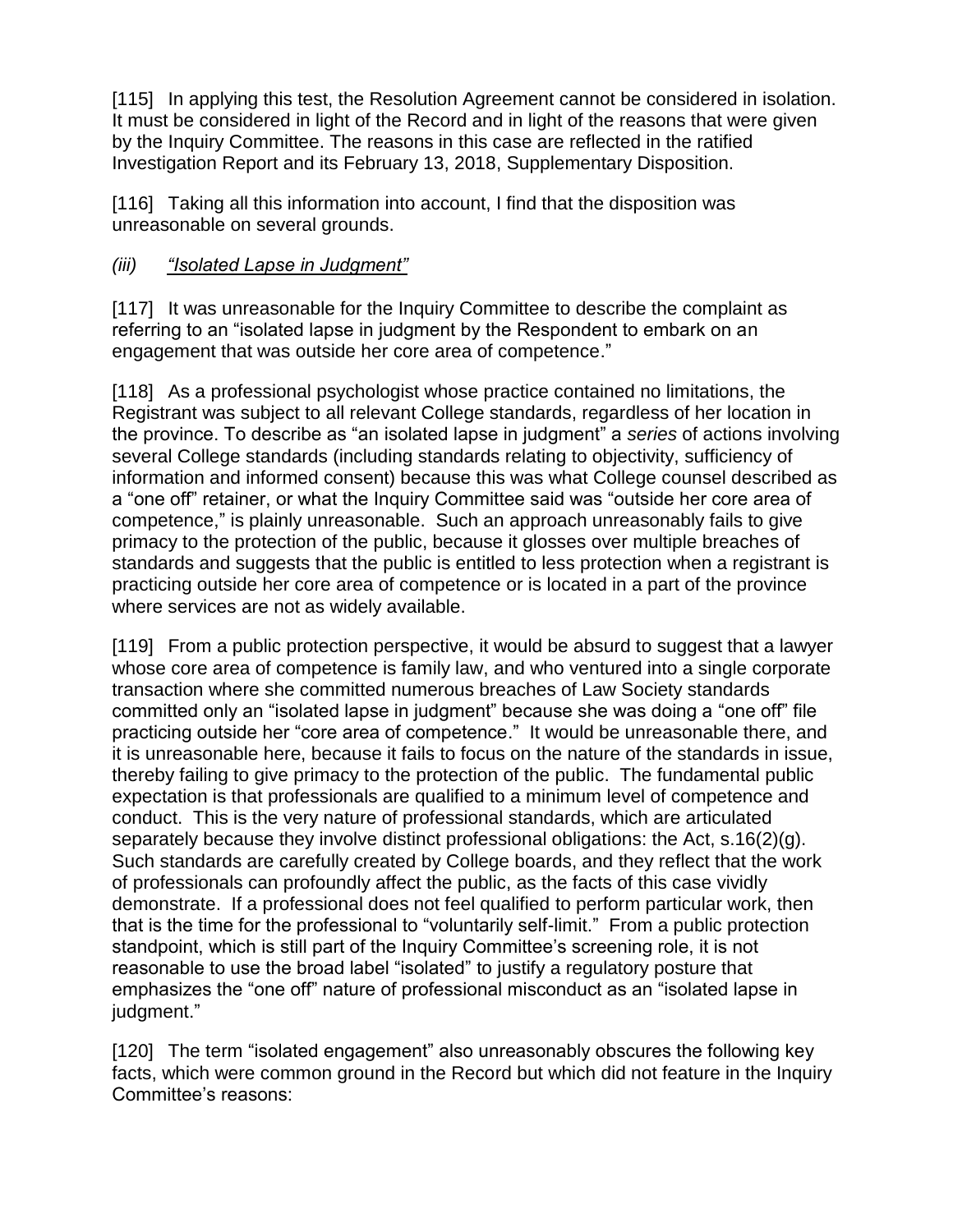[115] In applying this test, the Resolution Agreement cannot be considered in isolation. It must be considered in light of the Record and in light of the reasons that were given by the Inquiry Committee. The reasons in this case are reflected in the ratified Investigation Report and its February 13, 2018, Supplementary Disposition.

[116] Taking all this information into account, I find that the disposition was unreasonable on several grounds.

### *(iii) "Isolated Lapse in Judgment"*

[117] It was unreasonable for the Inquiry Committee to describe the complaint as referring to an "isolated lapse in judgment by the Respondent to embark on an engagement that was outside her core area of competence."

[118] As a professional psychologist whose practice contained no limitations, the Registrant was subject to all relevant College standards, regardless of her location in the province. To describe as "an isolated lapse in judgment" a *series* of actions involving several College standards (including standards relating to objectivity, sufficiency of information and informed consent) because this was what College counsel described as a "one off" retainer, or what the Inquiry Committee said was "outside her core area of competence," is plainly unreasonable. Such an approach unreasonably fails to give primacy to the protection of the public, because it glosses over multiple breaches of standards and suggests that the public is entitled to less protection when a registrant is practicing outside her core area of competence or is located in a part of the province where services are not as widely available.

[119] From a public protection perspective, it would be absurd to suggest that a lawyer whose core area of competence is family law, and who ventured into a single corporate transaction where she committed numerous breaches of Law Society standards committed only an "isolated lapse in judgment" because she was doing a "one off" file practicing outside her "core area of competence." It would be unreasonable there, and it is unreasonable here, because it fails to focus on the nature of the standards in issue, thereby failing to give primacy to the protection of the public. The fundamental public expectation is that professionals are qualified to a minimum level of competence and conduct. This is the very nature of professional standards, which are articulated separately because they involve distinct professional obligations: the Act, s.16(2)(g). Such standards are carefully created by College boards, and they reflect that the work of professionals can profoundly affect the public, as the facts of this case vividly demonstrate. If a professional does not feel qualified to perform particular work, then that is the time for the professional to "voluntarily self-limit." From a public protection standpoint, which is still part of the Inquiry Committee's screening role, it is not reasonable to use the broad label "isolated" to justify a regulatory posture that emphasizes the "one off" nature of professional misconduct as an "isolated lapse in judgment."

[120] The term "isolated engagement" also unreasonably obscures the following key facts, which were common ground in the Record but which did not feature in the Inquiry Committee's reasons: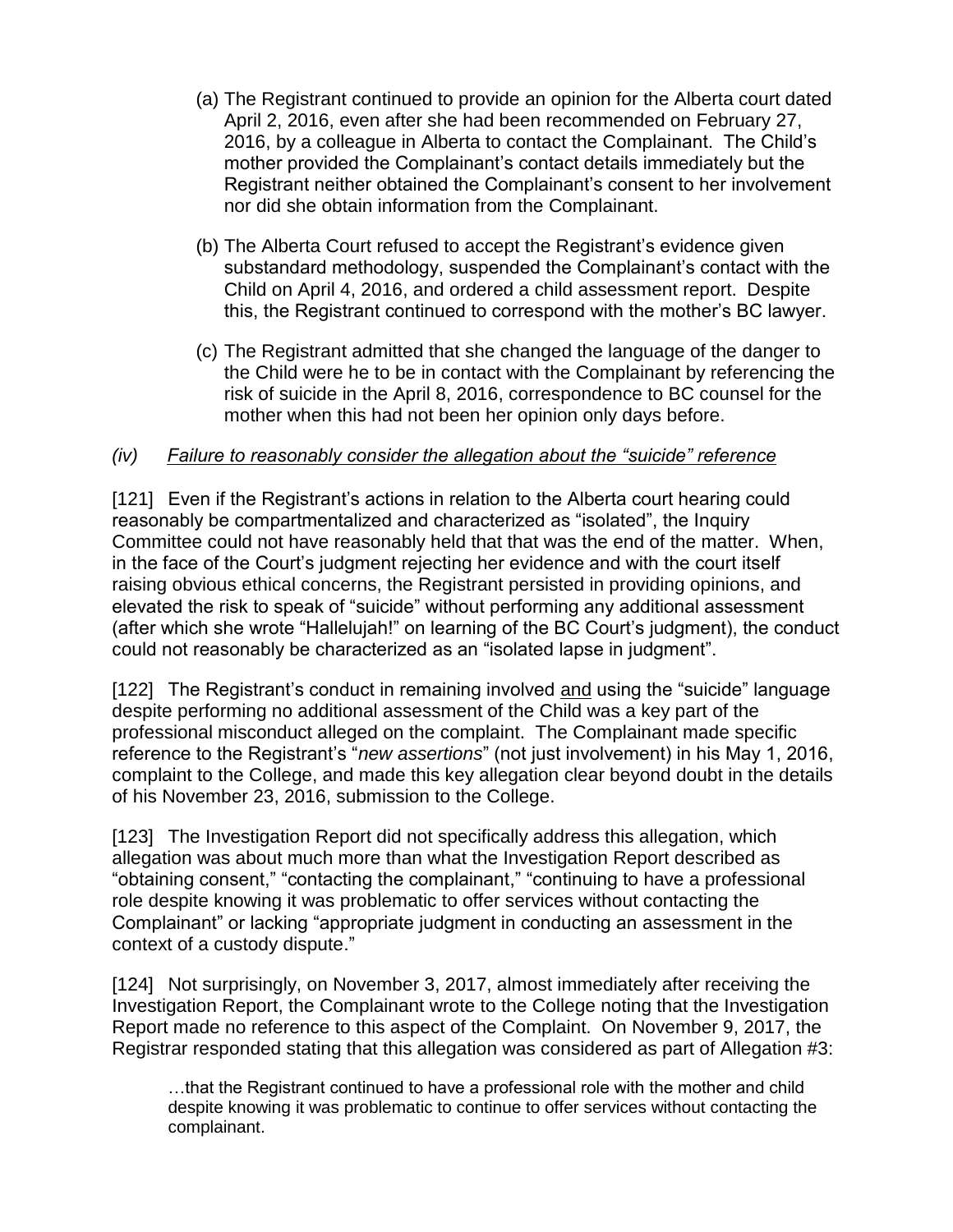- (a) The Registrant continued to provide an opinion for the Alberta court dated April 2, 2016, even after she had been recommended on February 27, 2016, by a colleague in Alberta to contact the Complainant. The Child's mother provided the Complainant's contact details immediately but the Registrant neither obtained the Complainant's consent to her involvement nor did she obtain information from the Complainant.
- (b) The Alberta Court refused to accept the Registrant's evidence given substandard methodology, suspended the Complainant's contact with the Child on April 4, 2016, and ordered a child assessment report. Despite this, the Registrant continued to correspond with the mother's BC lawyer.
- (c) The Registrant admitted that she changed the language of the danger to the Child were he to be in contact with the Complainant by referencing the risk of suicide in the April 8, 2016, correspondence to BC counsel for the mother when this had not been her opinion only days before.

#### *(iv) Failure to reasonably consider the allegation about the "suicide" reference*

[121] Even if the Registrant's actions in relation to the Alberta court hearing could reasonably be compartmentalized and characterized as "isolated", the Inquiry Committee could not have reasonably held that that was the end of the matter. When, in the face of the Court's judgment rejecting her evidence and with the court itself raising obvious ethical concerns, the Registrant persisted in providing opinions, and elevated the risk to speak of "suicide" without performing any additional assessment (after which she wrote "Hallelujah!" on learning of the BC Court's judgment), the conduct could not reasonably be characterized as an "isolated lapse in judgment".

[122] The Registrant's conduct in remaining involved and using the "suicide" language despite performing no additional assessment of the Child was a key part of the professional misconduct alleged on the complaint. The Complainant made specific reference to the Registrant's "*new assertions*" (not just involvement) in his May 1, 2016, complaint to the College, and made this key allegation clear beyond doubt in the details of his November 23, 2016, submission to the College.

[123] The Investigation Report did not specifically address this allegation, which allegation was about much more than what the Investigation Report described as "obtaining consent," "contacting the complainant," "continuing to have a professional role despite knowing it was problematic to offer services without contacting the Complainant" or lacking "appropriate judgment in conducting an assessment in the context of a custody dispute."

[124] Not surprisingly, on November 3, 2017, almost immediately after receiving the Investigation Report, the Complainant wrote to the College noting that the Investigation Report made no reference to this aspect of the Complaint. On November 9, 2017, the Registrar responded stating that this allegation was considered as part of Allegation #3:

…that the Registrant continued to have a professional role with the mother and child despite knowing it was problematic to continue to offer services without contacting the complainant.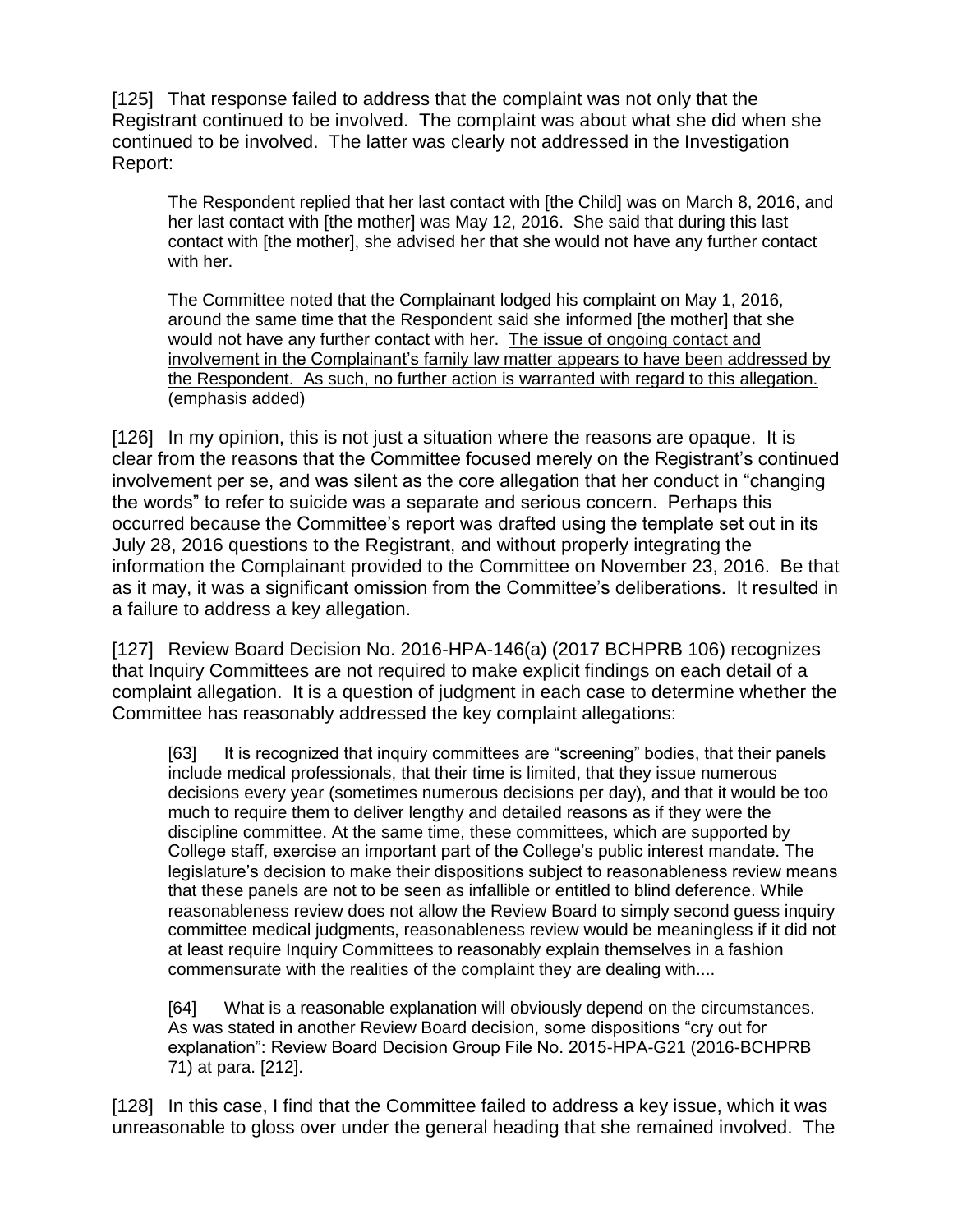[125] That response failed to address that the complaint was not only that the Registrant continued to be involved. The complaint was about what she did when she continued to be involved. The latter was clearly not addressed in the Investigation Report:

The Respondent replied that her last contact with [the Child] was on March 8, 2016, and her last contact with [the mother] was May 12, 2016. She said that during this last contact with [the mother], she advised her that she would not have any further contact with her.

The Committee noted that the Complainant lodged his complaint on May 1, 2016, around the same time that the Respondent said she informed [the mother] that she would not have any further contact with her. The issue of ongoing contact and involvement in the Complainant's family law matter appears to have been addressed by the Respondent. As such, no further action is warranted with regard to this allegation. (emphasis added)

[126] In my opinion, this is not just a situation where the reasons are opaque. It is clear from the reasons that the Committee focused merely on the Registrant's continued involvement per se, and was silent as the core allegation that her conduct in "changing the words" to refer to suicide was a separate and serious concern. Perhaps this occurred because the Committee's report was drafted using the template set out in its July 28, 2016 questions to the Registrant, and without properly integrating the information the Complainant provided to the Committee on November 23, 2016. Be that as it may, it was a significant omission from the Committee's deliberations. It resulted in a failure to address a key allegation.

[127] Review Board Decision No. 2016-HPA-146(a) (2017 BCHPRB 106) recognizes that Inquiry Committees are not required to make explicit findings on each detail of a complaint allegation. It is a question of judgment in each case to determine whether the Committee has reasonably addressed the key complaint allegations:

[63] It is recognized that inquiry committees are "screening" bodies, that their panels include medical professionals, that their time is limited, that they issue numerous decisions every year (sometimes numerous decisions per day), and that it would be too much to require them to deliver lengthy and detailed reasons as if they were the discipline committee. At the same time, these committees, which are supported by College staff, exercise an important part of the College's public interest mandate. The legislature's decision to make their dispositions subject to reasonableness review means that these panels are not to be seen as infallible or entitled to blind deference. While reasonableness review does not allow the Review Board to simply second guess inquiry committee medical judgments, reasonableness review would be meaningless if it did not at least require Inquiry Committees to reasonably explain themselves in a fashion commensurate with the realities of the complaint they are dealing with....

[64] What is a reasonable explanation will obviously depend on the circumstances. As was stated in another Review Board decision, some dispositions "cry out for explanation": Review Board Decision Group File No. 2015-HPA-G21 (2016-BCHPRB 71) at para. [212].

[128] In this case, I find that the Committee failed to address a key issue, which it was unreasonable to gloss over under the general heading that she remained involved. The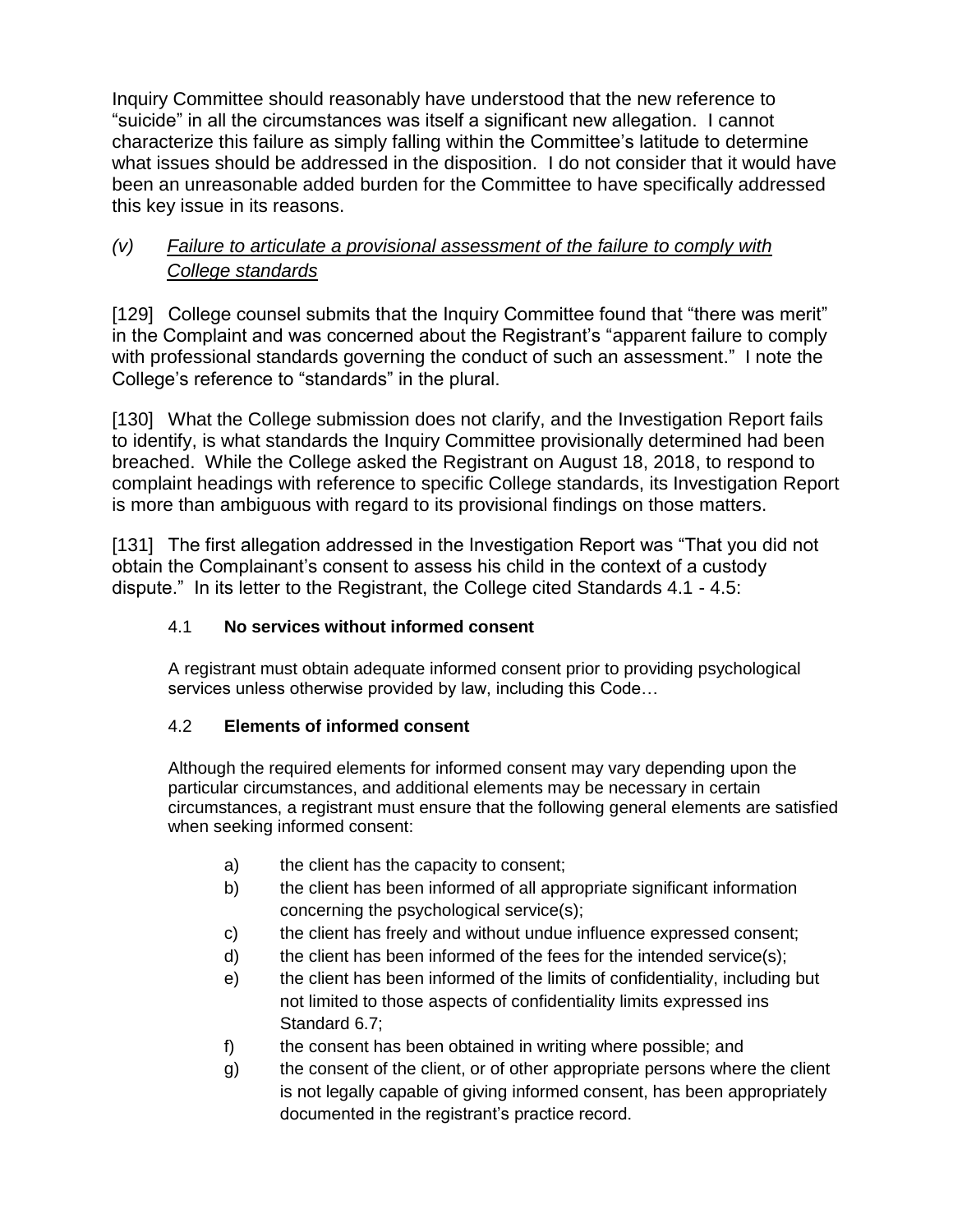Inquiry Committee should reasonably have understood that the new reference to "suicide" in all the circumstances was itself a significant new allegation. I cannot characterize this failure as simply falling within the Committee's latitude to determine what issues should be addressed in the disposition. I do not consider that it would have been an unreasonable added burden for the Committee to have specifically addressed this key issue in its reasons.

# *(v) Failure to articulate a provisional assessment of the failure to comply with College standards*

[129] College counsel submits that the Inquiry Committee found that "there was merit" in the Complaint and was concerned about the Registrant's "apparent failure to comply with professional standards governing the conduct of such an assessment." I note the College's reference to "standards" in the plural.

[130] What the College submission does not clarify, and the Investigation Report fails to identify, is what standards the Inquiry Committee provisionally determined had been breached. While the College asked the Registrant on August 18, 2018, to respond to complaint headings with reference to specific College standards, its Investigation Report is more than ambiguous with regard to its provisional findings on those matters.

[131] The first allegation addressed in the Investigation Report was "That you did not obtain the Complainant's consent to assess his child in the context of a custody dispute." In its letter to the Registrant, the College cited Standards 4.1 - 4.5:

### 4.1 **No services without informed consent**

A registrant must obtain adequate informed consent prior to providing psychological services unless otherwise provided by law, including this Code…

#### 4.2 **Elements of informed consent**

Although the required elements for informed consent may vary depending upon the particular circumstances, and additional elements may be necessary in certain circumstances, a registrant must ensure that the following general elements are satisfied when seeking informed consent:

- a) the client has the capacity to consent;
- b) the client has been informed of all appropriate significant information concerning the psychological service(s);
- c) the client has freely and without undue influence expressed consent;
- d) the client has been informed of the fees for the intended service(s);
- e) the client has been informed of the limits of confidentiality, including but not limited to those aspects of confidentiality limits expressed ins Standard 6.7;
- f) the consent has been obtained in writing where possible; and
- g) the consent of the client, or of other appropriate persons where the client is not legally capable of giving informed consent, has been appropriately documented in the registrant's practice record.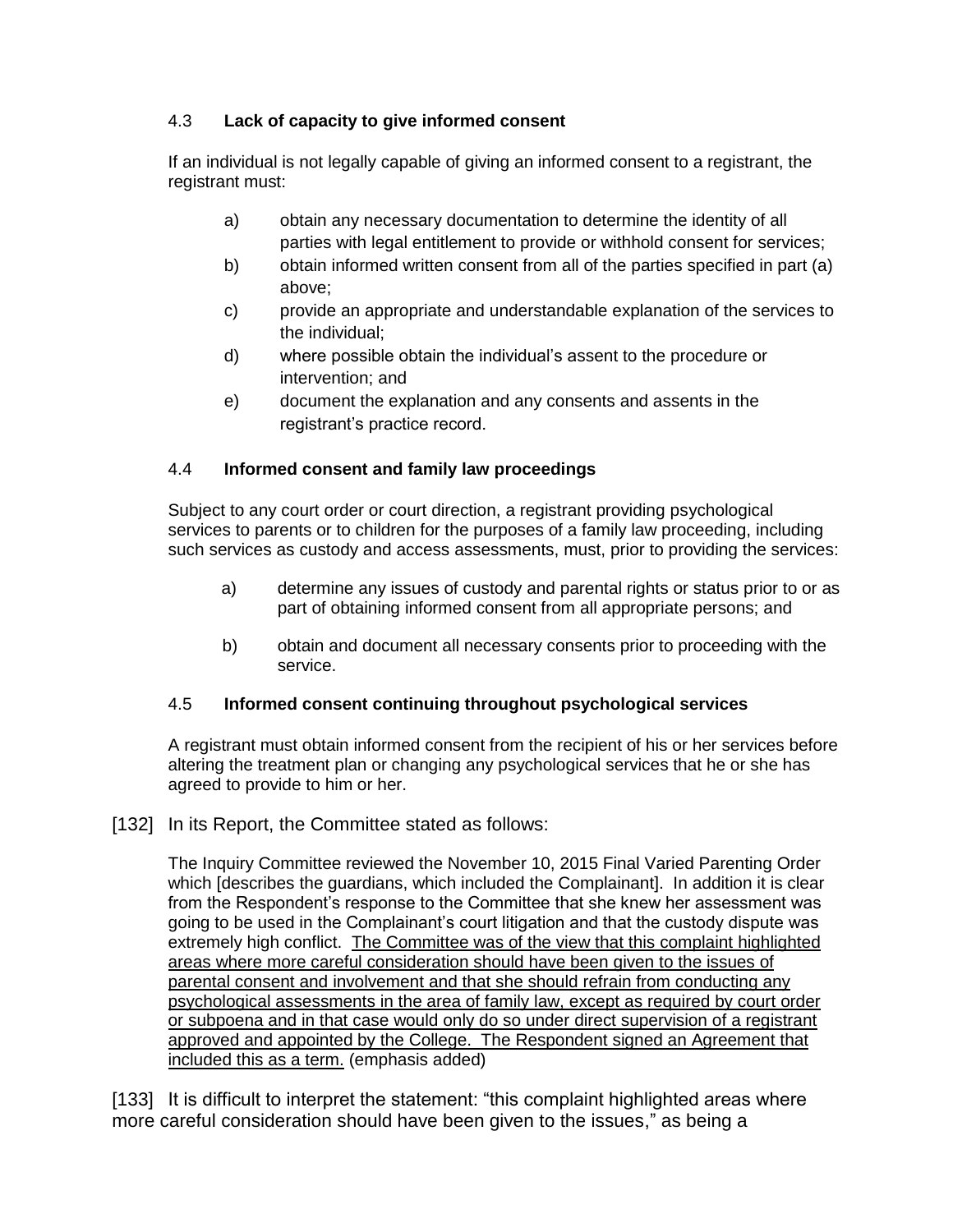#### 4.3 **Lack of capacity to give informed consent**

If an individual is not legally capable of giving an informed consent to a registrant, the registrant must:

- a) obtain any necessary documentation to determine the identity of all parties with legal entitlement to provide or withhold consent for services;
- b) obtain informed written consent from all of the parties specified in part (a) above;
- c) provide an appropriate and understandable explanation of the services to the individual;
- d) where possible obtain the individual's assent to the procedure or intervention; and
- e) document the explanation and any consents and assents in the registrant's practice record.

#### 4.4 **Informed consent and family law proceedings**

Subject to any court order or court direction, a registrant providing psychological services to parents or to children for the purposes of a family law proceeding, including such services as custody and access assessments, must, prior to providing the services:

- a) determine any issues of custody and parental rights or status prior to or as part of obtaining informed consent from all appropriate persons; and
- b) obtain and document all necessary consents prior to proceeding with the service.

#### 4.5 **Informed consent continuing throughout psychological services**

A registrant must obtain informed consent from the recipient of his or her services before altering the treatment plan or changing any psychological services that he or she has agreed to provide to him or her.

#### [132] In its Report, the Committee stated as follows:

The Inquiry Committee reviewed the November 10, 2015 Final Varied Parenting Order which Idescribes the quardians, which included the Complainant]. In addition it is clear from the Respondent's response to the Committee that she knew her assessment was going to be used in the Complainant's court litigation and that the custody dispute was extremely high conflict. The Committee was of the view that this complaint highlighted areas where more careful consideration should have been given to the issues of parental consent and involvement and that she should refrain from conducting any psychological assessments in the area of family law, except as required by court order or subpoena and in that case would only do so under direct supervision of a registrant approved and appointed by the College. The Respondent signed an Agreement that included this as a term. (emphasis added)

[133] It is difficult to interpret the statement: "this complaint highlighted areas where more careful consideration should have been given to the issues," as being a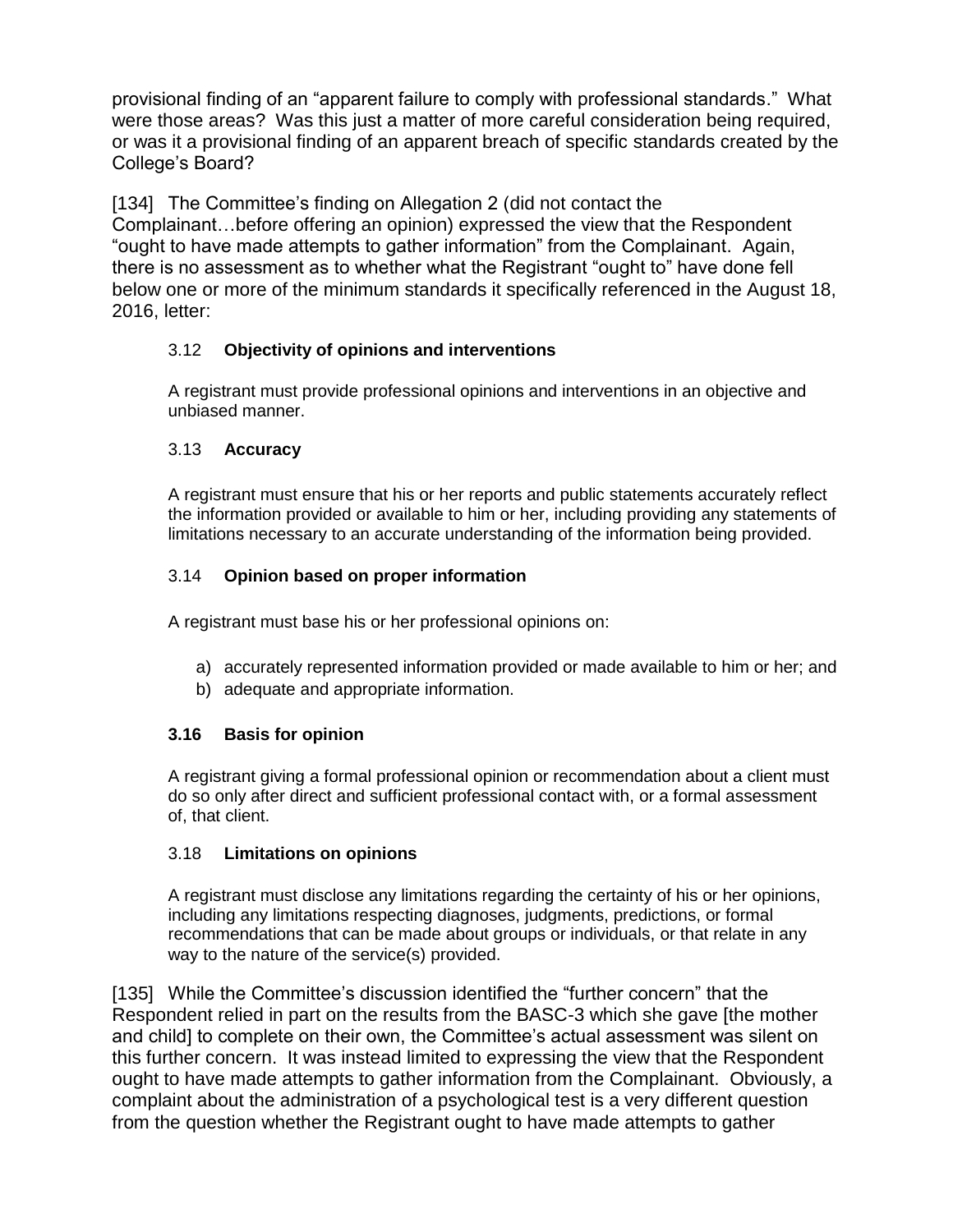provisional finding of an "apparent failure to comply with professional standards." What were those areas? Was this just a matter of more careful consideration being required, or was it a provisional finding of an apparent breach of specific standards created by the College's Board?

[134] The Committee's finding on Allegation 2 (did not contact the Complainant…before offering an opinion) expressed the view that the Respondent "ought to have made attempts to gather information" from the Complainant. Again, there is no assessment as to whether what the Registrant "ought to" have done fell below one or more of the minimum standards it specifically referenced in the August 18, 2016, letter:

#### 3.12 **Objectivity of opinions and interventions**

A registrant must provide professional opinions and interventions in an objective and unbiased manner.

#### 3.13 **Accuracy**

A registrant must ensure that his or her reports and public statements accurately reflect the information provided or available to him or her, including providing any statements of limitations necessary to an accurate understanding of the information being provided.

#### 3.14 **Opinion based on proper information**

A registrant must base his or her professional opinions on:

- a) accurately represented information provided or made available to him or her; and
- b) adequate and appropriate information.

#### **3.16 Basis for opinion**

A registrant giving a formal professional opinion or recommendation about a client must do so only after direct and sufficient professional contact with, or a formal assessment of, that client.

#### 3.18 **Limitations on opinions**

A registrant must disclose any limitations regarding the certainty of his or her opinions, including any limitations respecting diagnoses, judgments, predictions, or formal recommendations that can be made about groups or individuals, or that relate in any way to the nature of the service(s) provided.

[135] While the Committee's discussion identified the "further concern" that the Respondent relied in part on the results from the BASC-3 which she gave [the mother and child] to complete on their own, the Committee's actual assessment was silent on this further concern. It was instead limited to expressing the view that the Respondent ought to have made attempts to gather information from the Complainant. Obviously, a complaint about the administration of a psychological test is a very different question from the question whether the Registrant ought to have made attempts to gather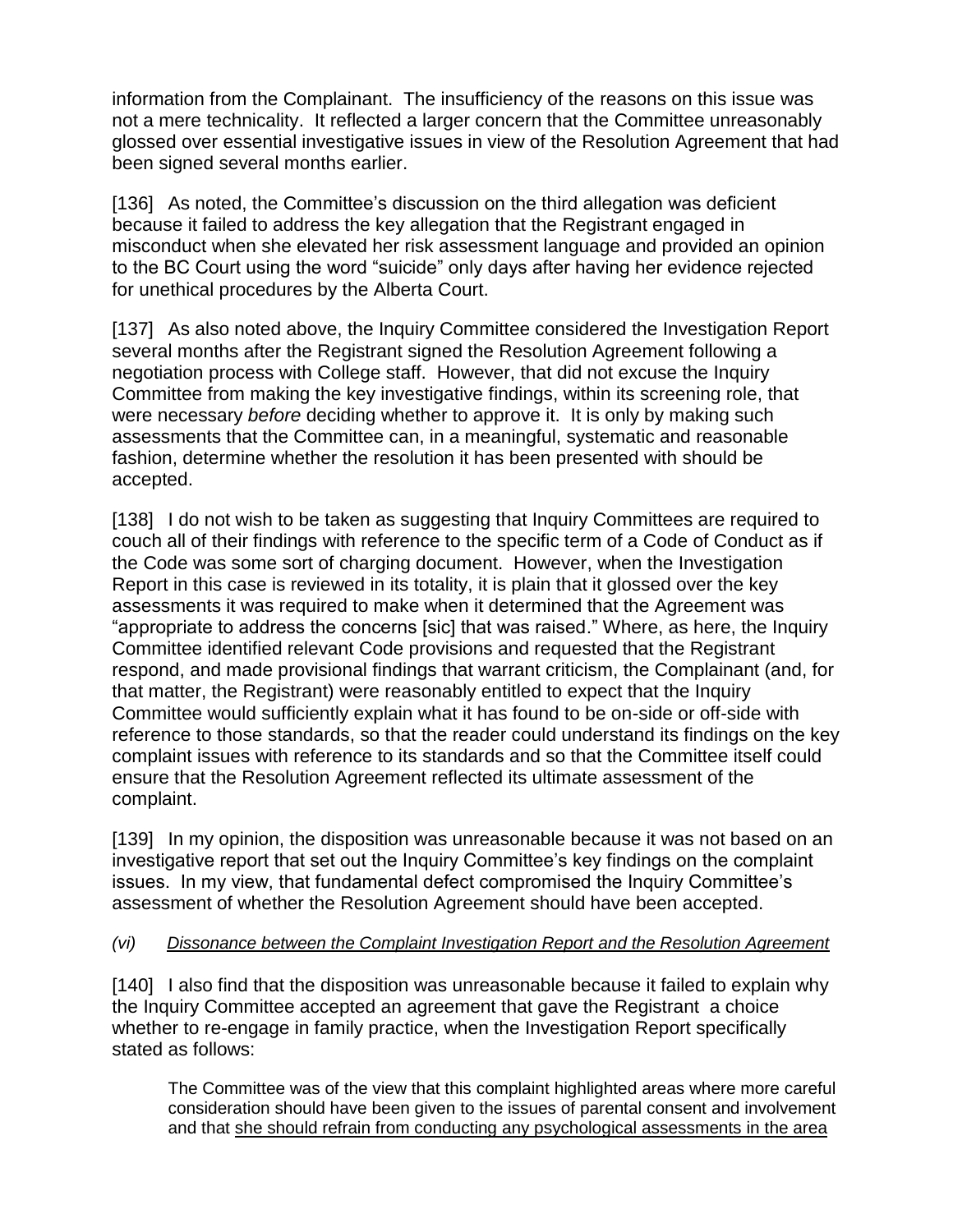information from the Complainant. The insufficiency of the reasons on this issue was not a mere technicality. It reflected a larger concern that the Committee unreasonably glossed over essential investigative issues in view of the Resolution Agreement that had been signed several months earlier.

[136] As noted, the Committee's discussion on the third allegation was deficient because it failed to address the key allegation that the Registrant engaged in misconduct when she elevated her risk assessment language and provided an opinion to the BC Court using the word "suicide" only days after having her evidence rejected for unethical procedures by the Alberta Court.

[137] As also noted above, the Inquiry Committee considered the Investigation Report several months after the Registrant signed the Resolution Agreement following a negotiation process with College staff. However, that did not excuse the Inquiry Committee from making the key investigative findings, within its screening role, that were necessary *before* deciding whether to approve it. It is only by making such assessments that the Committee can, in a meaningful, systematic and reasonable fashion, determine whether the resolution it has been presented with should be accepted.

[138] I do not wish to be taken as suggesting that Inquiry Committees are required to couch all of their findings with reference to the specific term of a Code of Conduct as if the Code was some sort of charging document. However, when the Investigation Report in this case is reviewed in its totality, it is plain that it glossed over the key assessments it was required to make when it determined that the Agreement was "appropriate to address the concerns [sic] that was raised." Where, as here, the Inquiry Committee identified relevant Code provisions and requested that the Registrant respond, and made provisional findings that warrant criticism, the Complainant (and, for that matter, the Registrant) were reasonably entitled to expect that the Inquiry Committee would sufficiently explain what it has found to be on-side or off-side with reference to those standards, so that the reader could understand its findings on the key complaint issues with reference to its standards and so that the Committee itself could ensure that the Resolution Agreement reflected its ultimate assessment of the complaint.

[139] In my opinion, the disposition was unreasonable because it was not based on an investigative report that set out the Inquiry Committee's key findings on the complaint issues. In my view, that fundamental defect compromised the Inquiry Committee's assessment of whether the Resolution Agreement should have been accepted.

#### *(vi) Dissonance between the Complaint Investigation Report and the Resolution Agreement*

[140] I also find that the disposition was unreasonable because it failed to explain why the Inquiry Committee accepted an agreement that gave the Registrant a choice whether to re-engage in family practice, when the Investigation Report specifically stated as follows:

The Committee was of the view that this complaint highlighted areas where more careful consideration should have been given to the issues of parental consent and involvement and that she should refrain from conducting any psychological assessments in the area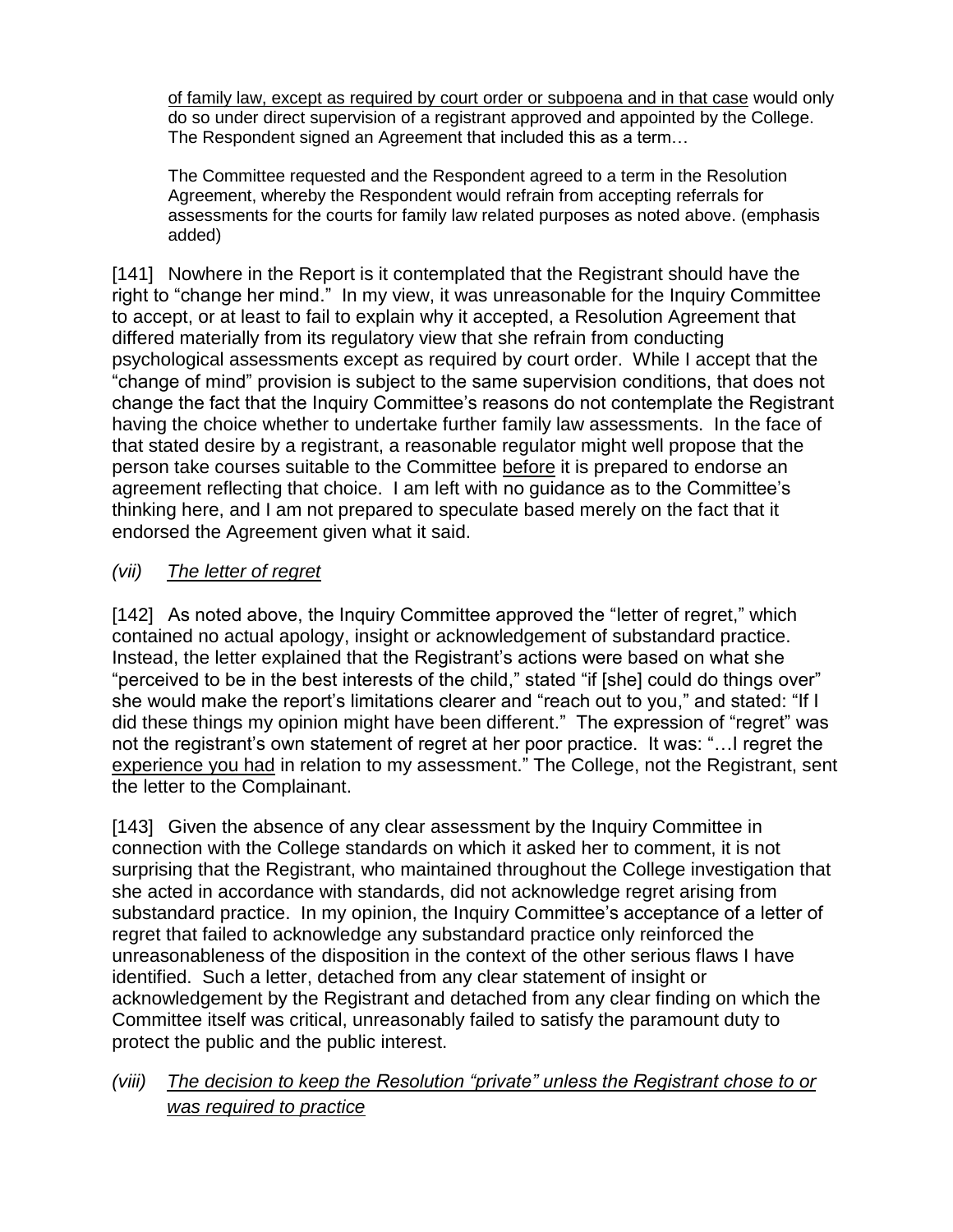of family law, except as required by court order or subpoena and in that case would only do so under direct supervision of a registrant approved and appointed by the College. The Respondent signed an Agreement that included this as a term…

The Committee requested and the Respondent agreed to a term in the Resolution Agreement, whereby the Respondent would refrain from accepting referrals for assessments for the courts for family law related purposes as noted above. (emphasis added)

[141] Nowhere in the Report is it contemplated that the Registrant should have the right to "change her mind." In my view, it was unreasonable for the Inquiry Committee to accept, or at least to fail to explain why it accepted, a Resolution Agreement that differed materially from its regulatory view that she refrain from conducting psychological assessments except as required by court order. While I accept that the "change of mind" provision is subject to the same supervision conditions, that does not change the fact that the Inquiry Committee's reasons do not contemplate the Registrant having the choice whether to undertake further family law assessments. In the face of that stated desire by a registrant, a reasonable regulator might well propose that the person take courses suitable to the Committee before it is prepared to endorse an agreement reflecting that choice. I am left with no guidance as to the Committee's thinking here, and I am not prepared to speculate based merely on the fact that it endorsed the Agreement given what it said.

### *(vii) The letter of regret*

[142] As noted above, the Inquiry Committee approved the "letter of regret," which contained no actual apology, insight or acknowledgement of substandard practice. Instead, the letter explained that the Registrant's actions were based on what she "perceived to be in the best interests of the child," stated "if [she] could do things over" she would make the report's limitations clearer and "reach out to you," and stated: "If I did these things my opinion might have been different." The expression of "regret" was not the registrant's own statement of regret at her poor practice. It was: "…I regret the experience you had in relation to my assessment." The College, not the Registrant, sent the letter to the Complainant.

[143] Given the absence of any clear assessment by the Inquiry Committee in connection with the College standards on which it asked her to comment, it is not surprising that the Registrant, who maintained throughout the College investigation that she acted in accordance with standards, did not acknowledge regret arising from substandard practice. In my opinion, the Inquiry Committee's acceptance of a letter of regret that failed to acknowledge any substandard practice only reinforced the unreasonableness of the disposition in the context of the other serious flaws I have identified. Such a letter, detached from any clear statement of insight or acknowledgement by the Registrant and detached from any clear finding on which the Committee itself was critical, unreasonably failed to satisfy the paramount duty to protect the public and the public interest.

### *(viii) The decision to keep the Resolution "private" unless the Registrant chose to or was required to practice*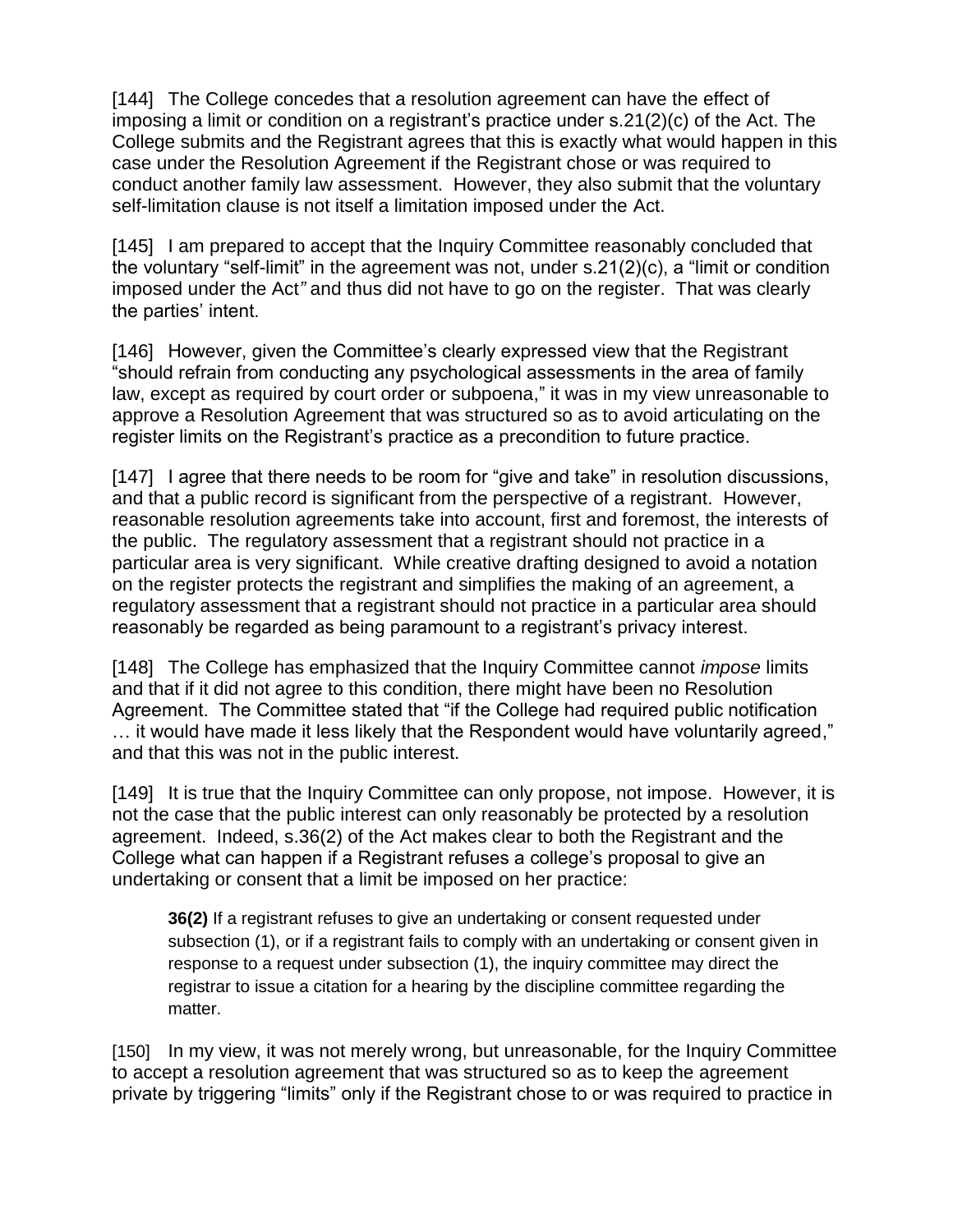[144] The College concedes that a resolution agreement can have the effect of imposing a limit or condition on a registrant's practice under s.21(2)(c) of the Act. The College submits and the Registrant agrees that this is exactly what would happen in this case under the Resolution Agreement if the Registrant chose or was required to conduct another family law assessment. However, they also submit that the voluntary self-limitation clause is not itself a limitation imposed under the Act.

[145] I am prepared to accept that the Inquiry Committee reasonably concluded that the voluntary "self-limit" in the agreement was not, under s.21(2)(c), a "limit or condition imposed under the Act*"* and thus did not have to go on the register. That was clearly the parties' intent.

[146] However, given the Committee's clearly expressed view that the Registrant "should refrain from conducting any psychological assessments in the area of family law, except as required by court order or subpoena," it was in my view unreasonable to approve a Resolution Agreement that was structured so as to avoid articulating on the register limits on the Registrant's practice as a precondition to future practice.

[147] I agree that there needs to be room for "give and take" in resolution discussions, and that a public record is significant from the perspective of a registrant. However, reasonable resolution agreements take into account, first and foremost, the interests of the public. The regulatory assessment that a registrant should not practice in a particular area is very significant. While creative drafting designed to avoid a notation on the register protects the registrant and simplifies the making of an agreement, a regulatory assessment that a registrant should not practice in a particular area should reasonably be regarded as being paramount to a registrant's privacy interest.

[148] The College has emphasized that the Inquiry Committee cannot *impose* limits and that if it did not agree to this condition, there might have been no Resolution Agreement. The Committee stated that "if the College had required public notification … it would have made it less likely that the Respondent would have voluntarily agreed," and that this was not in the public interest.

[149] It is true that the Inquiry Committee can only propose, not impose. However, it is not the case that the public interest can only reasonably be protected by a resolution agreement. Indeed, s.36(2) of the Act makes clear to both the Registrant and the College what can happen if a Registrant refuses a college's proposal to give an undertaking or consent that a limit be imposed on her practice:

**36(2)** If a registrant refuses to give an undertaking or consent requested under subsection (1), or if a registrant fails to comply with an undertaking or consent given in response to a request under subsection (1), the inquiry committee may direct the registrar to issue a citation for a hearing by the discipline committee regarding the matter.

[150] In my view, it was not merely wrong, but unreasonable, for the Inquiry Committee to accept a resolution agreement that was structured so as to keep the agreement private by triggering "limits" only if the Registrant chose to or was required to practice in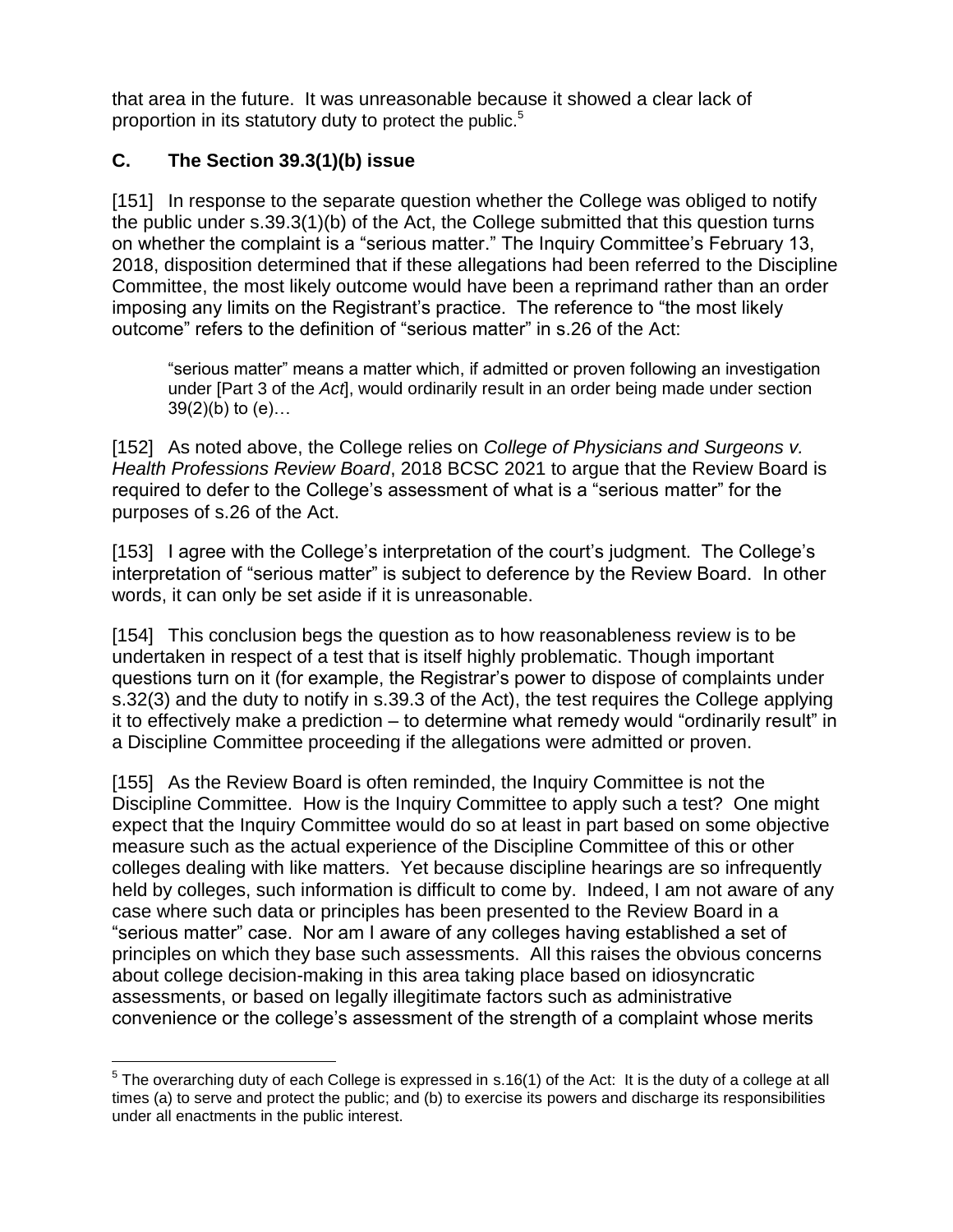that area in the future. It was unreasonable because it showed a clear lack of proportion in its statutory duty to protect the public.<sup>5</sup>

# **C. The Section 39.3(1)(b) issue**

 $\overline{a}$ 

[151] In response to the separate question whether the College was obliged to notify the public under s.39.3(1)(b) of the Act, the College submitted that this question turns on whether the complaint is a "serious matter." The Inquiry Committee's February 13, 2018, disposition determined that if these allegations had been referred to the Discipline Committee, the most likely outcome would have been a reprimand rather than an order imposing any limits on the Registrant's practice. The reference to "the most likely outcome" refers to the definition of "serious matter" in s.26 of the Act:

"serious matter" means a matter which, if admitted or proven following an investigation under [Part 3 of the *Act*], would ordinarily result in an order being made under section  $39(2)(b)$  to  $(e)$ ...

[152] As noted above, the College relies on *College of Physicians and Surgeons v. Health Professions Review Board*, 2018 BCSC 2021 to argue that the Review Board is required to defer to the College's assessment of what is a "serious matter" for the purposes of s.26 of the Act.

[153] Lagree with the College's interpretation of the court's judgment. The College's interpretation of "serious matter" is subject to deference by the Review Board. In other words, it can only be set aside if it is unreasonable.

[154] This conclusion begs the question as to how reasonableness review is to be undertaken in respect of a test that is itself highly problematic. Though important questions turn on it (for example, the Registrar's power to dispose of complaints under s.32(3) and the duty to notify in s.39.3 of the Act), the test requires the College applying it to effectively make a prediction – to determine what remedy would "ordinarily result" in a Discipline Committee proceeding if the allegations were admitted or proven.

[155] As the Review Board is often reminded, the Inquiry Committee is not the Discipline Committee. How is the Inquiry Committee to apply such a test? One might expect that the Inquiry Committee would do so at least in part based on some objective measure such as the actual experience of the Discipline Committee of this or other colleges dealing with like matters. Yet because discipline hearings are so infrequently held by colleges, such information is difficult to come by. Indeed, I am not aware of any case where such data or principles has been presented to the Review Board in a "serious matter" case. Nor am I aware of any colleges having established a set of principles on which they base such assessments. All this raises the obvious concerns about college decision-making in this area taking place based on idiosyncratic assessments, or based on legally illegitimate factors such as administrative convenience or the college's assessment of the strength of a complaint whose merits

 $5$  The overarching duty of each College is expressed in s.16(1) of the Act: It is the duty of a college at all times (a) to serve and protect the public; and (b) to exercise its powers and discharge its responsibilities under all enactments in the public interest.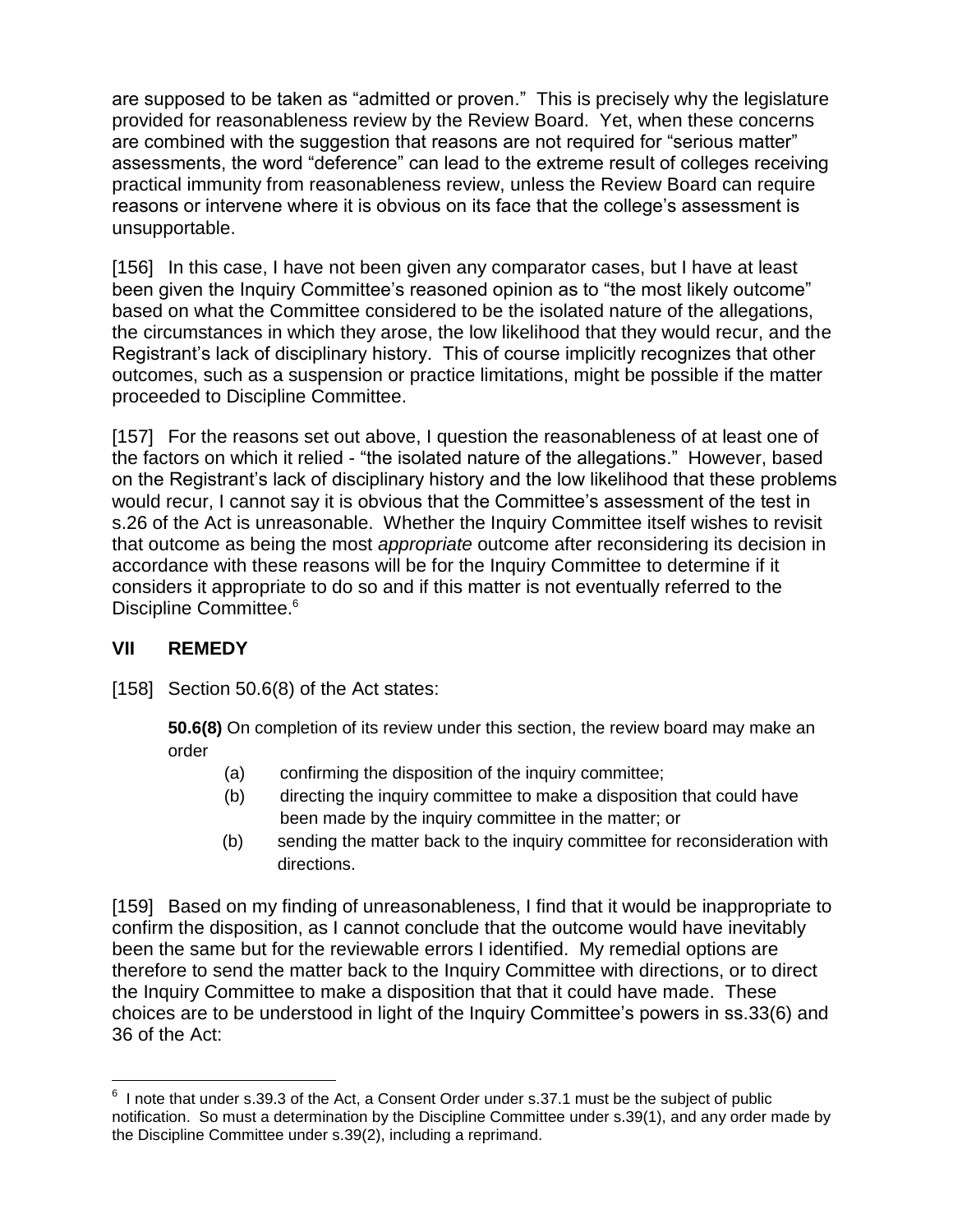are supposed to be taken as "admitted or proven." This is precisely why the legislature provided for reasonableness review by the Review Board. Yet, when these concerns are combined with the suggestion that reasons are not required for "serious matter" assessments, the word "deference" can lead to the extreme result of colleges receiving practical immunity from reasonableness review, unless the Review Board can require reasons or intervene where it is obvious on its face that the college's assessment is unsupportable.

[156] In this case, I have not been given any comparator cases, but I have at least been given the Inquiry Committee's reasoned opinion as to "the most likely outcome" based on what the Committee considered to be the isolated nature of the allegations, the circumstances in which they arose, the low likelihood that they would recur, and the Registrant's lack of disciplinary history. This of course implicitly recognizes that other outcomes, such as a suspension or practice limitations, might be possible if the matter proceeded to Discipline Committee.

[157] For the reasons set out above, I question the reasonableness of at least one of the factors on which it relied - "the isolated nature of the allegations." However, based on the Registrant's lack of disciplinary history and the low likelihood that these problems would recur, I cannot say it is obvious that the Committee's assessment of the test in s.26 of the Act is unreasonable. Whether the Inquiry Committee itself wishes to revisit that outcome as being the most *appropriate* outcome after reconsidering its decision in accordance with these reasons will be for the Inquiry Committee to determine if it considers it appropriate to do so and if this matter is not eventually referred to the Discipline Committee.<sup>6</sup>

### **VII REMEDY**

 $\overline{a}$ 

[158] Section 50.6(8) of the Act states:

**50.6(8)** On completion of its review under this section, the review board may make an order

- (a) confirming the disposition of the inquiry committee;
- (b) directing the inquiry committee to make a disposition that could have been made by the inquiry committee in the matter; or
- (b) sending the matter back to the inquiry committee for reconsideration with directions.

[159] Based on my finding of unreasonableness, I find that it would be inappropriate to confirm the disposition, as I cannot conclude that the outcome would have inevitably been the same but for the reviewable errors I identified. My remedial options are therefore to send the matter back to the Inquiry Committee with directions, or to direct the Inquiry Committee to make a disposition that that it could have made. These choices are to be understood in light of the Inquiry Committee's powers in ss.33(6) and 36 of the Act:

 $6$  I note that under s.39.3 of the Act, a Consent Order under s.37.1 must be the subject of public notification. So must a determination by the Discipline Committee under s.39(1), and any order made by the Discipline Committee under s.39(2), including a reprimand.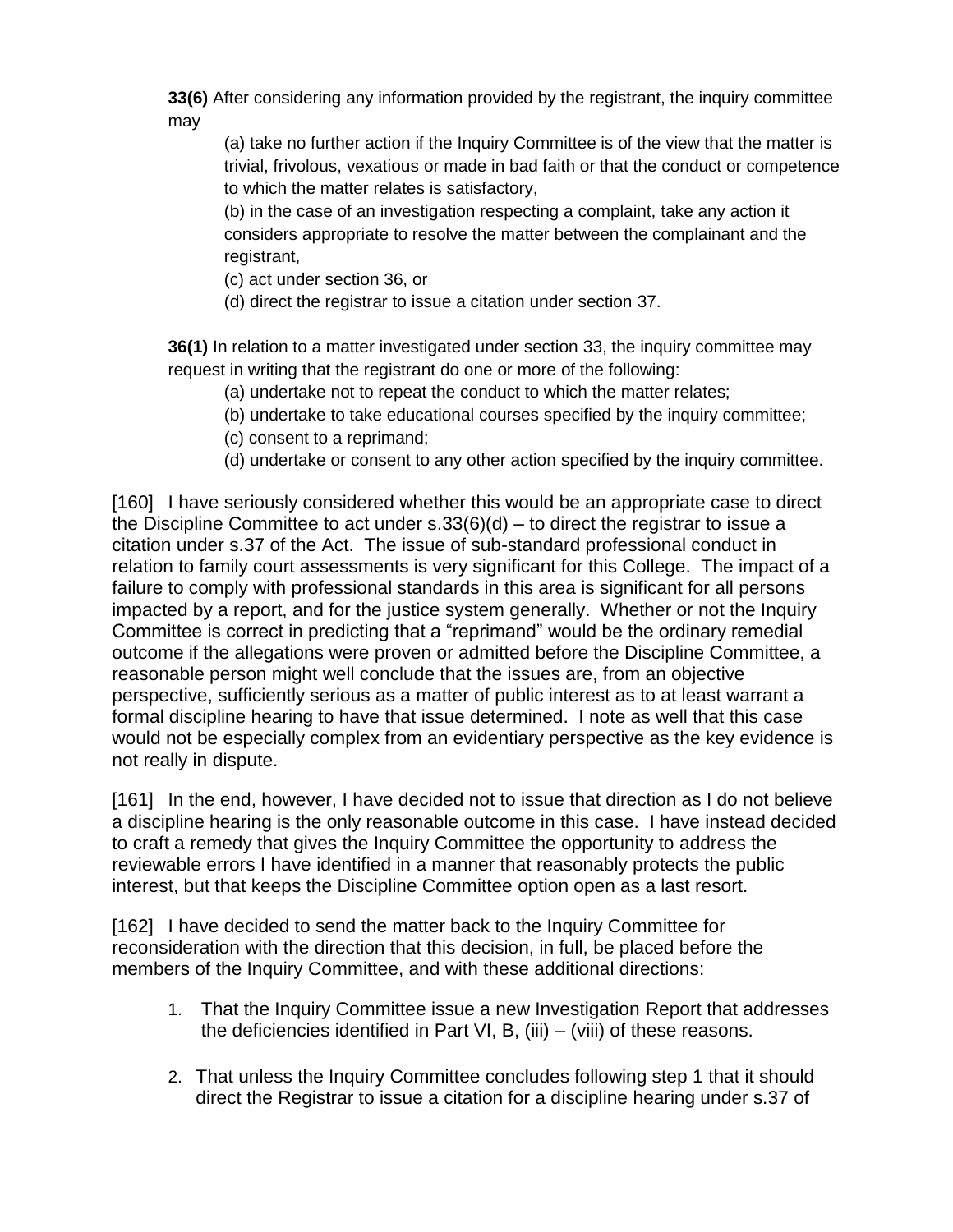**33(6)** After considering any information provided by the registrant, the inquiry committee may

(a) take no further action if the Inquiry Committee is of the view that the matter is trivial, frivolous, vexatious or made in bad faith or that the conduct or competence to which the matter relates is satisfactory,

(b) in the case of an investigation respecting a complaint, take any action it considers appropriate to resolve the matter between the complainant and the registrant,

- (c) act under section 36, or
- (d) direct the registrar to issue a citation under section 37.

**36(1)** In relation to a matter investigated under section 33, the inquiry committee may request in writing that the registrant do one or more of the following:

- (a) undertake not to repeat the conduct to which the matter relates;
- (b) undertake to take educational courses specified by the inquiry committee;
- (c) consent to a reprimand;
- (d) undertake or consent to any other action specified by the inquiry committee.

[160] I have seriously considered whether this would be an appropriate case to direct the Discipline Committee to act under s.33(6)(d) – to direct the registrar to issue a citation under s.37 of the Act. The issue of sub-standard professional conduct in relation to family court assessments is very significant for this College. The impact of a failure to comply with professional standards in this area is significant for all persons impacted by a report, and for the justice system generally. Whether or not the Inquiry Committee is correct in predicting that a "reprimand" would be the ordinary remedial outcome if the allegations were proven or admitted before the Discipline Committee, a reasonable person might well conclude that the issues are, from an objective perspective, sufficiently serious as a matter of public interest as to at least warrant a formal discipline hearing to have that issue determined. I note as well that this case would not be especially complex from an evidentiary perspective as the key evidence is not really in dispute.

[161] In the end, however, I have decided not to issue that direction as I do not believe a discipline hearing is the only reasonable outcome in this case. I have instead decided to craft a remedy that gives the Inquiry Committee the opportunity to address the reviewable errors I have identified in a manner that reasonably protects the public interest, but that keeps the Discipline Committee option open as a last resort.

[162] I have decided to send the matter back to the Inquiry Committee for reconsideration with the direction that this decision, in full, be placed before the members of the Inquiry Committee, and with these additional directions:

- 1. That the Inquiry Committee issue a new Investigation Report that addresses the deficiencies identified in Part VI, B, (iii)  $-$  (viii) of these reasons.
- 2. That unless the Inquiry Committee concludes following step 1 that it should direct the Registrar to issue a citation for a discipline hearing under s.37 of